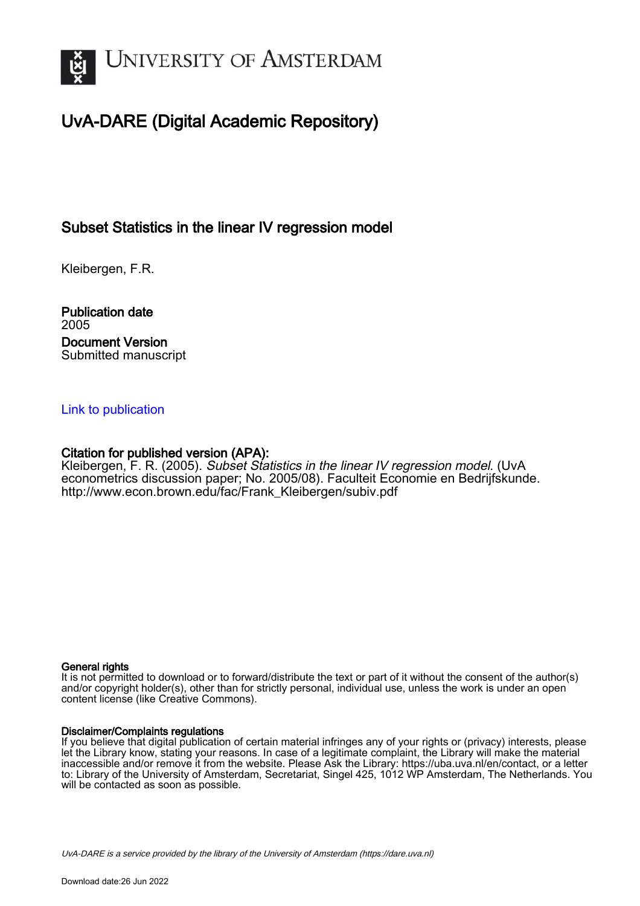

# UvA-DARE (Digital Academic Repository)

## Subset Statistics in the linear IV regression model

Kleibergen, F.R.

Publication date 2005 Document Version Submitted manuscript

#### [Link to publication](https://dare.uva.nl/personal/pure/en/publications/subset-statistics-in-the-linear-iv-regression-model(042e3b3c-ac57-4773-b21d-6a2ccb727155).html)

#### Citation for published version (APA):

Kleibergen, F. R. (2005). Subset Statistics in the linear IV regression model. (UvA econometrics discussion paper; No. 2005/08). Faculteit Economie en Bedrijfskunde. [http://www.econ.brown.edu/fac/Frank\\_Kleibergen/subiv.pdf](http://www.econ.brown.edu/fac/Frank_Kleibergen/subiv.pdf)

#### General rights

It is not permitted to download or to forward/distribute the text or part of it without the consent of the author(s) and/or copyright holder(s), other than for strictly personal, individual use, unless the work is under an open content license (like Creative Commons).

#### Disclaimer/Complaints regulations

If you believe that digital publication of certain material infringes any of your rights or (privacy) interests, please let the Library know, stating your reasons. In case of a legitimate complaint, the Library will make the material inaccessible and/or remove it from the website. Please Ask the Library: https://uba.uva.nl/en/contact, or a letter to: Library of the University of Amsterdam, Secretariat, Singel 425, 1012 WP Amsterdam, The Netherlands. You will be contacted as soon as possible.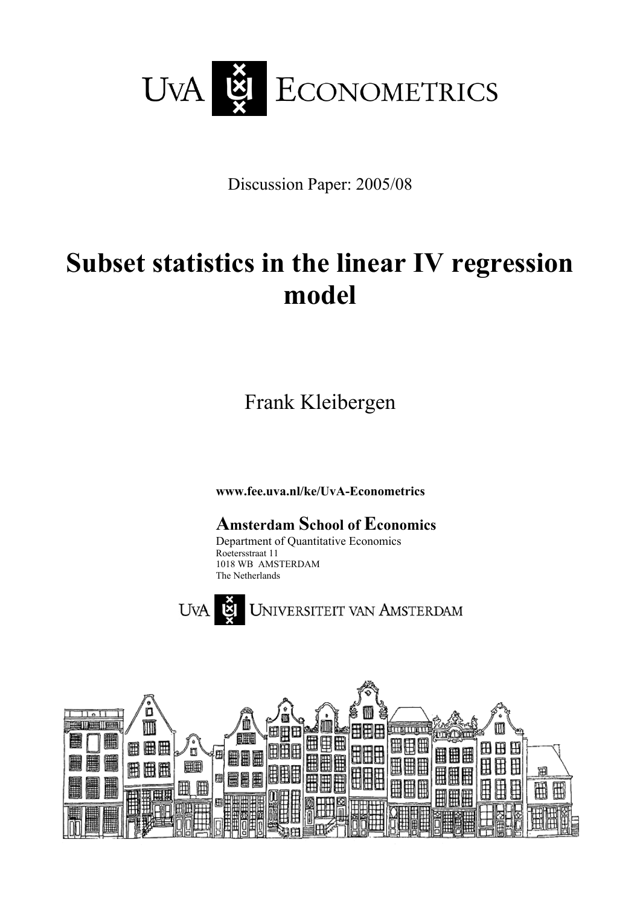

Discussion Paper: 2005/08

# **Subset statistics in the linear IV regression model**

Frank Kleibergen

**www.fee.uva.nl/ke/UvA-Econometrics** 

**Amsterdam School of Economics**  Department of Quantitative Economics Roetersstraat 11 1018 WB AMSTERDAM The Netherlands



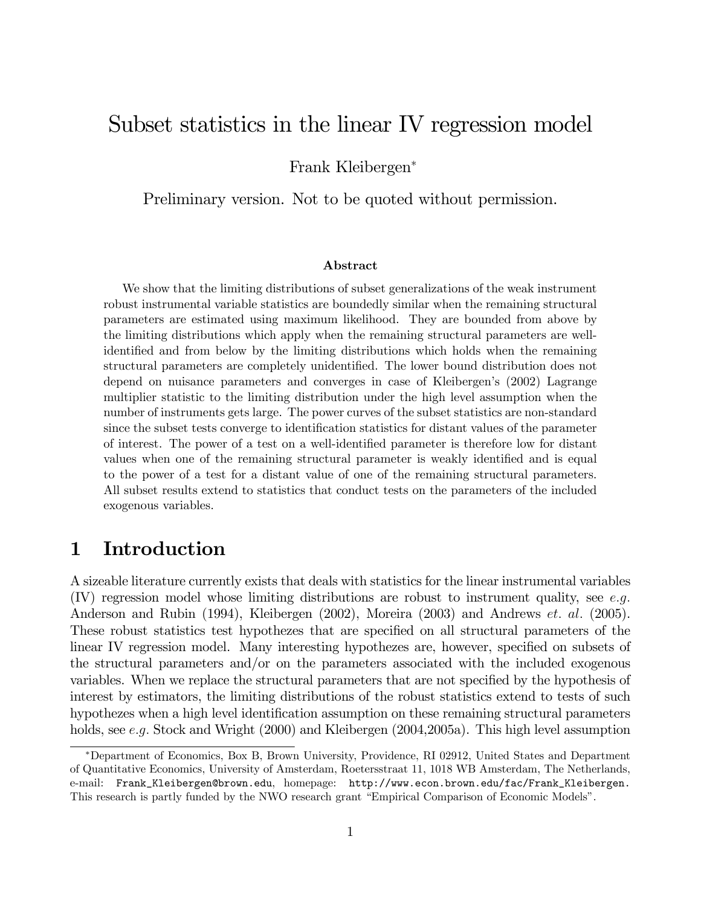# Subset statistics in the linear IV regression model

Frank Kleibergen<sup>∗</sup>

Preliminary version. Not to be quoted without permission.

#### Abstract

We show that the limiting distributions of subset generalizations of the weak instrument robust instrumental variable statistics are boundedly similar when the remaining structural parameters are estimated using maximum likelihood. They are bounded from above by the limiting distributions which apply when the remaining structural parameters are wellidentified and from below by the limiting distributions which holds when the remaining structural parameters are completely unidentified. The lower bound distribution does not depend on nuisance parameters and converges in case of Kleibergen's (2002) Lagrange multiplier statistic to the limiting distribution under the high level assumption when the number of instruments gets large. The power curves of the subset statistics are non-standard since the subset tests converge to identification statistics for distant values of the parameter of interest. The power of a test on a well-identified parameter is therefore low for distant values when one of the remaining structural parameter is weakly identified and is equal to the power of a test for a distant value of one of the remaining structural parameters. All subset results extend to statistics that conduct tests on the parameters of the included exogenous variables.

# 1 Introduction

A sizeable literature currently exists that deals with statistics for the linear instrumental variables (IV) regression model whose limiting distributions are robust to instrument quality, see e.g. Anderson and Rubin (1994), Kleibergen (2002), Moreira (2003) and Andrews et. al. (2005). These robust statistics test hypothezes that are specified on all structural parameters of the linear IV regression model. Many interesting hypothezes are, however, specified on subsets of the structural parameters and/or on the parameters associated with the included exogenous variables. When we replace the structural parameters that are not specified by the hypothesis of interest by estimators, the limiting distributions of the robust statistics extend to tests of such hypothezes when a high level identification assumption on these remaining structural parameters holds, see e.g. Stock and Wright (2000) and Kleibergen (2004,2005a). This high level assumption

<sup>∗</sup>Department of Economics, Box B, Brown University, Providence, RI 02912, United States and Department of Quantitative Economics, University of Amsterdam, Roetersstraat 11, 1018 WB Amsterdam, The Netherlands, e-mail: Frank\_Kleibergen@brown.edu, homepage: http://www.econ.brown.edu/fac/Frank\_Kleibergen. This research is partly funded by the NWO research grant "Empirical Comparison of Economic Models".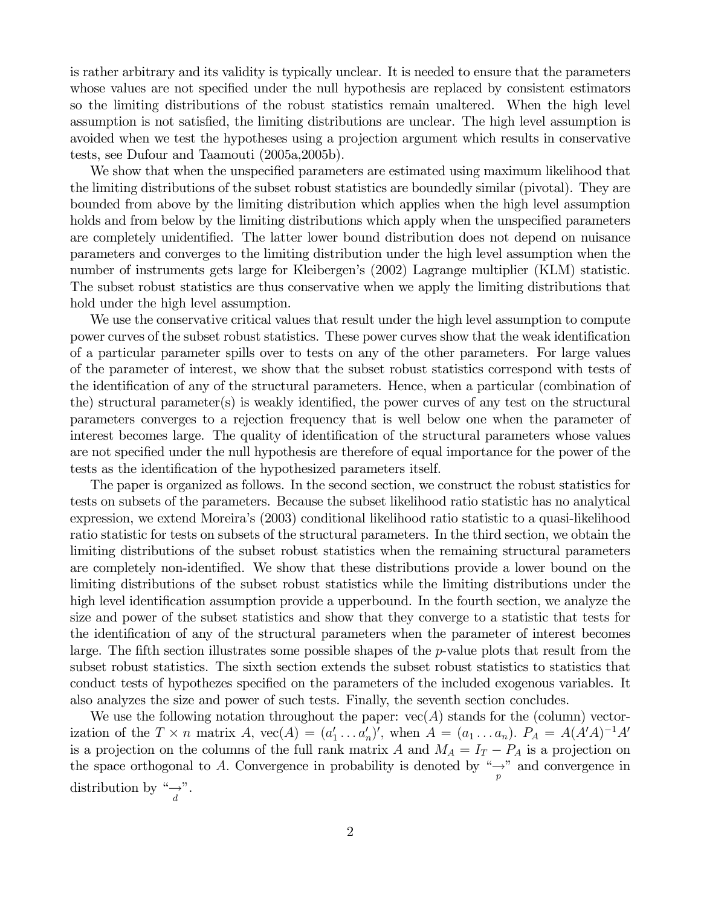is rather arbitrary and its validity is typically unclear. It is needed to ensure that the parameters whose values are not specified under the null hypothesis are replaced by consistent estimators so the limiting distributions of the robust statistics remain unaltered. When the high level assumption is not satisfied, the limiting distributions are unclear. The high level assumption is avoided when we test the hypotheses using a projection argument which results in conservative tests, see Dufour and Taamouti (2005a,2005b).

We show that when the unspecified parameters are estimated using maximum likelihood that the limiting distributions of the subset robust statistics are boundedly similar (pivotal). They are bounded from above by the limiting distribution which applies when the high level assumption holds and from below by the limiting distributions which apply when the unspecified parameters are completely unidentified. The latter lower bound distribution does not depend on nuisance parameters and converges to the limiting distribution under the high level assumption when the number of instruments gets large for Kleibergen's (2002) Lagrange multiplier (KLM) statistic. The subset robust statistics are thus conservative when we apply the limiting distributions that hold under the high level assumption.

We use the conservative critical values that result under the high level assumption to compute power curves of the subset robust statistics. These power curves show that the weak identification of a particular parameter spills over to tests on any of the other parameters. For large values of the parameter of interest, we show that the subset robust statistics correspond with tests of the identification of any of the structural parameters. Hence, when a particular (combination of the) structural parameter(s) is weakly identified, the power curves of any test on the structural parameters converges to a rejection frequency that is well below one when the parameter of interest becomes large. The quality of identification of the structural parameters whose values are not specified under the null hypothesis are therefore of equal importance for the power of the tests as the identification of the hypothesized parameters itself.

The paper is organized as follows. In the second section, we construct the robust statistics for tests on subsets of the parameters. Because the subset likelihood ratio statistic has no analytical expression, we extend Moreira's (2003) conditional likelihood ratio statistic to a quasi-likelihood ratio statistic for tests on subsets of the structural parameters. In the third section, we obtain the limiting distributions of the subset robust statistics when the remaining structural parameters are completely non-identified. We show that these distributions provide a lower bound on the limiting distributions of the subset robust statistics while the limiting distributions under the high level identification assumption provide a upperbound. In the fourth section, we analyze the size and power of the subset statistics and show that they converge to a statistic that tests for the identification of any of the structural parameters when the parameter of interest becomes large. The fifth section illustrates some possible shapes of the p-value plots that result from the subset robust statistics. The sixth section extends the subset robust statistics to statistics that conduct tests of hypothezes specified on the parameters of the included exogenous variables. It also analyzes the size and power of such tests. Finally, the seventh section concludes.

We use the following notation throughout the paper:  $vec(A)$  stands for the (column) vectorization of the  $T \times n$  matrix  $A$ ,  $\text{vec}(A) = (a'_1 \dots a'_n)'$ , when  $A = (a_1 \dots a_n)$ .  $P_A = A(A'A)^{-1}A'$ is a projection on the columns of the full rank matrix A and  $M_A = I_T - P_A$  is a projection on the space orthogonal to A. Convergence in probability is denoted by  $\frac{m}{p}$  and convergence in distribution by " $\rightarrow u^*$ ".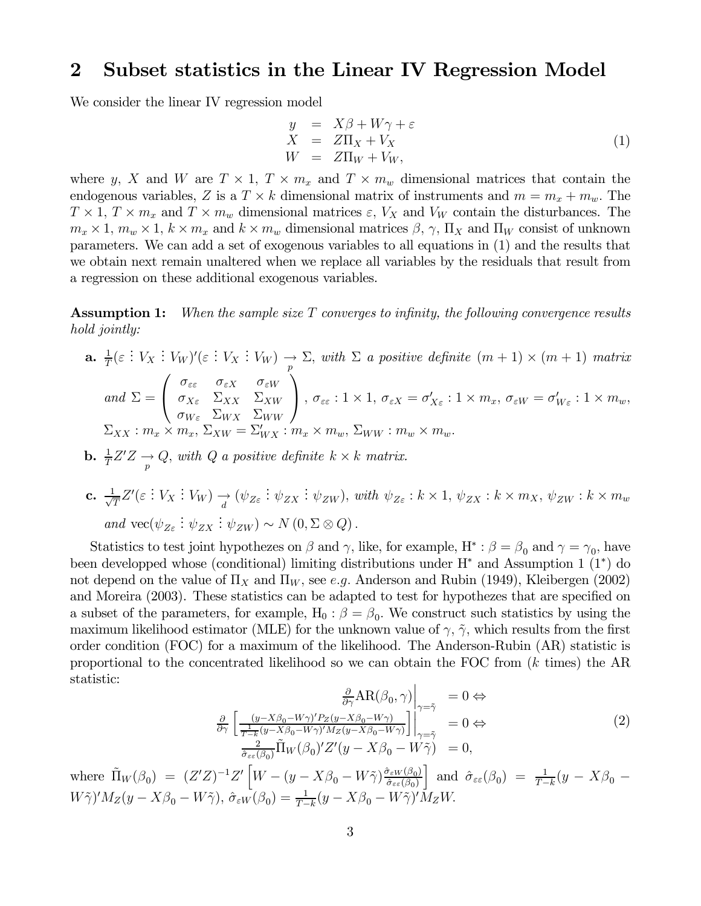### 2 Subset statistics in the Linear IV Regression Model

We consider the linear IV regression model

$$
y = X\beta + W\gamma + \varepsilon
$$
  
\n
$$
X = Z\Pi_X + V_X
$$
  
\n
$$
W = Z\Pi_W + V_W,
$$
\n(1)

where y, X and W are  $T \times 1$ ,  $T \times m_x$  and  $T \times m_w$  dimensional matrices that contain the endogenous variables, Z is a  $T \times k$  dimensional matrix of instruments and  $m = m_x + m_w$ . The  $T \times 1$ ,  $T \times m_x$  and  $T \times m_w$  dimensional matrices  $\varepsilon$ ,  $V_X$  and  $V_W$  contain the disturbances. The  $m_x \times 1$ ,  $m_w \times 1$ ,  $k \times m_x$  and  $k \times m_w$  dimensional matrices  $\beta$ ,  $\gamma$ ,  $\Pi_X$  and  $\Pi_W$  consist of unknown parameters. We can add a set of exogenous variables to all equations in (1) and the results that we obtain next remain unaltered when we replace all variables by the residuals that result from a regression on these additional exogenous variables.

**Assumption 1:** When the sample size  $T$  converges to infinity, the following convergence results hold jointly:

- **a.**  $\frac{1}{T}(\varepsilon : V_X : V_W)'(\varepsilon : V_X : V_W) \to \Sigma$ , with  $\Sigma$  a positive definite  $(m + 1) \times (m + 1)$  matrix and  $\Sigma =$  $\sqrt{ }$  $\mathbf{I}$  $\sigma_{\varepsilon\varepsilon}$   $\sigma_{\varepsilon X}$   $\sigma_{\varepsilon W}$  $\sigma_{X\varepsilon}$   $\Sigma_{XX}$   $\Sigma_{XW}$  $\sigma_{W\varepsilon}$   $\Sigma_{WX}$   $\Sigma_{WW}$  $\setminus$  $\int$ ,  $\sigma_{\varepsilon\varepsilon}: 1 \times 1$ ,  $\sigma_{\varepsilon X} = \sigma'_{X\varepsilon}: 1 \times m_x$ ,  $\sigma_{\varepsilon W} = \sigma'_{W\varepsilon}: 1 \times m_w$ ,  $\Sigma_{XX}: m_x \times m_x$ ,  $\Sigma_{XW} = \Sigma'_{WX}: m_x \times m_w$ ,  $\Sigma_{WW}: m_w \times m_w$ .
- **b.**  $\frac{1}{T}Z'Z \rightarrow Q$ , with Q a positive definite  $k \times k$  matrix.
- c.  $\frac{1}{\sqrt{T}}Z'(\varepsilon : V_X : V_W) \to (\psi_{Z\varepsilon} : \psi_{ZX} : \psi_{ZW})$ , with  $\psi_{Z\varepsilon} : k \times 1$ ,  $\psi_{ZX} : k \times m_X$ ,  $\psi_{ZW} : k \times m_w$ and  $\text{vec}(\psi_{Z\varepsilon} : \psi_{ZX} : \psi_{ZW}) \sim N(0, \Sigma \otimes Q)$ .

Statistics to test joint hypothezes on  $\beta$  and  $\gamma$ , like, for example,  $H^* : \beta = \beta_0$  and  $\gamma = \gamma_0$ , have been developped whose (conditional) limiting distributions under H<sup>∗</sup> and Assumption 1 (1∗) do not depend on the value of  $\Pi_X$  and  $\Pi_W$ , see e.g. Anderson and Rubin (1949), Kleibergen (2002) and Moreira (2003). These statistics can be adapted to test for hypothezes that are specified on a subset of the parameters, for example,  $H_0$ :  $\beta = \beta_0$ . We construct such statistics by using the maximum likelihood estimator (MLE) for the unknown value of  $\gamma$ ,  $\tilde{\gamma}$ , which results from the first order condition (FOC) for a maximum of the likelihood. The Anderson-Rubin (AR) statistic is proportional to the concentrated likelihood so we can obtain the FOC from  $(k \text{ times})$  the AR statistic:

$$
\frac{\partial}{\partial \gamma} AR(\beta_0, \gamma) \Big|_{\gamma = \tilde{\gamma}} = 0 \Leftrightarrow
$$
  

$$
\frac{\partial}{\partial \gamma} \left[ \frac{(y - X\beta_0 - W\gamma)' P_Z(y - X\beta_0 - W\gamma)}{\frac{1}{T - k}(y - X\beta_0 - W\gamma)' M_Z(y - X\beta_0 - W\gamma)} \right] \Big|_{\gamma = \tilde{\gamma}}^{\gamma = \tilde{\gamma}} = 0 \Leftrightarrow
$$
  

$$
\frac{2}{\hat{\sigma}_{\varepsilon\varepsilon}(\beta_0)} \tilde{\Pi}_W(\beta_0)' Z'(y - X\beta_0 - W\tilde{\gamma}) = 0,
$$
 (2)

where  $\tilde{\Pi}_W(\beta_0) = (Z'Z)^{-1}Z' \left[W - (y - X\beta_0 - W\tilde{\gamma})\frac{\partial_{\varepsilon_W}(\beta_0)}{\partial_{\varepsilon_{\varepsilon}}(\beta_0)}\right]$  $\hat{\sigma}_{\varepsilon\varepsilon}(\beta_0)$ ] and  $\hat{\sigma}_{\varepsilon\varepsilon}(\beta_0) = \frac{1}{T-k}(y - X\beta_0 W\tilde{\gamma}$ ' $M_Z(y - X\beta_0 - W\tilde{\gamma})$ ,  $\hat{\sigma}_{\varepsilon W}(\beta_0) = \frac{1}{T-k}(y - X\beta_0 - W\tilde{\gamma})'M_ZW$ .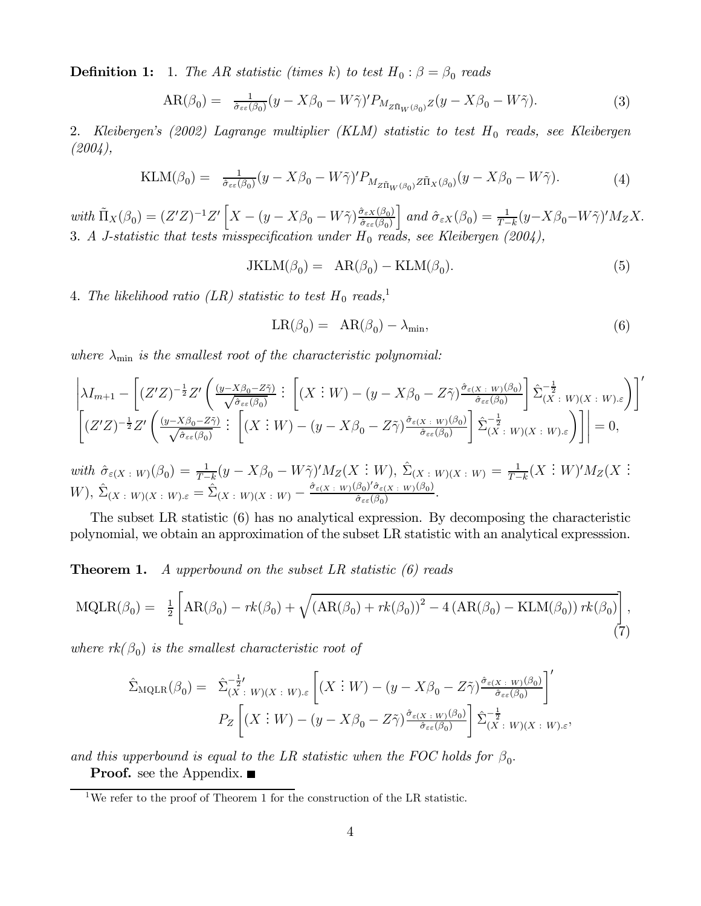**Definition 1:** 1. The AR statistic (times k) to test  $H_0: \beta = \beta_0$  reads

$$
AR(\beta_0) = \frac{1}{\hat{\sigma}_{\varepsilon\varepsilon}(\beta_0)}(y - X\beta_0 - W\tilde{\gamma})' P_{M_{Z\tilde{\Pi}_W(\beta_0)}Z}(y - X\beta_0 - W\tilde{\gamma}).\tag{3}
$$

2. Kleibergen's  $(2002)$  Lagrange multiplier  $(KLM)$  statistic to test  $H_0$  reads, see Kleibergen (2004),

$$
\text{KLM}(\beta_0) = \frac{1}{\hat{\sigma}_{\varepsilon\varepsilon}(\beta_0)} (y - X\beta_0 - W\tilde{\gamma})' P_{M_{Z\tilde{\Pi}_W(\beta_0)} Z\tilde{\Pi}_X(\beta_0)} (y - X\beta_0 - W\tilde{\gamma}).\tag{4}
$$

with  $\tilde{\Pi}_X(\beta_0) = (Z'Z)^{-1}Z'\left[X - (y - X\beta_0 - W\tilde{\gamma})\frac{\hat{\sigma}_{\varepsilon X}(\beta_0)}{\hat{\sigma}_{\varepsilon\varepsilon}(\beta_0)}\right]$  $\int$  and  $\hat{\sigma}_{\varepsilon X}(\beta_0) = \frac{1}{T-k} (y - X\beta_0 - W\tilde{\gamma})' M_Z X.$ 3. A J-statistic that tests misspecification under  $H_0$  reads, see Kleibergen (2004),

 $JKLM(\beta_0) = AR(\beta_0) - KLM(\beta_0).$  (5)

4. The likelihood ratio (LR) statistic to test  $H_0$  reads,<sup>1</sup>

$$
LR(\beta_0) = AR(\beta_0) - \lambda_{\min}, \qquad (6)
$$

where  $\lambda_{\min}$  is the smallest root of the characteristic polynomial:

$$
\left| \lambda I_{m+1} - \left[ (Z'Z)^{-\frac{1}{2}} Z' \left( \frac{(y - X\beta_0 - Z\tilde{\gamma})}{\sqrt{\hat{\sigma}_{\varepsilon\varepsilon}(\beta_0)}} \right] \left[ (X \stackrel{\cdot}{:} W) - (y - X\beta_0 - Z\tilde{\gamma}) \frac{\hat{\sigma}_{\varepsilon(X \stackrel{\cdot}{:} W)}(\beta_0)}{\hat{\sigma}_{\varepsilon\varepsilon}(\beta_0)} \right] \hat{\Sigma}_{(X \stackrel{\cdot}{:} W)(X \stackrel{\cdot}{:} W) \cdot \varepsilon} \right] \right|'
$$
\n
$$
\left[ (Z'Z)^{-\frac{1}{2}} Z' \left( \frac{(y - X\beta_0 - Z\tilde{\gamma})}{\sqrt{\hat{\sigma}_{\varepsilon\varepsilon}(\beta_0)}} \right] \left[ (X \stackrel{\cdot}{:} W) - (y - X\beta_0 - Z\tilde{\gamma}) \frac{\hat{\sigma}_{\varepsilon(X \stackrel{\cdot}{:} W)}(\beta_0)}{\hat{\sigma}_{\varepsilon\varepsilon}(\beta_0)} \right] \hat{\Sigma}_{(X \stackrel{\cdot}{:} W)(X \stackrel{\cdot}{:} W) \cdot \varepsilon} \right] \right| = 0,
$$

with  $\hat{\sigma}_{\varepsilon(X+W)}(\beta_0) = \frac{1}{T-k}(y - X\beta_0 - W\tilde{\gamma})'M_Z(X:W), \ \hat{\Sigma}_{(X+W)(X:W)} = \frac{1}{T-k}(X:W)'M_Z(X:W)$  $W$ ),  $\hat{\Sigma}_{(X \ : \ W)(X \ : \ W) \cdot \varepsilon} = \hat{\Sigma}_{(X \ : \ W)(X \ : \ W)} - \frac{\hat{\sigma}_{\varepsilon(X \ : \ W)}(\beta_0) \hat{\sigma}_{\varepsilon(X \ : \ W)}(\beta_0)}{\hat{\sigma}_{\varepsilon\varepsilon}(\beta_0)}.$ 

The subset LR statistic (6) has no analytical expression. By decomposing the characteristic polynomial, we obtain an approximation of the subset LR statistic with an analytical expresssion.

**Theorem 1.** A upperbound on the subset LR statistic  $(6)$  reads

$$
MQLR(\beta_0) = \frac{1}{2} \left[ AR(\beta_0) - rk(\beta_0) + \sqrt{(AR(\beta_0) + rk(\beta_0))^2 - 4(R(\beta_0) - KLM(\beta_0)) rk(\beta_0)} \right],
$$
\n(7)

where  $rk(\beta_0)$  is the smallest characteristic root of

$$
\hat{\Sigma}_{\text{MQLR}}(\beta_0) = \hat{\Sigma}_{(X \ : W)(X \ : W) \cdot \varepsilon}^{-\frac{1}{2} \cdot V} \left[ (X \ : W) - (y - X\beta_0 - Z\tilde{\gamma}) \frac{\hat{\sigma}_{\varepsilon(X \ : W)}(\beta_0)}{\hat{\sigma}_{\varepsilon\varepsilon}(\beta_0)} \right]'
$$
\n
$$
P_Z \left[ (X \ : W) - (y - X\beta_0 - Z\tilde{\gamma}) \frac{\hat{\sigma}_{\varepsilon(X \ : W)}(\beta_0)}{\hat{\sigma}_{\varepsilon\varepsilon}(\beta_0)} \right] \hat{\Sigma}_{(X \ : W)(X \ : W) \cdot \varepsilon}^{-\frac{1}{2}},
$$

and this upperbound is equal to the LR statistic when the FOC holds for  $\beta_0$ . **Proof.** see the Appendix. ■

<sup>&</sup>lt;sup>1</sup>We refer to the proof of Theorem 1 for the construction of the LR statistic.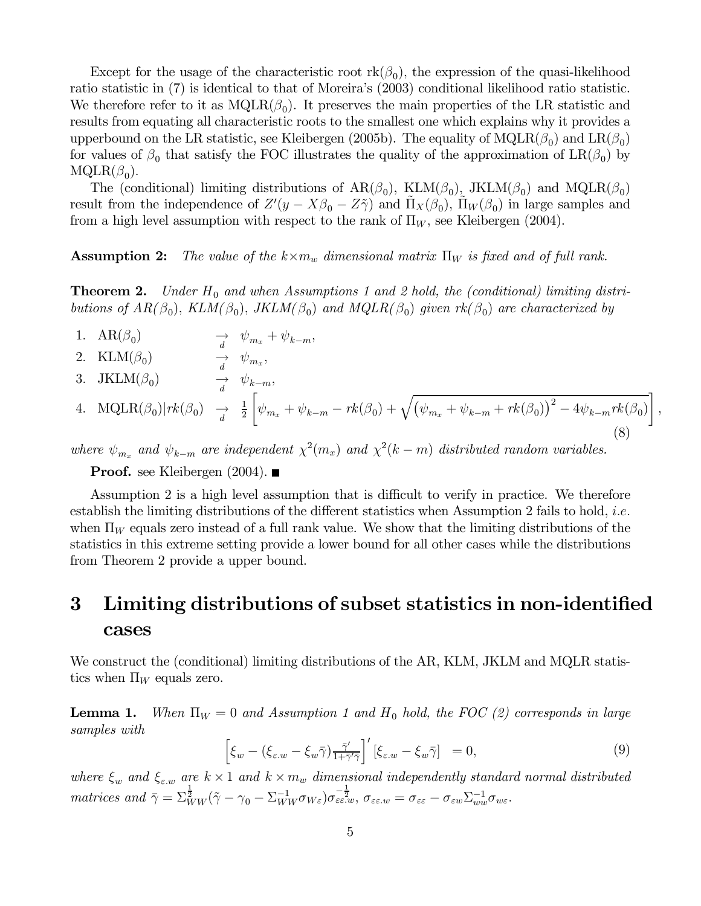Except for the usage of the characteristic root  $\text{rk}(\beta_0)$ , the expression of the quasi-likelihood ratio statistic in (7) is identical to that of Moreira's (2003) conditional likelihood ratio statistic. We therefore refer to it as  $MQLR(\beta_0)$ . It preserves the main properties of the LR statistic and results from equating all characteristic roots to the smallest one which explains why it provides a upperbound on the LR statistic, see Kleibergen (2005b). The equality of  $MQLR(\beta_0)$  and  $LR(\beta_0)$ for values of  $\beta_0$  that satisfy the FOC illustrates the quality of the approximation of  $LR(\beta_0)$  by  $MQLR(\beta_0)$ .

The (conditional) limiting distributions of  $AR(\beta_0)$ ,  $KLM(\beta_0)$ ,  $JKLM(\beta_0)$  and  $MQLR(\beta_0)$ result from the independence of  $Z'(y - X\beta_0 - Z\tilde{\gamma})$  and  $\tilde{\Pi}_X(\beta_0)$ ,  $\tilde{\Pi}_W(\beta_0)$  in large samples and from a high level assumption with respect to the rank of  $\Pi_W$ , see Kleibergen (2004).

**Assumption 2:** The value of the  $k \times m_w$  dimensional matrix  $\Pi_W$  is fixed and of full rank.

**Theorem 2.** Under  $H_0$  and when Assumptions 1 and 2 hold, the (conditional) limiting distributions of  $AR(\beta_0)$ ,  $KLM(\beta_0)$ ,  $JKLM(\beta_0)$  and  $MQLR(\beta_0)$  given  $rk(\beta_0)$  are characterized by

- 1.  $AR(\beta_0)$   $\rightarrow \psi_{m_x} + \psi_{k-m}$ ,
- 2. KLM( $\beta_0$ )  $\rightarrow \psi_{m_x}$ ,
- 3. JKLM( $\beta_0$ )  $\rightarrow \psi_{k-m}$ ,

4. 
$$
\text{MQLR}(\beta_0) | rk(\beta_0) \rightarrow \frac{1}{d} \left[ \psi_{m_x} + \psi_{k-m} - rk(\beta_0) + \sqrt{(\psi_{m_x} + \psi_{k-m} + rk(\beta_0))^2 - 4\psi_{k-m} rk(\beta_0)} \right],
$$
\n(8)

where  $\psi_{m_x}$  and  $\psi_{k-m}$  are independent  $\chi^2(m_x)$  and  $\chi^2(k-m)$  distributed random variables.

**Proof.** see Kleibergen  $(2004)$ .

Assumption 2 is a high level assumption that is difficult to verify in practice. We therefore establish the limiting distributions of the different statistics when Assumption 2 fails to hold, i.e. when  $\Pi_W$  equals zero instead of a full rank value. We show that the limiting distributions of the statistics in this extreme setting provide a lower bound for all other cases while the distributions from Theorem 2 provide a upper bound.

# 3 Limiting distributions of subset statistics in non-identified cases

We construct the (conditional) limiting distributions of the AR, KLM, JKLM and MQLR statistics when  $\Pi_W$  equals zero.

**Lemma 1.** When  $\Pi_W = 0$  and Assumption 1 and  $H_0$  hold, the FOC (2) corresponds in large samples with

$$
\left[\xi_w - (\xi_{\varepsilon,w} - \xi_w \bar{\gamma}) \frac{\bar{\gamma}'}{1 + \bar{\gamma}' \bar{\gamma}}\right]' [\xi_{\varepsilon,w} - \xi_w \bar{\gamma}] = 0, \tag{9}
$$

where  $\xi_w$  and  $\xi_{\varepsilon,w}$  are  $k \times 1$  and  $k \times m_w$  dimensional independently standard normal distributed matrices and  $\bar{\gamma} = \sum_{WW}^{\frac{1}{2}} (\tilde{\gamma} - \gamma_0 - \sum_{WW}^{-1} \sigma_{W_{\varepsilon}}) \sigma_{\varepsilon \varepsilon \cdot w}^{-\frac{1}{2}}, \sigma_{\varepsilon \varepsilon \cdot w} = \sigma_{\varepsilon \varepsilon} - \sigma_{\varepsilon w} \sum_{ww}^{-1} \sigma_{w \varepsilon}.$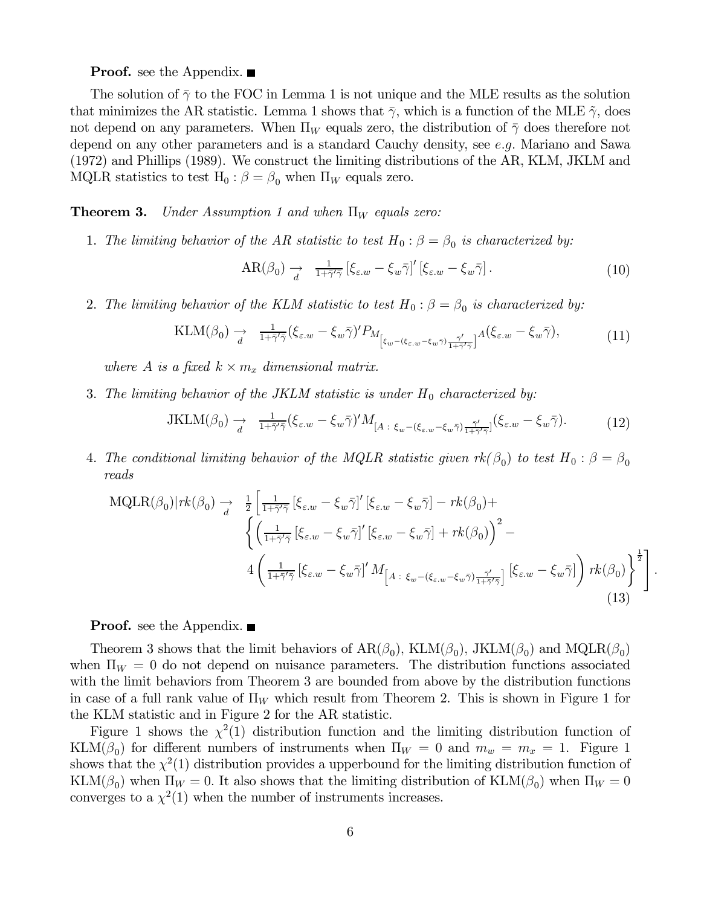#### **Proof.** see the Appendix. ■

The solution of  $\bar{\gamma}$  to the FOC in Lemma 1 is not unique and the MLE results as the solution that minimizes the AR statistic. Lemma 1 shows that  $\bar{\gamma}$ , which is a function of the MLE  $\tilde{\gamma}$ , does not depend on any parameters. When  $\Pi_W$  equals zero, the distribution of  $\bar{\gamma}$  does therefore not depend on any other parameters and is a standard Cauchy density, see e.g. Mariano and Sawa (1972) and Phillips (1989). We construct the limiting distributions of the AR, KLM, JKLM and MQLR statistics to test H<sub>0</sub> :  $\beta = \beta_0$  when  $\Pi_W$  equals zero.

#### **Theorem 3.** Under Assumption 1 and when  $\Pi_W$  equals zero:

1. The limiting behavior of the AR statistic to test  $H_0$ :  $\beta = \beta_0$  is characterized by:

$$
AR(\beta_0) \to \frac{1}{d} \left[ \xi_{\varepsilon,w} - \xi_w \bar{\gamma} \right]' \left[ \xi_{\varepsilon,w} - \xi_w \bar{\gamma} \right]. \tag{10}
$$

.

2. The limiting behavior of the KLM statistic to test  $H_0$ :  $\beta = \beta_0$  is characterized by:

$$
\text{KLM}(\beta_0) \xrightarrow[d]{} \frac{1}{1 + \bar{\gamma}'\bar{\gamma}} (\xi_{\varepsilon,w} - \xi_w \bar{\gamma})' P_{M_{\left[\xi_w - (\xi_{\varepsilon,w} - \xi_w \bar{\gamma}) \frac{\bar{\gamma}'}{1 + \bar{\gamma}'\bar{\gamma}}\right]} A(\xi_{\varepsilon,w} - \xi_w \bar{\gamma}), \tag{11}
$$

where A is a fixed  $k \times m_x$  dimensional matrix.

3. The limiting behavior of the JKLM statistic is under  $H_0$  characterized by:

$$
JKLM(\beta_0) \to \frac{1}{d} \overline{1+\bar{\gamma'}\bar{\gamma}} (\xi_{\varepsilon,w} - \xi_w \bar{\gamma})' M_{[A:\xi_w - (\xi_{\varepsilon,w} - \xi_w \bar{\gamma})\frac{\bar{\gamma'}}{1+\bar{\gamma'}\bar{\gamma}}]} (\xi_{\varepsilon,w} - \xi_w \bar{\gamma}). \tag{12}
$$

4. The conditional limiting behavior of the MQLR statistic given  $rk(\beta_0)$  to test  $H_0: \beta = \beta_0$ reads

$$
\text{MQLR}(\beta_0) | rk(\beta_0) \rightarrow \frac{1}{d} \left[ \frac{1}{1 + \bar{\gamma}' \bar{\gamma}} \left[ \xi_{\varepsilon, w} - \xi_w \bar{\gamma} \right]' \left[ \xi_{\varepsilon, w} - \xi_w \bar{\gamma} \right] - rk(\beta_0) + \left\{ \left( \frac{1}{1 + \bar{\gamma}' \bar{\gamma}} \left[ \xi_{\varepsilon, w} - \xi_w \bar{\gamma} \right]' \left[ \xi_{\varepsilon, w} - \xi_w \bar{\gamma} \right] + rk(\beta_0) \right)^2 - 4 \left( \frac{1}{1 + \bar{\gamma}' \bar{\gamma}} \left[ \xi_{\varepsilon, w} - \xi_w \bar{\gamma} \right]' M_{\left[ A + \xi_w - (\xi_{\varepsilon, w} - \xi_w \bar{\gamma}) \frac{\bar{\gamma}'}{1 + \bar{\gamma}' \bar{\gamma}} \right]} \left[ \xi_{\varepsilon, w} - \xi_w \bar{\gamma} \right] \right) rk(\beta_0) \right\}^{\frac{1}{2}}
$$
\n(13)

**Proof.** see the Appendix. ■

Theorem 3 shows that the limit behaviors of  $AR(\beta_0)$ ,  $KLM(\beta_0)$ ,  $JKLM(\beta_0)$  and  $MQLR(\beta_0)$ when  $\Pi_W = 0$  do not depend on nuisance parameters. The distribution functions associated with the limit behaviors from Theorem 3 are bounded from above by the distribution functions in case of a full rank value of  $\Pi_W$  which result from Theorem 2. This is shown in Figure 1 for the KLM statistic and in Figure 2 for the AR statistic.

Figure 1 shows the  $\chi^2(1)$  distribution function and the limiting distribution function of KLM( $\beta_0$ ) for different numbers of instruments when  $\Pi_W = 0$  and  $m_w = m_x = 1$ . Figure 1 shows that the  $\chi^2(1)$  distribution provides a upperbound for the limiting distribution function of KLM( $\beta_0$ ) when  $\Pi_W = 0$ . It also shows that the limiting distribution of KLM( $\beta_0$ ) when  $\Pi_W = 0$ converges to a  $\chi^2(1)$  when the number of instruments increases.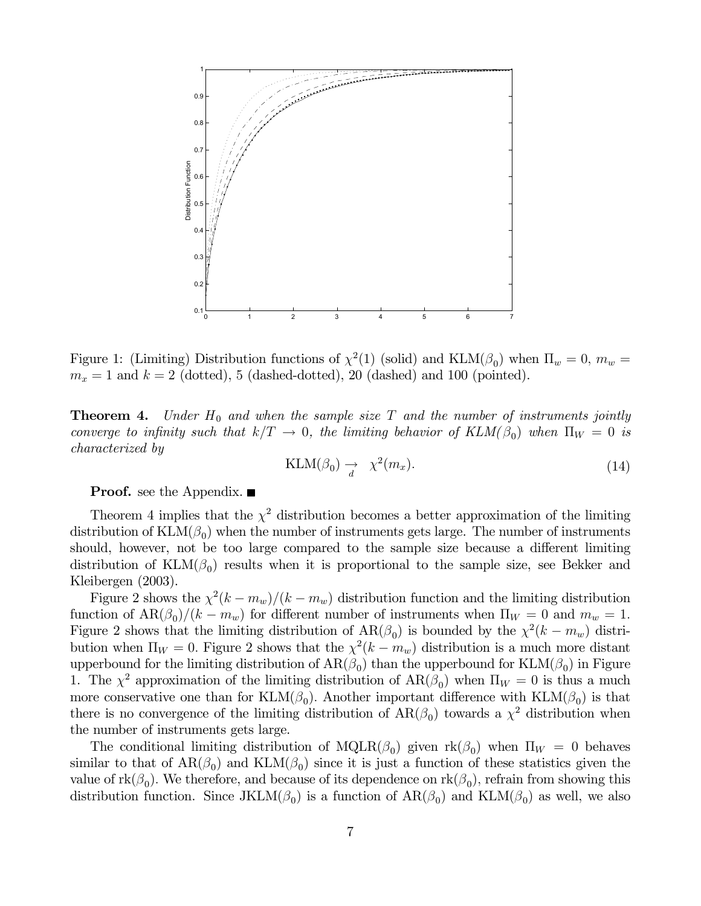

Figure 1: (Limiting) Distribution functions of  $\chi^2(1)$  (solid) and KLM( $\beta_0$ ) when  $\Pi_w = 0$ ,  $m_w =$  $m_x = 1$  and  $k = 2$  (dotted), 5 (dashed-dotted), 20 (dashed) and 100 (pointed).

**Theorem 4.** Under  $H_0$  and when the sample size  $T$  and the number of instruments jointly converge to infinity such that  $k/T \to 0$ , the limiting behavior of  $KLM(\beta_0)$  when  $\Pi_W = 0$  is characterized by

$$
KLM(\beta_0) \to \chi^2(m_x). \tag{14}
$$

**Proof.** see the Appendix. ■

Theorem 4 implies that the  $\chi^2$  distribution becomes a better approximation of the limiting distribution of  $\text{KLM}(\beta_0)$  when the number of instruments gets large. The number of instruments should, however, not be too large compared to the sample size because a different limiting distribution of  $KLM(\beta_0)$  results when it is proportional to the sample size, see Bekker and Kleibergen (2003).

Figure 2 shows the  $\chi^2(k - m_w)/(k - m_w)$  distribution function and the limiting distribution function of  $AR(\beta_0)/(k - m_w)$  for different number of instruments when  $\Pi_W = 0$  and  $m_w = 1$ . Figure 2 shows that the limiting distribution of  $AR(\beta_0)$  is bounded by the  $\chi^2(k - m_w)$  distribution when  $\Pi_W = 0$ . Figure 2 shows that the  $\chi^2(k - m_w)$  distribution is a much more distant upperbound for the limiting distribution of  $AR(\beta_0)$  than the upperbound for  $KLM(\beta_0)$  in Figure 1. The  $\chi^2$  approximation of the limiting distribution of  $AR(\beta_0)$  when  $\Pi_W = 0$  is thus a much more conservative one than for KLM( $\beta_0$ ). Another important difference with KLM( $\beta_0$ ) is that there is no convergence of the limiting distribution of  $AR(\beta_0)$  towards a  $\chi^2$  distribution when the number of instruments gets large.

The conditional limiting distribution of  $MQLR(\beta_0)$  given  $rk(\beta_0)$  when  $\Pi_W = 0$  behaves similar to that of  $AR(\beta_0)$  and  $KLM(\beta_0)$  since it is just a function of these statistics given the value of  $rk(\beta_0)$ . We therefore, and because of its dependence on  $rk(\beta_0)$ , refrain from showing this distribution function. Since JKLM( $\beta_0$ ) is a function of  $AR(\beta_0)$  and  $KLM(\beta_0)$  as well, we also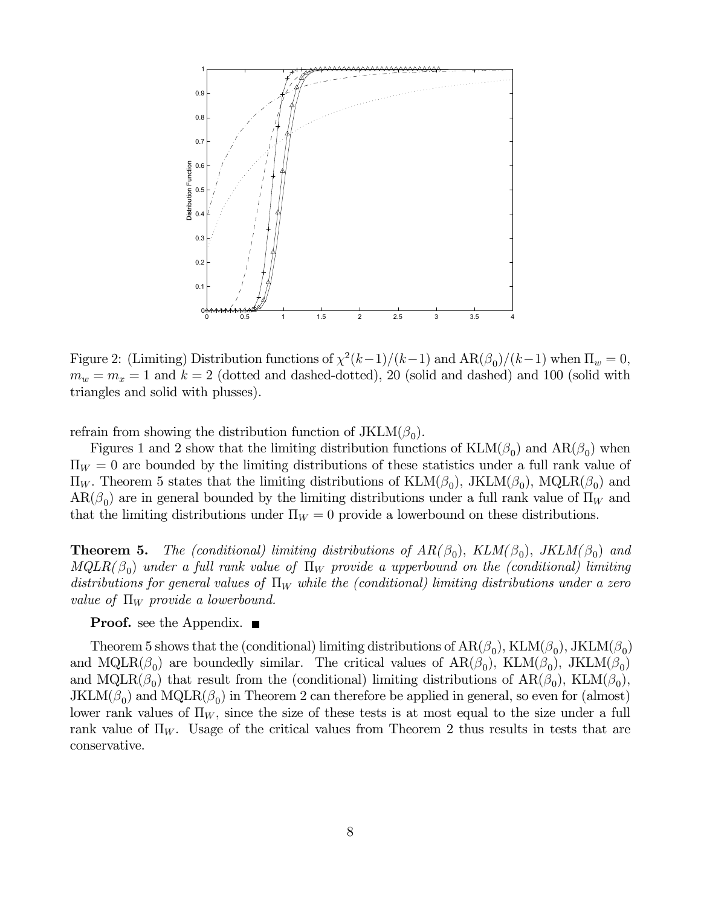

Figure 2: (Limiting) Distribution functions of  $\chi^2(k-1)/(k-1)$  and  $AR(\beta_0)/(k-1)$  when  $\Pi_w = 0$ ,  $m_w = m_x = 1$  and  $k = 2$  (dotted and dashed-dotted), 20 (solid and dashed) and 100 (solid with triangles and solid with plusses).

refrain from showing the distribution function of  $JKLM(\beta_0)$ .

Figures 1 and 2 show that the limiting distribution functions of  $\text{KLM}(\beta_0)$  and  $\text{AR}(\beta_0)$  when  $\Pi_W = 0$  are bounded by the limiting distributions of these statistics under a full rank value of  $\Pi_W$ . Theorem 5 states that the limiting distributions of  $\text{KLM}(\beta_0)$ ,  $\text{JKLM}(\beta_0)$ ,  $\text{MQLR}(\beta_0)$  and  $AR(\beta_0)$  are in general bounded by the limiting distributions under a full rank value of  $\Pi_W$  and that the limiting distributions under  $\Pi_W = 0$  provide a lowerbound on these distributions.

**Theorem 5.** The (conditional) limiting distributions of  $AR(\beta_0)$ ,  $KLM(\beta_0)$ ,  $JKLM(\beta_0)$  and  $MQLR(\beta_0)$  under a full rank value of  $\Pi_W$  provide a upperbound on the (conditional) limiting distributions for general values of  $\Pi_W$  while the (conditional) limiting distributions under a zero value of  $\Pi_W$  provide a lowerbound.

**Proof.** see the Appendix. ■

Theorem 5 shows that the (conditional) limiting distributions of  $AR(\beta_0)$ ,  $KLM(\beta_0)$ ,  $JKLM(\beta_0)$ and MQLR( $\beta_0$ ) are boundedly similar. The critical values of  $AR(\beta_0)$ ,  $KLM(\beta_0)$ ,  $JKLM(\beta_0)$ and MQLR( $\beta_0$ ) that result from the (conditional) limiting distributions of AR( $\beta_0$ ), KLM( $\beta_0$ ),  $JKLM(\beta_0)$  and  $MQLR(\beta_0)$  in Theorem 2 can therefore be applied in general, so even for (almost) lower rank values of  $\Pi_W$ , since the size of these tests is at most equal to the size under a full rank value of  $\Pi_W$ . Usage of the critical values from Theorem 2 thus results in tests that are conservative.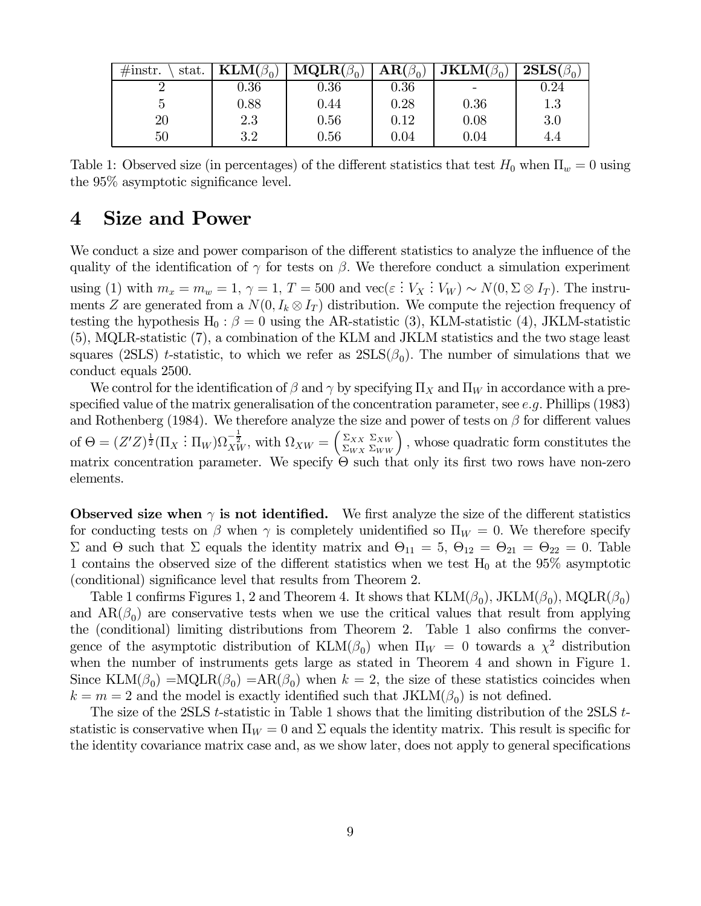| $\#$ instr.<br>stat. | $\text{KLM}(\beta_0)$ | $\textbf{MQLR}(\beta_0)$ | $AR(\beta_0)$ | $\mathbf{JKLM}(\beta_0)$ | $2SLS(\beta_0)$ |
|----------------------|-----------------------|--------------------------|---------------|--------------------------|-----------------|
|                      | 0.36                  | $0.36\,$                 | 0.36          |                          | $\rm 0.24$      |
|                      | 0.88                  | $0.44\,$                 | 0.28          | 0.36                     | $1.3\,$         |
| $20\,$               | 2.3                   | 0.56                     | 0.12          | 0.08                     | 3.0             |
| 50                   | 3.2                   | 0.56                     | 0.04          | 0.04                     | 4.4             |

Table 1: Observed size (in percentages) of the different statistics that test  $H_0$  when  $\Pi_w = 0$  using the 95% asymptotic significance level.

# 4 Size and Power

We conduct a size and power comparison of the different statistics to analyze the influence of the quality of the identification of  $\gamma$  for tests on  $\beta$ . We therefore conduct a simulation experiment using (1) with  $m_x = m_w = 1$ ,  $\gamma = 1$ ,  $T = 500$  and  $\text{vec}(\varepsilon : V_X : V_W) \sim N(0, \Sigma \otimes I_T)$ . The instruments Z are generated from a  $N(0, I_k \otimes I_T)$  distribution. We compute the rejection frequency of testing the hypothesis H<sub>0</sub> :  $\beta = 0$  using the AR-statistic (3), KLM-statistic (4), JKLM-statistic (5), MQLR-statistic (7), a combination of the KLM and JKLM statistics and the two stage least squares (2SLS) t-statistic, to which we refer as  $2SLS(\beta_0)$ . The number of simulations that we conduct equals 2500.

We control for the identification of  $\beta$  and  $\gamma$  by specifying  $\Pi_X$  and  $\Pi_W$  in accordance with a prespecified value of the matrix generalisation of the concentration parameter, see e.g. Phillips (1983) and Rothenberg (1984). We therefore analyze the size and power of tests on  $\beta$  for different values of  $\Theta = (Z'Z)^{\frac{1}{2}}(\Pi_X : \Pi_W)\Omega_{XW}^{-\frac{1}{2}}$ , with  $\Omega_{XW} = \begin{pmatrix} \Sigma_{XX} \\ \Sigma_{WX} \end{pmatrix}$  $\Sigma_{WX}$  $\sum_{\text{X}WW}^{\Sigma_{XW}}$ , whose quadratic form constitutes the matrix concentration parameter. We specify  $\Theta$  such that only its first two rows have non-zero elements.

Observed size when  $\gamma$  is not identified. We first analyze the size of the different statistics for conducting tests on  $\beta$  when  $\gamma$  is completely unidentified so  $\Pi_W = 0$ . We therefore specify Σ and Θ such that Σ equals the identity matrix and  $\Theta_{11} = 5$ ,  $\Theta_{12} = \Theta_{21} = \Theta_{22} = 0$ . Table 1 contains the observed size of the different statistics when we test  $H_0$  at the 95% asymptotic (conditional) significance level that results from Theorem 2.

Table 1 confirms Figures 1, 2 and Theorem 4. It shows that  $KLM(\beta_0)$ , JKLM $(\beta_0)$ , MQLR $(\beta_0)$ and  $AR(\beta_0)$  are conservative tests when we use the critical values that result from applying the (conditional) limiting distributions from Theorem 2. Table 1 also confirms the convergence of the asymptotic distribution of  $KLM(\beta_0)$  when  $\Pi_W = 0$  towards a  $\chi^2$  distribution when the number of instruments gets large as stated in Theorem 4 and shown in Figure 1. Since  $\text{KLM}(\beta_0) = \text{MQLR}(\beta_0) = \text{AR}(\beta_0)$  when  $k = 2$ , the size of these statistics coincides when  $k = m = 2$  and the model is exactly identified such that  $JKLM(\beta_0)$  is not defined.

The size of the 2SLS t-statistic in Table 1 shows that the limiting distribution of the 2SLS tstatistic is conservative when  $\Pi_W = 0$  and  $\Sigma$  equals the identity matrix. This result is specific for the identity covariance matrix case and, as we show later, does not apply to general specifications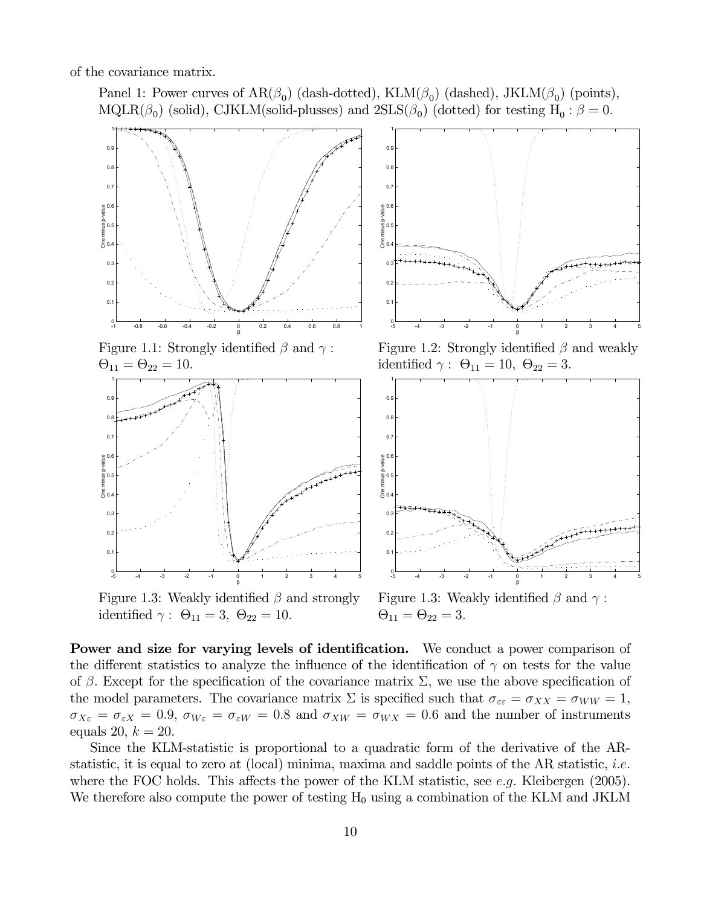of the covariance matrix.

Panel 1: Power curves of  $AR(\beta_0)$  (dash-dotted),  $KLM(\beta_0)$  (dashed), JKLM( $\beta_0$ ) (points), MQLR( $\beta_0$ ) (solid), CJKLM(solid-plusses) and  $2SLS(\beta_0)$  (dotted) for testing  $H_0 : \beta = 0$ .



Figure 1.3: Weakly identified  $\beta$  and strongly Figure 1.3: Weakly identified  $\beta$  and  $\gamma$ : identified  $\gamma: \Theta_{11} = 3, \ \Theta_{22} = 10.$   $\Theta_{11} = \Theta_{22} = 3.$ 

Power and size for varying levels of identification. We conduct a power comparison of the different statistics to analyze the influence of the identification of  $\gamma$  on tests for the value of β. Except for the specification of the covariance matrix  $\Sigma$ , we use the above specification of the model parameters. The covariance matrix  $\Sigma$  is specified such that  $\sigma_{\varepsilon\varepsilon} = \sigma_{XX} = \sigma_{WW} = 1$ ,  $\sigma_{X\epsilon} = \sigma_{\epsilon X} = 0.9$ ,  $\sigma_{W\epsilon} = \sigma_{\epsilon W} = 0.8$  and  $\sigma_{XW} = \sigma_{WX} = 0.6$  and the number of instruments equals 20,  $k = 20$ .

Since the KLM-statistic is proportional to a quadratic form of the derivative of the ARstatistic, it is equal to zero at (local) minima, maxima and saddle points of the AR statistic, *i.e.* where the FOC holds. This affects the power of the KLM statistic, see e.g. Kleibergen (2005). We therefore also compute the power of testing  $H_0$  using a combination of the KLM and JKLM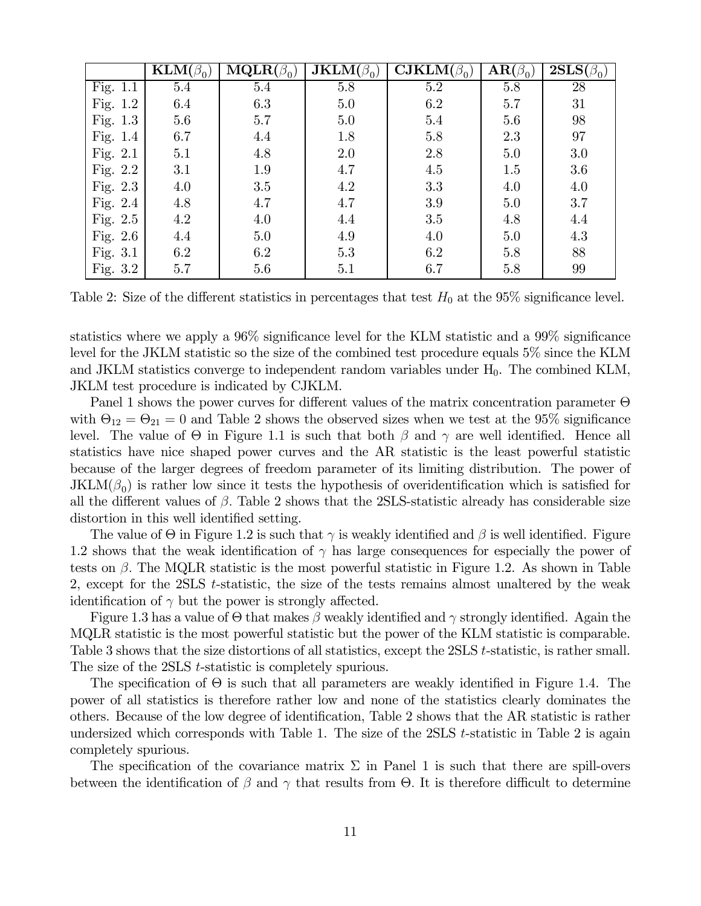|            | $\mathbf{KLM}(\beta_0)$ | $\mathbf{MQLR}(\beta_0)$ | $\overline{\mathbf{JKLM}}(\beta_0)$ | $\overline{\textbf{CJKLM}}(\beta_0)$ | $\mathbf{AR}(\beta_0)$ | $\overline{\textbf{2SLS}}(\beta_0)$ |
|------------|-------------------------|--------------------------|-------------------------------------|--------------------------------------|------------------------|-------------------------------------|
| Fig. 1.1   | $5.4\,$                 | $5.4\,$                  | $5.8\,$                             | $5.2\,$                              | 5.8                    | 28                                  |
| Fig. 1.2   | 6.4                     | 6.3                      | 5.0                                 | 6.2                                  | 5.7                    | 31                                  |
| Fig. 1.3   | 5.6                     | 5.7                      | 5.0                                 | $5.4\,$                              | 5.6                    | 98                                  |
| Fig. 1.4   | 6.7                     | 4.4                      | 1.8                                 | 5.8                                  | 2.3                    | 97                                  |
| Fig. 2.1   | 5.1                     | 4.8                      | 2.0                                 | 2.8                                  | 5.0                    | 3.0                                 |
| Fig. 2.2   | 3.1                     | 1.9                      | 4.7                                 | 4.5                                  | 1.5                    | 3.6                                 |
| Fig. 2.3   | 4.0                     | 3.5                      | 4.2                                 | 3.3                                  | 4.0                    | 4.0                                 |
| Fig. 2.4   | 4.8                     | 4.7                      | 4.7                                 | 3.9                                  | 5.0                    | 3.7                                 |
| Fig. 2.5   | 4.2                     | 4.0                      | 4.4                                 | 3.5                                  | 4.8                    | 4.4                                 |
| Fig. $2.6$ | 4.4                     | 5.0                      | 4.9                                 | 4.0                                  | 5.0                    | 4.3                                 |
| Fig. 3.1   | 6.2                     | 6.2                      | 5.3                                 | 6.2                                  | 5.8                    | 88                                  |
| Fig. 3.2   | 5.7                     | 5.6                      | 5.1                                 | 6.7                                  | 5.8                    | 99                                  |

Table 2: Size of the different statistics in percentages that test  $H_0$  at the 95% significance level.

statistics where we apply a 96% significance level for the KLM statistic and a 99% significance level for the JKLM statistic so the size of the combined test procedure equals 5% since the KLM and JKLM statistics converge to independent random variables under  $H_0$ . The combined KLM, JKLM test procedure is indicated by CJKLM.

Panel 1 shows the power curves for different values of the matrix concentration parameter Θ with  $\Theta_{12} = \Theta_{21} = 0$  and Table 2 shows the observed sizes when we test at the 95% significance level. The value of  $\Theta$  in Figure 1.1 is such that both  $\beta$  and  $\gamma$  are well identified. Hence all statistics have nice shaped power curves and the AR statistic is the least powerful statistic because of the larger degrees of freedom parameter of its limiting distribution. The power of  $JKLM(\beta_0)$  is rather low since it tests the hypothesis of overidentification which is satisfied for all the different values of  $\beta$ . Table 2 shows that the 2SLS-statistic already has considerable size distortion in this well identified setting.

The value of  $\Theta$  in Figure 1.2 is such that  $\gamma$  is weakly identified and  $\beta$  is well identified. Figure 1.2 shows that the weak identification of  $\gamma$  has large consequences for especially the power of tests on  $\beta$ . The MQLR statistic is the most powerful statistic in Figure 1.2. As shown in Table 2, except for the 2SLS t-statistic, the size of the tests remains almost unaltered by the weak identification of  $\gamma$  but the power is strongly affected.

Figure 1.3 has a value of  $\Theta$  that makes  $\beta$  weakly identified and  $\gamma$  strongly identified. Again the MQLR statistic is the most powerful statistic but the power of the KLM statistic is comparable. Table 3 shows that the size distortions of all statistics, except the 2SLS t-statistic, is rather small. The size of the 2SLS *t*-statistic is completely spurious.

The specification of  $\Theta$  is such that all parameters are weakly identified in Figure 1.4. The power of all statistics is therefore rather low and none of the statistics clearly dominates the others. Because of the low degree of identification, Table 2 shows that the AR statistic is rather undersized which corresponds with Table 1. The size of the 2SLS t-statistic in Table 2 is again completely spurious.

The specification of the covariance matrix  $\Sigma$  in Panel 1 is such that there are spill-overs between the identification of  $\beta$  and  $\gamma$  that results from  $\Theta$ . It is therefore difficult to determine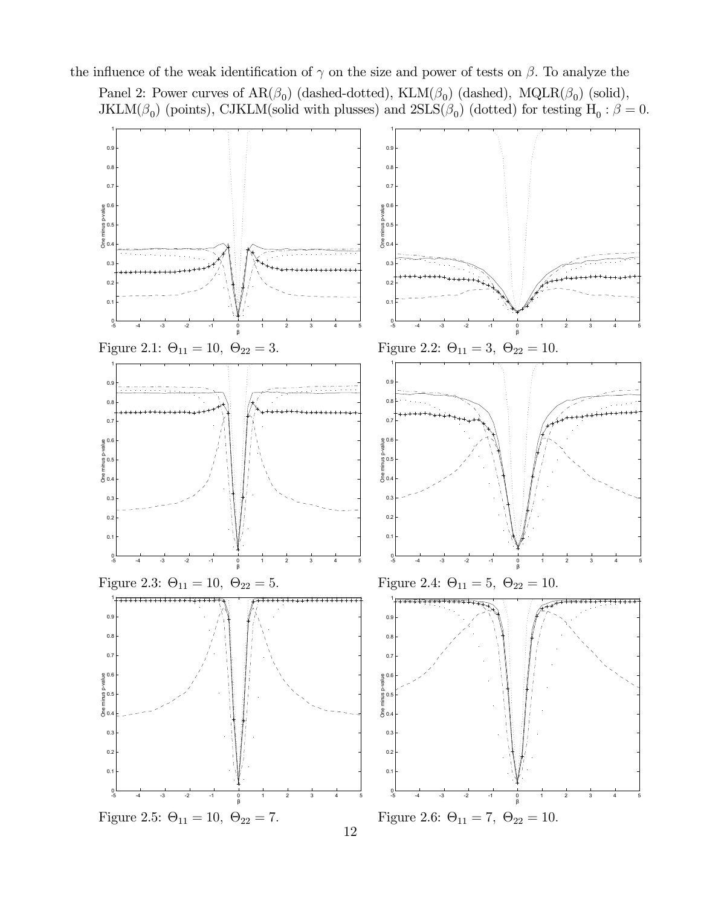the influence of the weak identification of  $\gamma$  on the size and power of tests on  $\beta$ . To analyze the

Panel 2: Power curves of  $AR(\beta_0)$  (dashed-dotted),  $KLM(\beta_0)$  (dashed),  $MQLR(\beta_0)$  (solid), JKLM( $\beta_0$ ) (points), CJKLM(solid with plusses) and  $2SLS(\beta_0)$  (dotted) for testing  $H_0: \beta = 0$ .

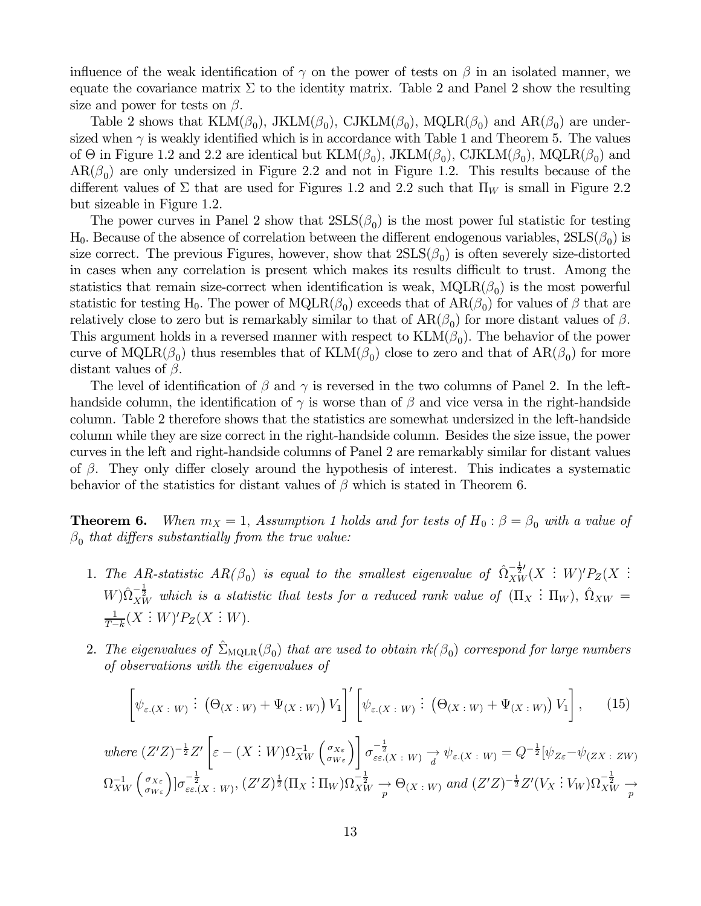influence of the weak identification of  $\gamma$  on the power of tests on  $\beta$  in an isolated manner, we equate the covariance matrix  $\Sigma$  to the identity matrix. Table 2 and Panel 2 show the resulting size and power for tests on  $\beta$ .

Table 2 shows that  $KLM(\beta_0)$ , JKLM( $\beta_0$ ), CJKLM( $\beta_0$ ), MQLR( $\beta_0$ ) and AR( $\beta_0$ ) are undersized when  $\gamma$  is weakly identified which is in accordance with Table 1 and Theorem 5. The values of  $\Theta$  in Figure 1.2 and 2.2 are identical but  $KLM(\beta_0)$ , JKLM $(\beta_0)$ , CJKLM $(\beta_0)$ , MQLR $(\beta_0)$  and  $AR(\beta_0)$  are only undersized in Figure 2.2 and not in Figure 1.2. This results because of the different values of  $\Sigma$  that are used for Figures 1.2 and 2.2 such that  $\Pi_W$  is small in Figure 2.2 but sizeable in Figure 1.2.

The power curves in Panel 2 show that  $2SLS(\beta_0)$  is the most power ful statistic for testing  $H_0$ . Because of the absence of correlation between the different endogenous variables,  $2SLS(\beta_0)$  is size correct. The previous Figures, however, show that  $2SLS(\beta_0)$  is often severely size-distorted in cases when any correlation is present which makes its results difficult to trust. Among the statistics that remain size-correct when identification is weak,  $MQLR(\beta_0)$  is the most powerful statistic for testing H<sub>0</sub>. The power of MQLR( $\beta_0$ ) exceeds that of AR( $\beta_0$ ) for values of  $\beta$  that are relatively close to zero but is remarkably similar to that of  $AR(\beta_0)$  for more distant values of  $\beta$ . This argument holds in a reversed manner with respect to  $KLM(\beta_0)$ . The behavior of the power curve of MQLR( $\beta_0$ ) thus resembles that of KLM( $\beta_0$ ) close to zero and that of AR( $\beta_0$ ) for more distant values of  $\beta$ .

The level of identification of  $\beta$  and  $\gamma$  is reversed in the two columns of Panel 2. In the lefthandside column, the identification of  $\gamma$  is worse than of  $\beta$  and vice versa in the right-handside column. Table 2 therefore shows that the statistics are somewhat undersized in the left-handside column while they are size correct in the right-handside column. Besides the size issue, the power curves in the left and right-handside columns of Panel 2 are remarkably similar for distant values of  $\beta$ . They only differ closely around the hypothesis of interest. This indicates a systematic behavior of the statistics for distant values of  $\beta$  which is stated in Theorem 6.

**Theorem 6.** When  $m_X = 1$ , Assumption 1 holds and for tests of  $H_0: \beta = \beta_0$  with a value of  $\beta_0$  that differs substantially from the true value:

- 1. The AR-statistic  $AR(\beta_0)$  is equal to the smallest eigenvalue of  $\hat{\Omega}_{XW}^{-\frac{1}{2}'}(X \div W)'P_Z(X \div W)$  $W) \hat{\Omega}_{XW}^{-\frac{1}{2}}$  which is a statistic that tests for a reduced rank value of  $(\Pi_X : \Pi_W)$ ,  $\hat{\Omega}_{XW} =$  $\frac{1}{T-k}(X:W)'P_Z(X:W).$
- 2. The eigenvalues of  $\Sigma_{\text{MQLR}}(\beta_0)$  that are used to obtain  $rk(\beta_0)$  correspond for large numbers of observations with the eigenvalues of

$$
\left[\psi_{\varepsilon,(X\; : \; W)}\; : \; \left(\Theta_{(X\; : \; W)} + \Psi_{(X\; : \; W)}\right)V_1\right]'\left[\psi_{\varepsilon,(X\; : \; W)}\; : \; \left(\Theta_{(X\; : \; W)} + \Psi_{(X\; : \; W)}\right)V_1\right],\tag{15}
$$

where 
$$
(Z'Z)^{-\frac{1}{2}}Z'\left[\varepsilon-(X:W)\Omega_{XW}^{-1}\left(\frac{\sigma_{X\varepsilon}}{\sigma_{W\varepsilon}}\right)\right]\sigma_{\varepsilon\varepsilon,(X:W)}^{-\frac{1}{2}}\to \psi_{\varepsilon,(X:W)} \to \psi_{\varepsilon,(X:W)} = Q^{-\frac{1}{2}}[\psi_{Z\varepsilon}-\psi_{(ZX:ZW)}
$$
  
\n $\Omega_{XW}^{-1}\left(\frac{\sigma_{X\varepsilon}}{\sigma_{W\varepsilon}}\right)]\sigma_{\varepsilon\varepsilon,(X:W)}^{-\frac{1}{2}}.$  (I1<sub>X</sub>: II<sub>W</sub>) $\Omega_{XW}^{-\frac{1}{2}} \to \Theta_{(X:W)}$  and  $(Z'Z)^{-\frac{1}{2}}Z'(V_X:V_W)\Omega_{XW}^{-\frac{1}{2}} \to$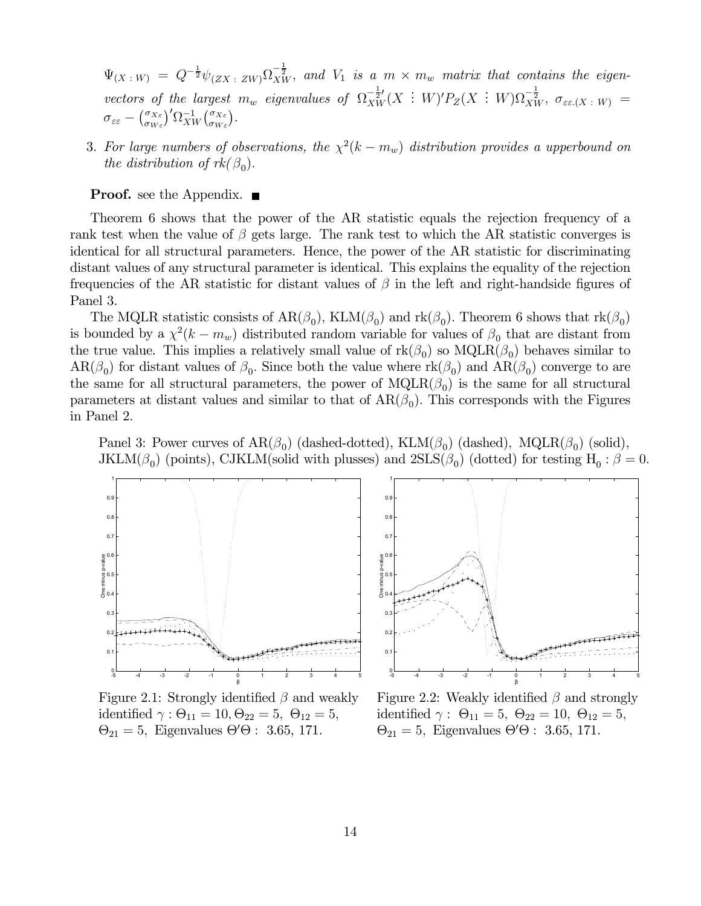$\Psi_{(X \; : \; W)} \; = \; Q^{-\frac{1}{2}} \psi_{(ZX \; : \; ZW)} \Omega^{-\frac{1}{2}}_{XW}, \; \textit{and} \; \; V_1 \; \; \textit{is} \; \; a \; \; m \times m_w \; \; \textit{matrix that contains the eigen-}$ vectors of the largest  $m_w$  eigenvalues of  $\Omega_{XW}^{-\frac{1}{2}}(X \,:\, W)'P_Z(X \,:\, W)\Omega_{XW}^{-\frac{1}{2}}, \sigma_{\varepsilon\varepsilon(X \,:\, W)}$  $\sigma_{\varepsilon\varepsilon} - \left(\frac{\sigma_{X\varepsilon}}{\sigma_{W\varepsilon}}\right)' \Omega_{XW}^{-1}\left(\frac{\sigma_{X\varepsilon}}{\sigma_{W\varepsilon}}\right).$ 

3. For large numbers of observations, the  $\chi^2(k - m_w)$  distribution provides a upperbound on the distribution of  $rk(\beta_0)$ .

#### **Proof.** see the Appendix. ■

Theorem 6 shows that the power of the AR statistic equals the rejection frequency of a rank test when the value of  $\beta$  gets large. The rank test to which the AR statistic converges is identical for all structural parameters. Hence, the power of the AR statistic for discriminating distant values of any structural parameter is identical. This explains the equality of the rejection frequencies of the AR statistic for distant values of  $\beta$  in the left and right-handside figures of Panel 3.

The MQLR statistic consists of  $AR(\beta_0)$ , KLM( $\beta_0$ ) and rk( $\beta_0$ ). Theorem 6 shows that rk( $\beta_0$ ) is bounded by a  $\chi^2(k - m_w)$  distributed random variable for values of  $\beta_0$  that are distant from the true value. This implies a relatively small value of  $rk(\beta_0)$  so  $MQLR(\beta_0)$  behaves similar to  $AR(\beta_0)$  for distant values of  $\beta_0$ . Since both the value where  $rk(\beta_0)$  and  $AR(\beta_0)$  converge to are the same for all structural parameters, the power of  $MQLR(\beta_0)$  is the same for all structural parameters at distant values and similar to that of  $AR(\beta_0)$ . This corresponds with the Figures in Panel 2.

Panel 3: Power curves of  $AR(\beta_0)$  (dashed-dotted), KLM( $\beta_0$ ) (dashed), MQLR( $\beta_0$ ) (solid), JKLM( $\beta_0$ ) (points), CJKLM(solid with plusses) and  $2SLS(\beta_0)$  (dotted) for testing H<sub>0</sub> :  $\beta = 0$ .



identified  $\gamma : \Theta_{11} = 10, \Theta_{22} = 5, \Theta_{12} = 5, \text{ identical } \gamma : \Theta_{11} = 5, \Theta_{22} = 10, \Theta_{12} = 5,$  $\Theta_{21} = 5$ , Eigenvalues  $\Theta' \Theta$ : 3.65, 171.



Figure 2.1: Strongly identified  $\beta$  and weakly Figure 2.2: Weakly identified  $\beta$  and strongly  $\Theta$ : 3.65, 171.  $\Theta_{21} = 5$ , Eigenvalues  $\Theta' \Theta$ : 3.65, 171.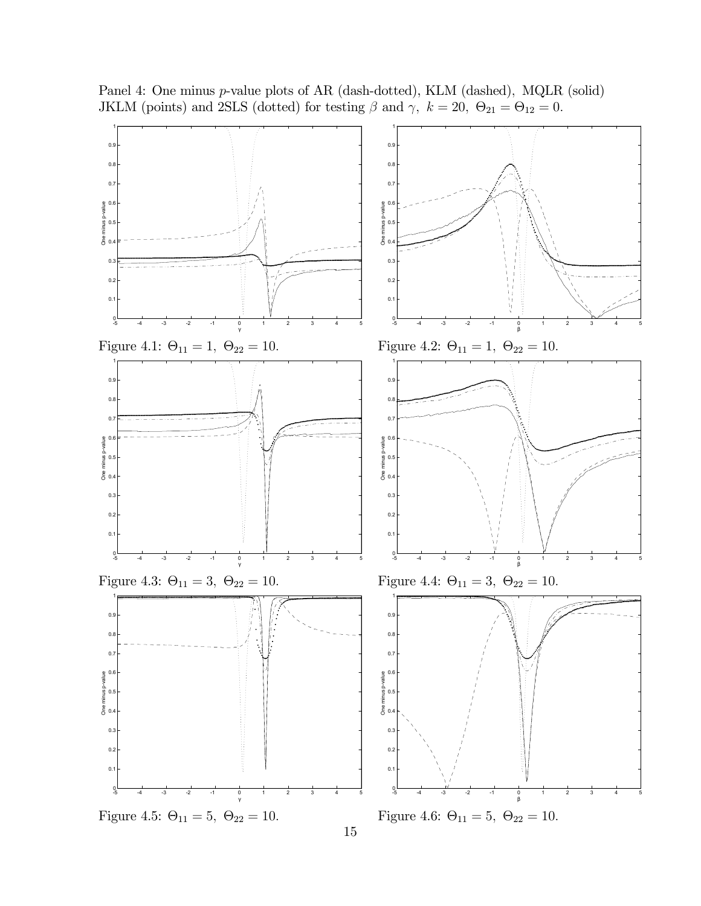Panel 4: One minus *p*-value plots of AR (dash-dotted), KLM (dashed), MQLR (solid) JKLM (points) and 2SLS (dotted) for testing  $\beta$  and  $\gamma$ ,  $k = 20$ ,  $\Theta_{21} = \Theta_{12} = 0$ .

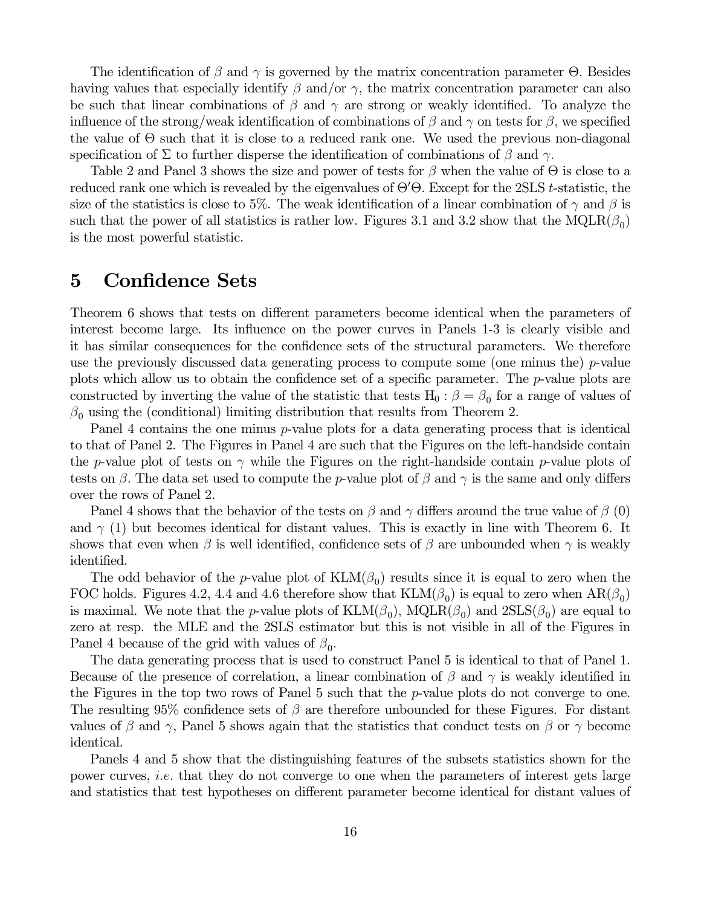The identification of  $\beta$  and  $\gamma$  is governed by the matrix concentration parameter  $\Theta$ . Besides having values that especially identify  $\beta$  and/or  $\gamma$ , the matrix concentration parameter can also be such that linear combinations of  $\beta$  and  $\gamma$  are strong or weakly identified. To analyze the influence of the strong/weak identification of combinations of  $\beta$  and  $\gamma$  on tests for  $\beta$ , we specified the value of  $\Theta$  such that it is close to a reduced rank one. We used the previous non-diagonal specification of  $\Sigma$  to further disperse the identification of combinations of  $\beta$  and  $\gamma$ .

Table 2 and Panel 3 shows the size and power of tests for  $\beta$  when the value of  $\Theta$  is close to a reduced rank one which is revealed by the eigenvalues of  $\Theta' \Theta$ . Except for the 2SLS t-statistic, the size of the statistics is close to 5%. The weak identification of a linear combination of  $\gamma$  and  $\beta$  is such that the power of all statistics is rather low. Figures 3.1 and 3.2 show that the  $MQLR(\beta_0)$ is the most powerful statistic.

## 5 Confidence Sets

Theorem 6 shows that tests on different parameters become identical when the parameters of interest become large. Its influence on the power curves in Panels 1-3 is clearly visible and it has similar consequences for the confidence sets of the structural parameters. We therefore use the previously discussed data generating process to compute some (one minus the) p-value plots which allow us to obtain the confidence set of a specific parameter. The p-value plots are constructed by inverting the value of the statistic that tests H<sub>0</sub> :  $\beta = \beta_0$  for a range of values of  $\beta_0$  using the (conditional) limiting distribution that results from Theorem 2.

Panel 4 contains the one minus p-value plots for a data generating process that is identical to that of Panel 2. The Figures in Panel 4 are such that the Figures on the left-handside contain the p-value plot of tests on  $\gamma$  while the Figures on the right-handside contain p-value plots of tests on  $\beta$ . The data set used to compute the p-value plot of  $\beta$  and  $\gamma$  is the same and only differs over the rows of Panel 2.

Panel 4 shows that the behavior of the tests on  $\beta$  and  $\gamma$  differs around the true value of  $\beta$  (0) and  $\gamma$  (1) but becomes identical for distant values. This is exactly in line with Theorem 6. It shows that even when  $\beta$  is well identified, confidence sets of  $\beta$  are unbounded when  $\gamma$  is weakly identified.

The odd behavior of the p-value plot of  $KLM(\beta_0)$  results since it is equal to zero when the FOC holds. Figures 4.2, 4.4 and 4.6 therefore show that  $KLM(\beta_0)$  is equal to zero when  $AR(\beta_0)$ is maximal. We note that the p-value plots of  $\text{KLM}(\beta_0)$ ,  $\text{MQLR}(\beta_0)$  and  $\text{2SLS}(\beta_0)$  are equal to zero at resp. the MLE and the 2SLS estimator but this is not visible in all of the Figures in Panel 4 because of the grid with values of  $\beta_0$ .

The data generating process that is used to construct Panel 5 is identical to that of Panel 1. Because of the presence of correlation, a linear combination of  $\beta$  and  $\gamma$  is weakly identified in the Figures in the top two rows of Panel 5 such that the p-value plots do not converge to one. The resulting 95% confidence sets of  $\beta$  are therefore unbounded for these Figures. For distant values of  $\beta$  and  $\gamma$ , Panel 5 shows again that the statistics that conduct tests on  $\beta$  or  $\gamma$  become identical.

Panels 4 and 5 show that the distinguishing features of the subsets statistics shown for the power curves, i.e. that they do not converge to one when the parameters of interest gets large and statistics that test hypotheses on different parameter become identical for distant values of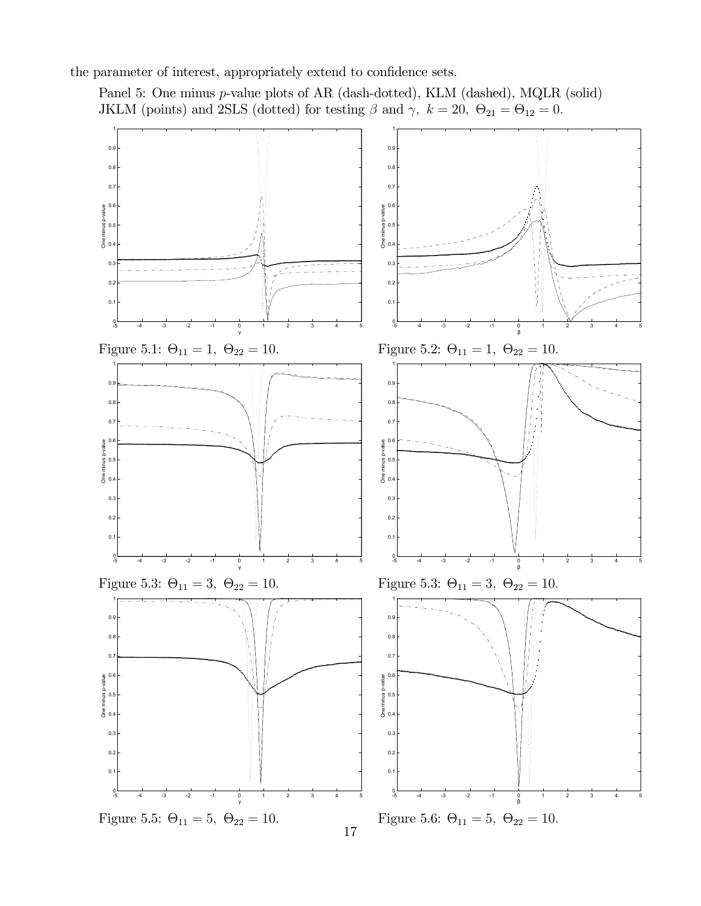the parameter of interest, appropriately extend to confidence sets.

Panel 5: One minus p-value plots of AR (dash-dotted), KLM (dashed), MQLR (solid) JKLM (points) and 2SLS (dotted) for testing  $\beta$  and  $\gamma$ ,  $k = 20$ ,  $\Theta_{21} = \Theta_{12} = 0$ .

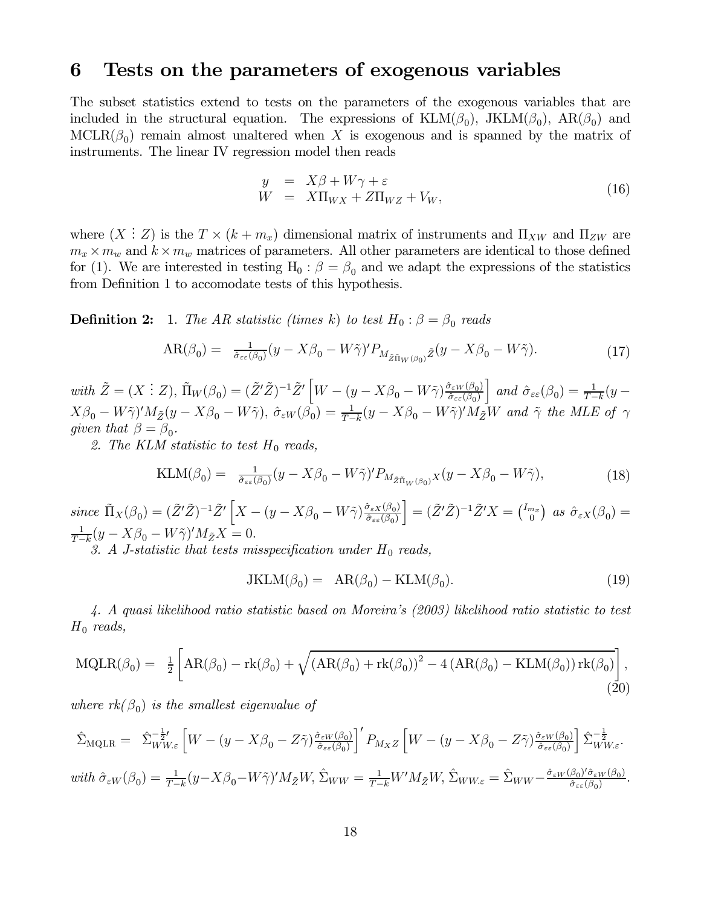# 6 Tests on the parameters of exogenous variables

The subset statistics extend to tests on the parameters of the exogenous variables that are included in the structural equation. The expressions of  $KLM(\beta_0)$ , J $KLM(\beta_0)$ , AR $(\beta_0)$  and  $MCLR(\beta_0)$  remain almost unaltered when X is exogenous and is spanned by the matrix of instruments. The linear IV regression model then reads

$$
y = X\beta + W\gamma + \varepsilon
$$
  
\n
$$
W = X\Pi_{WX} + Z\Pi_{WZ} + V_W,
$$
\n(16)

where  $(X : Z)$  is the  $T \times (k + m_x)$  dimensional matrix of instruments and  $\Pi_{XW}$  and  $\Pi_{ZW}$  are  $m_x \times m_w$  and  $k \times m_w$  matrices of parameters. All other parameters are identical to those defined for (1). We are interested in testing  $H_0$ :  $\beta = \beta_0$  and we adapt the expressions of the statistics from Definition 1 to accomodate tests of this hypothesis.

**Definition 2:** 1. The AR statistic (times k) to test  $H_0: \beta = \beta_0$  reads

$$
AR(\beta_0) = \frac{1}{\hat{\sigma}_{\varepsilon\varepsilon}(\beta_0)}(y - X\beta_0 - W\tilde{\gamma})' P_{M_{\tilde{Z}\tilde{\Pi}_W(\beta_0)}\tilde{Z}}(y - X\beta_0 - W\tilde{\gamma}).\tag{17}
$$

with  $\tilde{Z} = (X \vdots Z), \tilde{\Pi}_W(\beta_0) = (\tilde{Z}'\tilde{Z})^{-1}\tilde{Z}' \left[W - (y - X\beta_0 - W\tilde{\gamma})\frac{\hat{\sigma}_{\varepsilon W}(\beta_0)}{\hat{\sigma}_{\varepsilon\varepsilon}(\beta_0)}\right]$  $\Big]$  and  $\hat{\sigma}_{\varepsilon\varepsilon}(\beta_0) = \frac{1}{T-k}(y X\beta_0 - W\tilde{\gamma}$ <sup>'</sup> $M_{\tilde{Z}}(y - X\beta_0 - W\tilde{\gamma})$ ,  $\hat{\sigma}_{\varepsilon W}(\tilde{\beta_0}) = \frac{1}{T-k}(y - X\beta_0 - W\tilde{\gamma})'M_{\tilde{Z}}W$  and  $\tilde{\gamma}$  the MLE of  $\gamma$ given that  $\beta = \beta_0$ .

2. The KLM statistic to test  $H_0$  reads,

$$
KLM(\beta_0) = \frac{1}{\hat{\sigma}_{\varepsilon\varepsilon}(\beta_0)}(y - X\beta_0 - W\tilde{\gamma})' P_{M_{\tilde{Z}\tilde{\Pi}_W(\beta_0)}X}(y - X\beta_0 - W\tilde{\gamma}),\tag{18}
$$

since  $\tilde{\Pi}_X(\beta_0) = (\tilde{Z}'\tilde{Z})^{-1}\tilde{Z}'\left[X - (y - X\beta_0 - W\tilde{\gamma})\frac{\hat{\sigma}_{\varepsilon X}(\beta_0)}{\hat{\sigma}_{\varepsilon\varepsilon}(\beta_0)}\right]$  $\Big] = (\tilde{Z}'\tilde{Z})^{-1}\tilde{Z}'X = \begin{pmatrix} I_{m_x} \\ 0 \end{pmatrix}$  as  $\hat{\sigma}_{\varepsilon X}(\beta_0) =$  $\frac{1}{T-k}(y - X\beta_0 - W\tilde{\gamma})'M_{\tilde{Z}}X = 0.$ 

3. A J-statistic that tests misspecification under  $H_0$  reads,

$$
JKLM(\beta_0) = AR(\beta_0) - KLM(\beta_0). \tag{19}
$$

4. A quasi likelihood ratio statistic based on Moreira's (2003) likelihood ratio statistic to test  $H_0$  reads,

$$
MQLR(\beta_0) = \frac{1}{2} \left[ AR(\beta_0) - rk(\beta_0) + \sqrt{(AR(\beta_0) + rk(\beta_0))^2 - 4(R(\beta_0) - KLM(\beta_0))rk(\beta_0)} \right],
$$
\n(20)

where  $rk(\beta_0)$  is the smallest eigenvalue of

$$
\hat{\Sigma}_{\text{MQLR}} = \hat{\Sigma}_{WW\epsilon}^{-\frac{1}{2}'} \left[ W - (y - X\beta_0 - Z\tilde{\gamma}) \frac{\partial \varepsilon_W(\beta_0)}{\partial \varepsilon_{\varepsilon}(\beta_0)} \right]' P_{M_XZ} \left[ W - (y - X\beta_0 - Z\tilde{\gamma}) \frac{\partial \varepsilon_W(\beta_0)}{\partial \varepsilon_{\varepsilon}(\beta_0)} \right] \hat{\Sigma}_{WW\epsilon}^{-\frac{1}{2}}.
$$
\n
$$
\text{with } \hat{\sigma}_{\varepsilon W}(\beta_0) = \frac{1}{T - k} (y - X\beta_0 - W\tilde{\gamma})' M_{\tilde{Z}} W, \hat{\Sigma}_{WW} = \frac{1}{T - k} W' M_{\tilde{Z}} W, \hat{\Sigma}_{WW\epsilon} = \hat{\Sigma}_{WW} - \frac{\hat{\sigma}_{\varepsilon W}(\beta_0)' \hat{\sigma}_{\varepsilon W}(\beta_0)}{\hat{\sigma}_{\varepsilon\epsilon}(\beta_0)}.
$$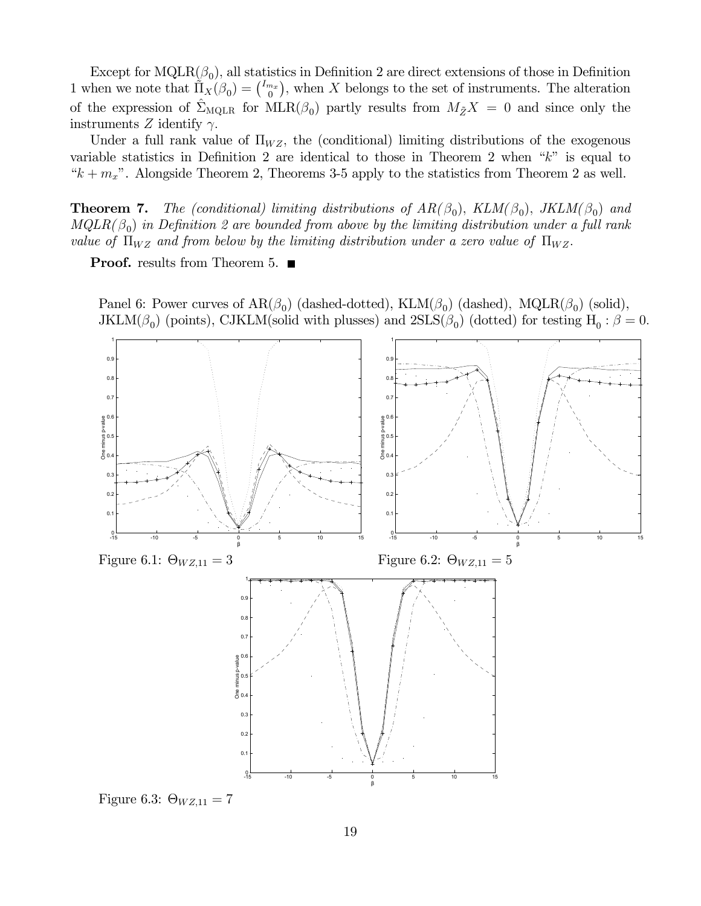Except for MQLR( $\beta_0$ ), all statistics in Definition 2 are direct extensions of those in Definition 1 when we note that  $\tilde{\Pi}_X(\beta_0) = \begin{pmatrix} I_{mx} \\ 0 \end{pmatrix}$ , when X belongs to the set of instruments. The alteration of the expression of  $\hat{\Sigma}_{\text{MQLR}}$  for  $\text{MLR}(\beta_0)$  partly results from  $M_{\tilde{Z}}X = 0$  and since only the instruments Z identify  $\gamma$ .

Under a full rank value of  $\Pi_{WZ}$ , the (conditional) limiting distributions of the exogenous variable statistics in Definition 2 are identical to those in Theorem 2 when "k" is equal to " $k + m_x$ ". Alongside Theorem 2, Theorems 3-5 apply to the statistics from Theorem 2 as well.

**Theorem 7.** The (conditional) limiting distributions of  $AR(\beta_0)$ ,  $KLM(\beta_0)$ ,  $JKLM(\beta_0)$  and  $MQLR(\beta_0)$  in Definition 2 are bounded from above by the limiting distribution under a full rank value of  $\Pi_{WZ}$  and from below by the limiting distribution under a zero value of  $\Pi_{WZ}$ .

**Proof.** results from Theorem 5.  $\blacksquare$ 

Panel 6: Power curves of  $AR(\beta_0)$  (dashed-dotted), KLM( $\beta_0$ ) (dashed), MQLR( $\beta_0$ ) (solid), JKLM( $\beta_0$ ) (points), CJKLM(solid with plusses) and  $2SLS(\beta_0)$  (dotted) for testing H<sub>0</sub> :  $\beta = 0$ .



Figure 6.3:  $\Theta_{WZ,11} = 7$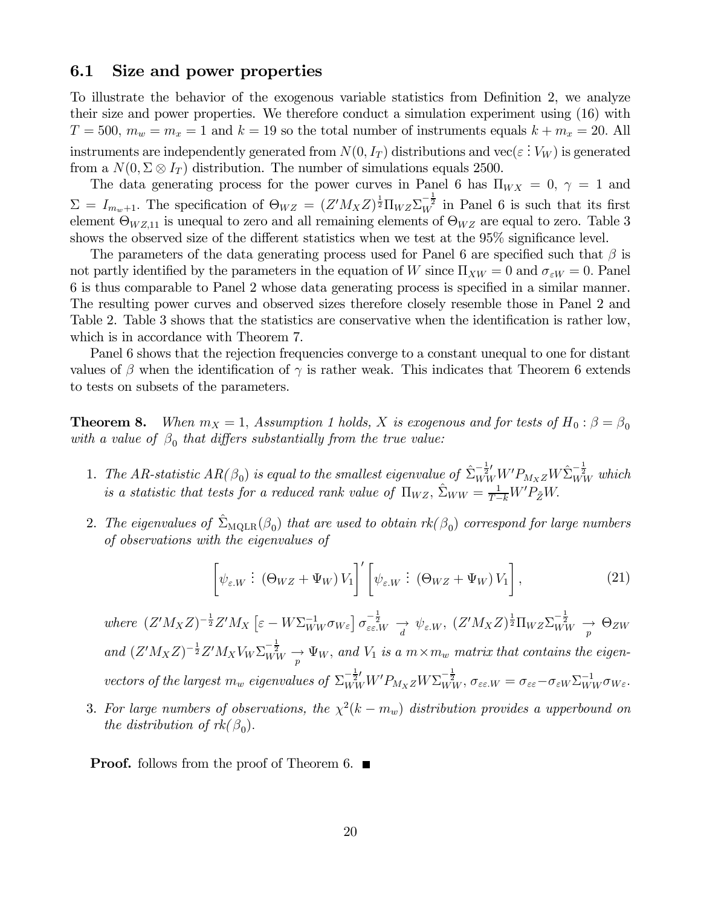#### 6.1 Size and power properties

To illustrate the behavior of the exogenous variable statistics from Definition 2, we analyze their size and power properties. We therefore conduct a simulation experiment using (16) with  $T = 500$ ,  $m_w = m_x = 1$  and  $k = 19$  so the total number of instruments equals  $k + m_x = 20$ . All instruments are independently generated from  $N(0, I_T)$  distributions and  $\text{vec}(\varepsilon : V_W)$  is generated from a  $N(0, \Sigma \otimes I_T)$  distribution. The number of simulations equals 2500.

The data generating process for the power curves in Panel 6 has  $\Pi_{WX} = 0$ ,  $\gamma = 1$  and  $\Sigma = I_{m_w+1}$ . The specification of  $\Theta_{WZ} = (Z'M_XZ)^{\frac{1}{2}}\Pi_{WZ}\Sigma_W^{-\frac{1}{2}}$  in Panel 6 is such that its first element  $\Theta_{WZ,11}$  is unequal to zero and all remaining elements of  $\Theta_{WZ}$  are equal to zero. Table 3 shows the observed size of the different statistics when we test at the 95% significance level.

The parameters of the data generating process used for Panel 6 are specified such that  $\beta$  is not partly identified by the parameters in the equation of W since  $\Pi_{XW} = 0$  and  $\sigma_{\varepsilon W} = 0$ . Panel 6 is thus comparable to Panel 2 whose data generating process is specified in a similar manner. The resulting power curves and observed sizes therefore closely resemble those in Panel 2 and Table 2. Table 3 shows that the statistics are conservative when the identification is rather low, which is in accordance with Theorem 7.

Panel 6 shows that the rejection frequencies converge to a constant unequal to one for distant values of  $\beta$  when the identification of  $\gamma$  is rather weak. This indicates that Theorem 6 extends to tests on subsets of the parameters.

**Theorem 8.** When  $m_X = 1$ , Assumption 1 holds, X is exogenous and for tests of  $H_0: \beta = \beta_0$ with a value of  $\beta_0$  that differs substantially from the true value:

- 1. The AR-statistic  $AR(\beta_0)$  is equal to the smallest eigenvalue of  $\hat{\Sigma}_{WW}^{-\frac{1}{2}}W'P_{M_XZ}W\hat{\Sigma}_{WW}^{-\frac{1}{2}}$  which is a statistic that tests for a reduced rank value of  $\Pi_{WZ}$ ,  $\hat{\Sigma}_{WW} = \frac{1}{T-k} W' P_{\tilde{Z}} W$ .
- 2. The eigenvalues of  $\hat{\Sigma}_{\text{MOLR}}(\beta_0)$  that are used to obtain  $rk(\beta_0)$  correspond for large numbers of observations with the eigenvalues of

$$
\left[\psi_{\varepsilon,W}:\left(\Theta_{WZ}+\Psi_W\right)V_1\right]'\left[\psi_{\varepsilon,W}:\left(\Theta_{WZ}+\Psi_W\right)V_1\right],\tag{21}
$$

where  $(Z'M_XZ)^{-\frac{1}{2}}Z'M_X\left[\varepsilon-W\Sigma_{WW}^{-1}\sigma_{W\varepsilon}\right]\sigma_{\varepsilon\varepsilon,W}^{-\frac{1}{2}} \xrightarrow{d} \psi_{\varepsilon,W}, (Z'M_XZ)^{\frac{1}{2}}\Pi_{WZ}\Sigma_{WW}^{-\frac{1}{2}} \xrightarrow{p} \Theta_{ZW}$ and  $(Z'M_XZ)^{-\frac{1}{2}}Z'M_XV_W\Sigma_{WW}^{-\frac{1}{2}} \longrightarrow \Psi_W$ , and  $V_1$  is a  $m \times m_w$  matrix that contains the eigenvectors of the largest  $m_w$  eigenvalues of  $\Sigma_{WW}^{-\frac{1}{2}'} W' P_{M_X Z} W \Sigma_{WW}^{-\frac{1}{2}}$ ,  $\sigma_{\varepsilon \varepsilon, W} = \sigma_{\varepsilon \varepsilon} - \sigma_{\varepsilon W} \Sigma_{WW}^{-1} \sigma_{W \varepsilon}$ .

3. For large numbers of observations, the  $\chi^2(k - m_w)$  distribution provides a upperbound on the distribution of  $rk(\beta_0)$ .

**Proof.** follows from the proof of Theorem 6.  $\blacksquare$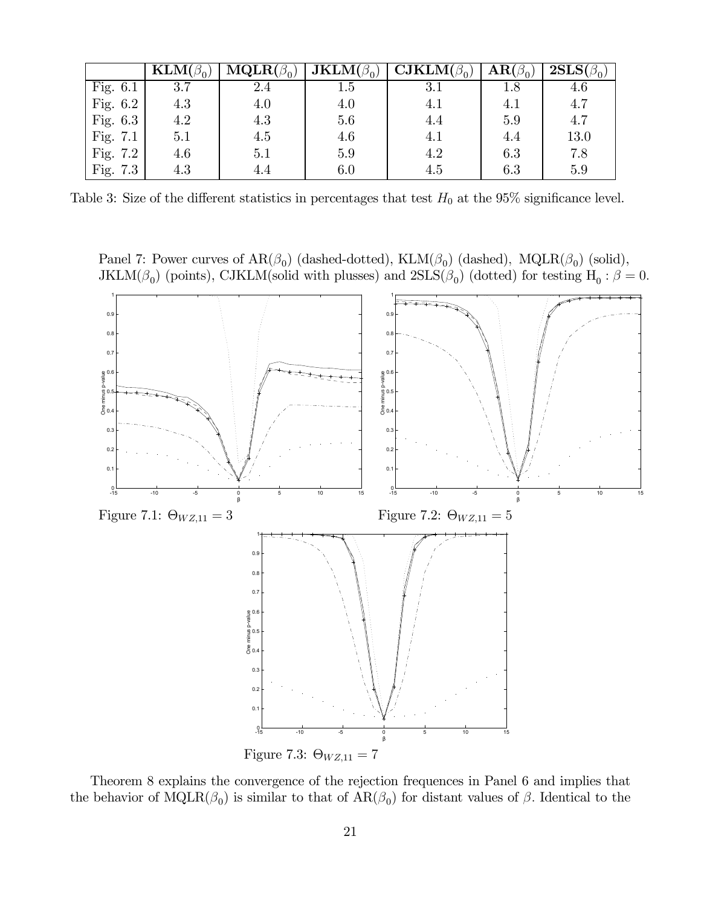|            | $\textbf{KLM}(\beta_0)$ | $\overline{\mathbf{MQLR}}(\beta_0)$ | $\overline{\mathbf{J}}\mathbf{KLM}(\beta_0)$ | $\overline{\mathbf{CJKLM}}(\beta_0)$ | $\mathbf{AR}(\beta_0)$ | $\overline{\textbf{2SLS}}(\beta_0)$ |
|------------|-------------------------|-------------------------------------|----------------------------------------------|--------------------------------------|------------------------|-------------------------------------|
| Fig. $6.1$ | 3.7                     | 2.4                                 | 1.5                                          | $3.1\,$                              | 1.8                    | 4.6                                 |
| Fig. $6.2$ | 4.3                     | 4.0                                 | 4.0                                          | 4.1                                  | 4.1                    | 4.7                                 |
| Fig. $6.3$ | 4.2                     | 4.3                                 | 5.6                                          | 4.4                                  | 5.9                    | 4.7                                 |
| Fig. $7.1$ | 5.1                     | 4.5                                 | 4.6                                          | 4.1                                  | 4.4                    | 13.0                                |
| Fig. $7.2$ | 4.6                     | 5.1                                 | 5.9                                          | 4.2                                  | 6.3                    | 7.8                                 |
| Fig. 7.3   | 4.3                     | 4.4                                 | 6.0                                          | 4.5                                  | 6.3                    | 5.9                                 |

Table 3: Size of the different statistics in percentages that test  $H_0$  at the 95% significance level.

Panel 7: Power curves of  $AR(\beta_0)$  (dashed-dotted),  $KLM(\beta_0)$  (dashed),  $MQLR(\beta_0)$  (solid), JKLM( $\beta_0$ ) (points), CJKLM(solid with plusses) and  $2SLS(\beta_0)$  (dotted) for testing H<sub>0</sub> :  $\beta = 0$ .



Theorem 8 explains the convergence of the rejection frequences in Panel 6 and implies that the behavior of  $MQLR(\beta_0)$  is similar to that of  $AR(\beta_0)$  for distant values of  $\beta$ . Identical to the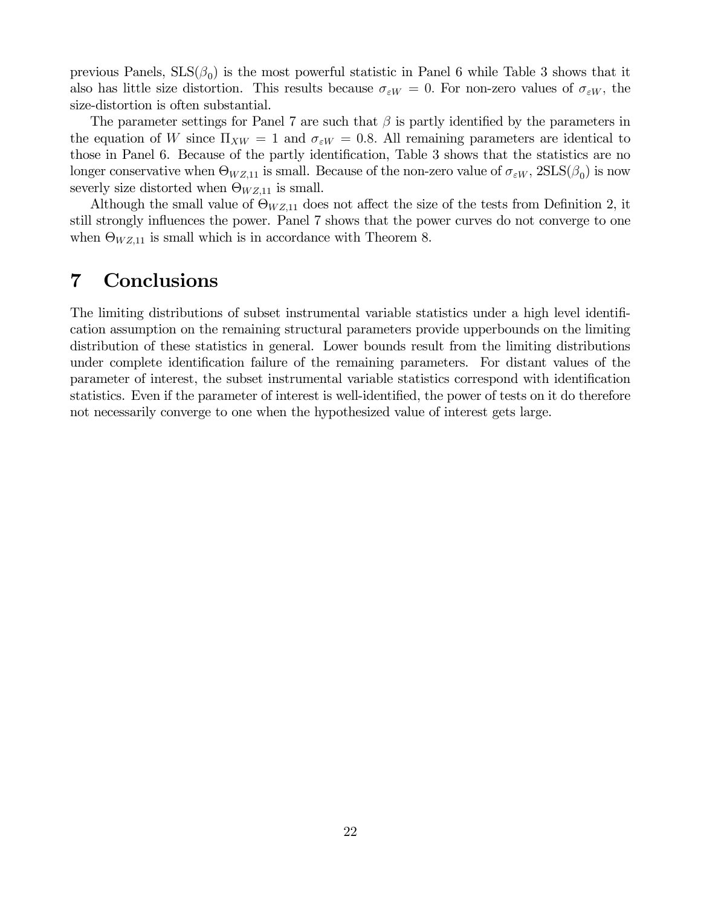previous Panels,  $SLS(\beta_0)$  is the most powerful statistic in Panel 6 while Table 3 shows that it also has little size distortion. This results because  $\sigma_{\varepsilon W} = 0$ . For non-zero values of  $\sigma_{\varepsilon W}$ , the size-distortion is often substantial.

The parameter settings for Panel 7 are such that  $\beta$  is partly identified by the parameters in the equation of W since  $\Pi_{XW} = 1$  and  $\sigma_{\epsilon W} = 0.8$ . All remaining parameters are identical to those in Panel 6. Because of the partly identification, Table 3 shows that the statistics are no longer conservative when  $\Theta_{WZ,11}$  is small. Because of the non-zero value of  $\sigma_{\varepsilon W}$ ,  $2SLS(\beta_0)$  is now severly size distorted when  $\Theta_{WZ,11}$  is small.

Although the small value of  $\Theta_{WZ,11}$  does not affect the size of the tests from Definition 2, it still strongly influences the power. Panel 7 shows that the power curves do not converge to one when  $\Theta_{WZ,11}$  is small which is in accordance with Theorem 8.

# 7 Conclusions

The limiting distributions of subset instrumental variable statistics under a high level identification assumption on the remaining structural parameters provide upperbounds on the limiting distribution of these statistics in general. Lower bounds result from the limiting distributions under complete identification failure of the remaining parameters. For distant values of the parameter of interest, the subset instrumental variable statistics correspond with identification statistics. Even if the parameter of interest is well-identified, the power of tests on it do therefore not necessarily converge to one when the hypothesized value of interest gets large.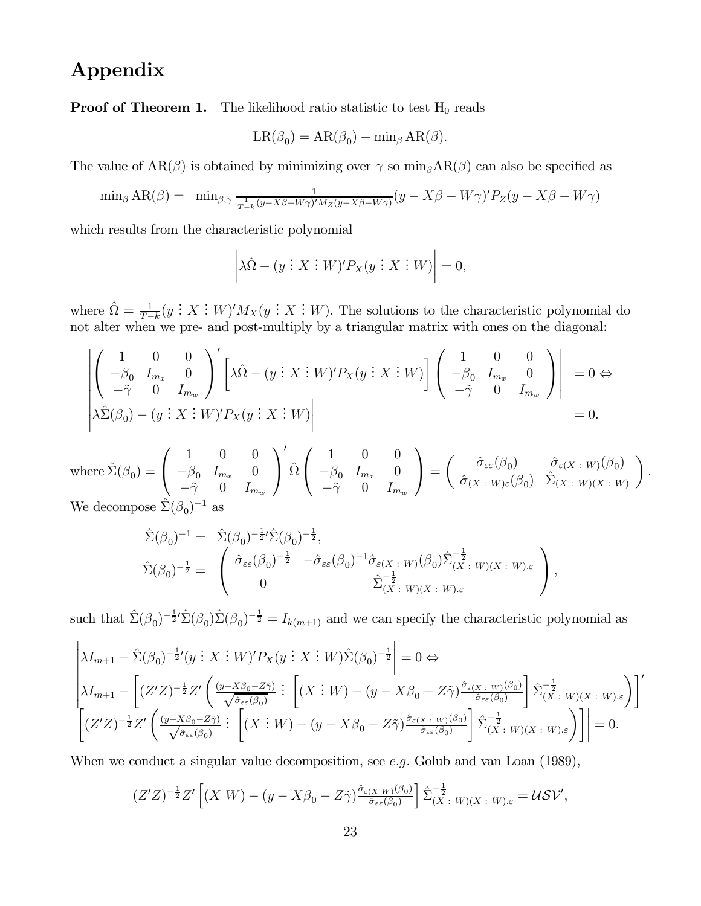# Appendix

**Proof of Theorem 1.** The likelihood ratio statistic to test  $H_0$  reads

$$
LR(\beta_0) = AR(\beta_0) - \min_{\beta} AR(\beta).
$$

The value of  $AR(\beta)$  is obtained by minimizing over  $\gamma$  so  $\min_{\beta}AR(\beta)$  can also be specified as

$$
\min_{\beta} AR(\beta) = \min_{\beta, \gamma} \frac{1}{\frac{1}{T-k}(y - X\beta - W\gamma)'M_Z(y - X\beta - W\gamma)} (y - X\beta - W\gamma)'P_Z(y - X\beta - W\gamma)
$$

which results from the characteristic polynomial

$$
\left|\lambda \hat{\Omega} - (y \,:\, X \,:\, W)' P_X(y \,:\, X \,:\, W)\right| = 0,
$$

where  $\hat{\Omega} = \frac{1}{T-k} (y \, : \, X \, : \, W)' M_X(y \, : \, X \, : \, W)$ . The solutions to the characteristic polynomial do not alter when we pre- and post-multiply by a triangular matrix with ones on the diagonal:

$$
\begin{vmatrix}\n1 & 0 & 0 \\
-\beta_0 & I_{m_x} & 0 \\
-\tilde{\gamma} & 0 & I_{m_w}\n\end{vmatrix}' \begin{bmatrix}\n\lambda \hat{\Omega} - (y \vdots X \vdots W)'P_X(y \vdots X \vdots W)\n\end{bmatrix} \begin{pmatrix}\n1 & 0 & 0 \\
-\beta_0 & I_{m_x} & 0 \\
-\tilde{\gamma} & 0 & I_{m_w}\n\end{pmatrix} = 0 \Leftrightarrow
$$
\n
$$
\lambda \hat{\Sigma}(\beta_0) - (y \vdots X \vdots W)'P_X(y \vdots X \vdots W)\n\begin{vmatrix}\n1 & 0 & 0 \\
-\beta_0 & I_{m_x} & 0 \\
-\tilde{\gamma} & 0 & I_{m_w}\n\end{vmatrix} = 0.
$$

where  $\hat{\Sigma}(\beta_0) =$  $\sqrt{ }$  $\overline{1}$ 100  $-\beta_0$   $I_{m_x}$  0  $-\tilde{\gamma}$  0  $I_{m_w}$  $\setminus$  $\perp$  $\overline{a}$  $\hat{\Omega}$  $\sqrt{ }$  $\mathbf{I}$ 100  $-\beta_0$   $I_{m_x}$  0  $-\tilde{\gamma}$  0  $I_{m_w}$  $\setminus$  $\Big\} =$  $\int \hat{\sigma}_{\varepsilon\in}(\beta_0) \qquad \hat{\sigma}_{\varepsilon(X+W)}(\beta_0)$  $\hat{\sigma}_{(X \ : \ W)\varepsilon}(\beta_0) \ \ \ \hat{\Sigma}_{(X \ : \ W)(X \ : \ W)}$  $\setminus$ . We decompose  $\hat{\Sigma}(\boldsymbol{\beta}_0)^{-1}$  as

$$
\hat{\Sigma}(\beta_0)^{-1} = \hat{\Sigma}(\beta_0)^{-\frac{1}{2}} \hat{\Sigma}(\beta_0)^{-\frac{1}{2}},
$$
\n
$$
\hat{\Sigma}(\beta_0)^{-\frac{1}{2}} = \begin{pmatrix}\n\hat{\sigma}_{\varepsilon\varepsilon}(\beta_0)^{-\frac{1}{2}} & -\hat{\sigma}_{\varepsilon\varepsilon}(\beta_0)^{-1}\hat{\sigma}_{\varepsilon(X \ : W)}(\beta_0)\hat{\Sigma}_{(X \ : W)(X \ : W)\varepsilon}^{-\frac{1}{2}} \\
0 & \hat{\Sigma}_{(X \ : W)(X \ : W)\varepsilon}^{-\frac{1}{2}}\n\end{pmatrix},
$$

such that  $\hat{\Sigma}(\beta_0)^{-\frac{1}{2}}$ ' $\hat{\Sigma}(\beta_0)\hat{\Sigma}(\beta_0)^{-\frac{1}{2}} = I_{k(m+1)}$  and we can specify the characteristic polynomial as

$$
\begin{aligned}\n&\left|\lambda I_{m+1} - \hat{\Sigma}(\beta_0)^{-\frac{1}{2}}(y \,;\, X \,;\, W)'P_X(y \,;\, X \,;\, W)\hat{\Sigma}(\beta_0)^{-\frac{1}{2}}\right| = 0 \Leftrightarrow \\
&\left|\lambda I_{m+1} - \left[ (Z'Z)^{-\frac{1}{2}}Z'\left(\frac{(y - X\beta_0 - Z\tilde{\gamma})}{\sqrt{\hat{\sigma}_{\varepsilon\varepsilon}(\beta_0)}} \,;\, \left[ (X \,;\, W) - (y - X\beta_0 - Z\tilde{\gamma})\frac{\hat{\sigma}_{\varepsilon(X \,;\, W)}(\beta_0)}{\hat{\sigma}_{\varepsilon\varepsilon}(\beta_0)} \right] \hat{\Sigma}_{(X \,;\, W)(X \,;\, W)\varepsilon}^{-\frac{1}{2}} \right] \right|' \\
&\left[\left(Z'Z\right)^{-\frac{1}{2}}Z'\left(\frac{(y - X\beta_0 - Z\tilde{\gamma})}{\sqrt{\hat{\sigma}_{\varepsilon\varepsilon}(\beta_0)}} \,;\, \left[ (X \,;\, W) - (y - X\beta_0 - Z\tilde{\gamma})\frac{\hat{\sigma}_{\varepsilon(X \,;\, W)}(\beta_0)}{\hat{\sigma}_{\varepsilon\varepsilon}(\beta_0)} \right] \hat{\Sigma}_{(X \,;\, W)(X \,;\, W)\varepsilon}^{-\frac{1}{2}} \right] \right| = 0.\n\end{aligned}
$$

When we conduct a singular value decomposition, see e.g. Golub and van Loan (1989),

$$
(Z'Z)^{-\frac{1}{2}}Z'\left[(X\ W)-(y-X\beta_0-Z\tilde{\gamma})\frac{\hat{\sigma}_{\varepsilon(X\ W)}(\beta_0)}{\hat{\sigma}_{\varepsilon\varepsilon}(\beta_0)}\right]\hat{\Sigma}_{(X\ :\ W)(X\ :\ W).\varepsilon}^{-\frac{1}{2}}=\mathcal{U}\mathcal{SV},
$$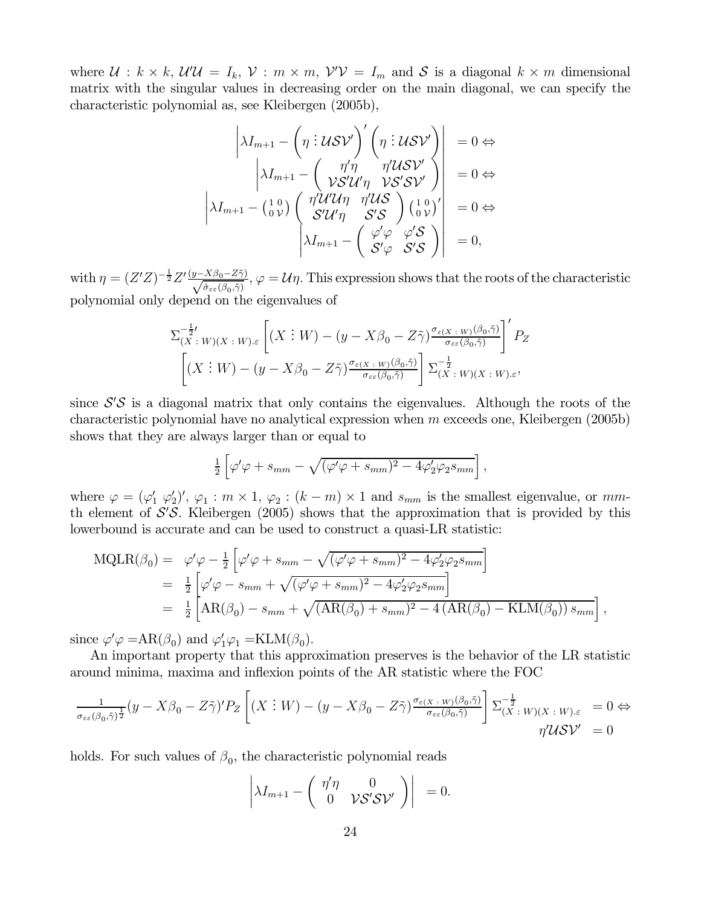where  $\mathcal{U}: k \times k$ ,  $\mathcal{U}'\mathcal{U} = I_k$ ,  $\mathcal{V}: m \times m$ ,  $\mathcal{V}'\mathcal{V} = I_m$  and  $\mathcal{S}$  is a diagonal  $k \times m$  dimensional matrix with the singular values in decreasing order on the main diagonal, we can specify the characteristic polynomial as, see Kleibergen (2005b),

$$
\begin{vmatrix} \lambda I_{m+1} - \left(\eta : \mathcal{U} \mathcal{S} \mathcal{V}'\right)' \left(\eta : \mathcal{U} \mathcal{S} \mathcal{V}'\right) & = 0 \Leftrightarrow \\ \left|\lambda I_{m+1} - \left(\begin{array}{cc} \eta' \eta & \eta' \mathcal{U} \mathcal{S} \mathcal{V}' \\ \mathcal{V} \mathcal{S}' \mathcal{U}' \eta & \mathcal{V} \mathcal{S}' \mathcal{S} \mathcal{V}' \end{array}\right)\right| & = 0 \Leftrightarrow \\ \left|\lambda I_{m+1} - \left(\begin{array}{cc} 1 & 0 \\ 0 & \mathcal{V} \end{array}\right) \left(\begin{array}{cc} \eta' \mathcal{U}' \mathcal{U} \eta & \eta' \mathcal{U} \mathcal{S} \\ \mathcal{S}' \mathcal{U}' \eta & \mathcal{S}' \mathcal{S} \end{array}\right) \left(\begin{array}{cc} 1 & 0 \\ 0 & \mathcal{V} \end{array}\right)' \right| & = 0 \Leftrightarrow \\ \left|\lambda I_{m+1} - \left(\begin{array}{cc} \varphi' \varphi & \varphi' \mathcal{S} \\ \mathcal{S}' \varphi & \mathcal{S}' \mathcal{S} \end{array}\right)\right| & = 0, \end{vmatrix}
$$

with  $\eta = (Z'Z)^{-\frac{1}{2}}Z'\frac{(y-X\beta_0-Z\tilde{\gamma})}{\sqrt{\hat{\sigma}_{\varepsilon\varepsilon}(\beta_0,\tilde{\gamma})}}, \varphi = \mathcal{U}\eta$ . This expression shows that the roots of the characteristic polynomial only depend on the eigenvalues of

$$
\Sigma_{(X \ : W)(X \ : W) \cdot \varepsilon}^{-\frac{1}{2} \cdot} \left[ (X \ : W) - (y - X\beta_0 - Z\tilde{\gamma}) \frac{\sigma_{\varepsilon(X \ : W)}(\beta_0, \tilde{\gamma})}{\sigma_{\varepsilon\varepsilon}(\beta_0, \tilde{\gamma})} \right]' P_Z
$$

$$
\left[ (X \ : W) - (y - X\beta_0 - Z\tilde{\gamma}) \frac{\sigma_{\varepsilon(X \ : W)}(\beta_0, \tilde{\gamma})}{\sigma_{\varepsilon\varepsilon}(\beta_0, \tilde{\gamma})} \right] \Sigma_{(X \ : W)(X \ : W) \cdot \varepsilon}^{-\frac{1}{2}},
$$

since  $S'S$  is a diagonal matrix that only contains the eigenvalues. Although the roots of the characteristic polynomial have no analytical expression when  $m$  exceeds one, Kleibergen (2005b) shows that they are always larger than or equal to

$$
\frac{1}{2} \left[ \varphi' \varphi + s_{mm} - \sqrt{(\varphi' \varphi + s_{mm})^2 - 4 \varphi'_2 \varphi_2 s_{mm}} \right],
$$

where  $\varphi = (\varphi'_1 \varphi'_2)'$ ,  $\varphi_1 : m \times 1$ ,  $\varphi_2 : (k-m) \times 1$  and  $s_{mm}$  is the smallest eigenvalue, or  $mm$ th element of  $\mathcal{S}'\mathcal{S}$ . Kleibergen (2005) shows that the approximation that is provided by this lowerbound is accurate and can be used to construct a quasi-LR statistic:

$$
\begin{split} \text{MQLR}(\beta_0) &= \varphi' \varphi - \frac{1}{2} \left[ \varphi' \varphi + s_{mm} - \sqrt{(\varphi' \varphi + s_{mm})^2 - 4 \varphi_2' \varphi_2 s_{mm}} \right] \\ &= \frac{1}{2} \left[ \varphi' \varphi - s_{mm} + \sqrt{(\varphi' \varphi + s_{mm})^2 - 4 \varphi_2' \varphi_2 s_{mm}} \right] \\ &= \frac{1}{2} \left[ \text{AR}(\beta_0) - s_{mm} + \sqrt{(\text{AR}(\beta_0) + s_{mm})^2 - 4 \left( \text{AR}(\beta_0) - \text{KLM}(\beta_0) \right) s_{mm}} \right], \end{split}
$$

since  $\varphi' \varphi = AR(\beta_0)$  and  $\varphi'_1 \varphi_1 = KLM(\beta_0)$ .

An important property that this approximation preserves is the behavior of the LR statistic around minima, maxima and inflexion points of the AR statistic where the FOC

$$
\frac{1}{\sigma_{\varepsilon\varepsilon}(\beta_0,\tilde{\gamma})^{\frac{1}{2}}}(y-X\beta_0-Z\tilde{\gamma})'P_Z\left[(X:W)-(y-X\beta_0-Z\tilde{\gamma})\frac{\sigma_{\varepsilon(X:W)}(\beta_0,\tilde{\gamma})}{\sigma_{\varepsilon\varepsilon}(\beta_0,\tilde{\gamma})}\right]\Sigma_{(X:W)(X:W).\varepsilon}^{-\frac{1}{2}}=0\Leftrightarrow\\\eta''\mathcal{U}\mathcal{SV}'=0
$$

holds. For such values of  $\beta_0$ , the characteristic polynomial reads

$$
\left|\lambda I_{m+1}-\left(\begin{array}{cc}\eta'\eta&0\\0&\mathcal{V}\mathcal{S}'\mathcal{S}\mathcal{V}'\end{array}\right)\right|_{}=0.
$$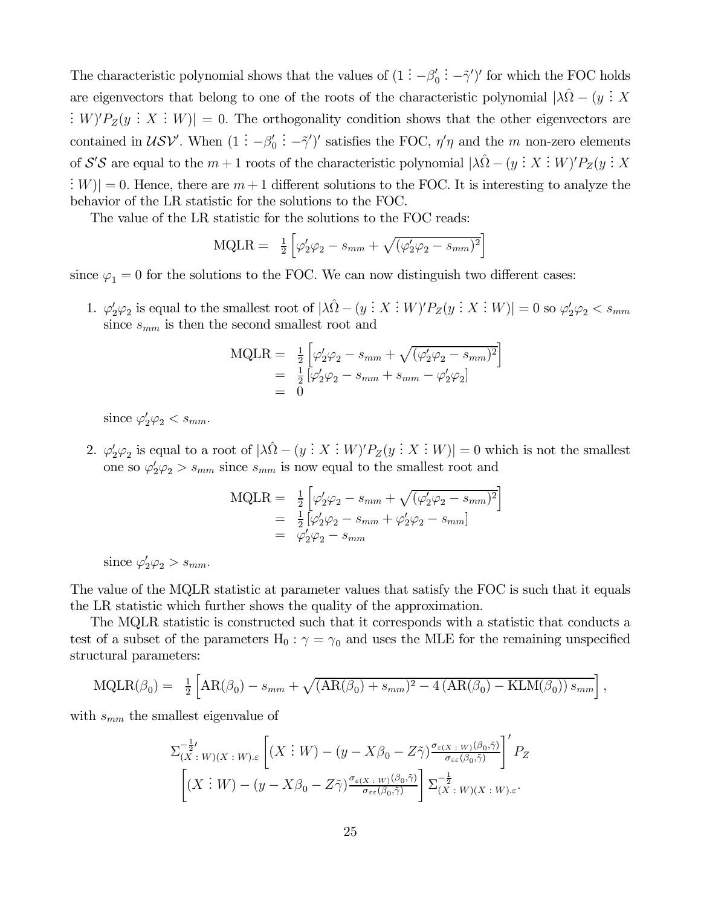The characteristic polynomial shows that the values of  $(1 - \beta'_0)$ : - $\tilde{\gamma}'$ )' for which the FOC holds are eigenvectors that belong to one of the roots of the characteristic polynomial  $|\lambda \hat{\Omega} - (y \cdot X \cdot W)|$  $: W / P_Z(y : X : W)$  = 0. The orthogonality condition shows that the other eigenvectors are contained in  $\mathcal{USV}'$ . When  $(1 : -\beta'_0)$  $\therefore$  - $\tilde{\gamma}'$  satisfies the FOC,  $\eta' \eta$  and the m non-zero elements of S'S are equal to the  $m + 1$  roots of the characteristic polynomial  $|\lambda \hat{\Omega} - (y \cdot X \cdot W)'P_Z(y \cdot X \cdot W')|$  $\mathbb{E}[W] = 0.$  Hence, there are  $m + 1$  different solutions to the FOC. It is interesting to analyze the behavior of the LR statistic for the solutions to the FOC.

The value of the LR statistic for the solutions to the FOC reads:

$$
MQLR = \frac{1}{2} \left[ \varphi_2' \varphi_2 - s_{mm} + \sqrt{(\varphi_2' \varphi_2 - s_{mm})^2} \right]
$$

since  $\varphi_1 = 0$  for the solutions to the FOC. We can now distinguish two different cases:

1.  $\varphi'_2\varphi_2$  is equal to the smallest root of  $|\lambda \hat{\Omega} - (y \cdot X : W)'P_Z(y : X : W)| = 0$  so  $\varphi'_2\varphi_2 < s_{mm}$ since  $s_{mm}$  is then the second smallest root and

$$
\begin{array}{rcl}\n\text{MQLR} &=& \frac{1}{2} \left[ \varphi_2' \varphi_2 - s_{mm} + \sqrt{(\varphi_2' \varphi_2 - s_{mm})^2} \right] \\
&=& \frac{1}{2} \left[ \varphi_2' \varphi_2 - s_{mm} + s_{mm} - \varphi_2' \varphi_2 \right] \\
&=& 0\n\end{array}
$$

since  $\varphi_2' \varphi_2 < s_{mm}$ .

2.  $\varphi'_2\varphi_2$  is equal to a root of  $|\lambda \hat{\Omega} - (y \cdot X \cdot W)'P_Z(y \cdot X \cdot W)| = 0$  which is not the smallest one so  $\varphi'_2\varphi_2 > s_{mm}$  since  $s_{mm}$  is now equal to the smallest root and

$$
MQLR = \frac{1}{2} \left[ \varphi_2' \varphi_2 - s_{mm} + \sqrt{(\varphi_2' \varphi_2 - s_{mm})^2} \right]
$$
  
=  $\frac{1}{2} \left[ \varphi_2' \varphi_2 - s_{mm} + \varphi_2' \varphi_2 - s_{mm} \right]$   
=  $\varphi_2' \varphi_2 - s_{mm}$ 

since  $\varphi_2' \varphi_2 > s_{mm}$ .

The value of the MQLR statistic at parameter values that satisfy the FOC is such that it equals the LR statistic which further shows the quality of the approximation.

The MQLR statistic is constructed such that it corresponds with a statistic that conducts a test of a subset of the parameters  $H_0$ :  $\gamma = \gamma_0$  and uses the MLE for the remaining unspecified structural parameters:

$$
MQLR(\beta_0) = \frac{1}{2} \left[ AR(\beta_0) - s_{mm} + \sqrt{(AR(\beta_0) + s_{mm})^2 - 4 (AR(\beta_0) - KLM(\beta_0)) s_{mm}} \right],
$$

with  $s_{mm}$  the smallest eigenvalue of

$$
\Sigma_{(X \ : W)(X \ : W) \cdot \varepsilon}^{-\frac{1}{2} \cdot} \left[ (X \ : W) - (y - X\beta_0 - Z\tilde{\gamma}) \frac{\sigma_{\varepsilon(X \ : W)}(\beta_0, \tilde{\gamma})}{\sigma_{\varepsilon\varepsilon}(\beta_0, \tilde{\gamma})} \right]' P_Z
$$

$$
\left[ (X \ : W) - (y - X\beta_0 - Z\tilde{\gamma}) \frac{\sigma_{\varepsilon(X \ : W)}(\beta_0, \tilde{\gamma})}{\sigma_{\varepsilon\varepsilon}(\beta_0, \tilde{\gamma})} \right] \Sigma_{(X \ : W)(X \ : W) \cdot \varepsilon}^{-\frac{1}{2}}.
$$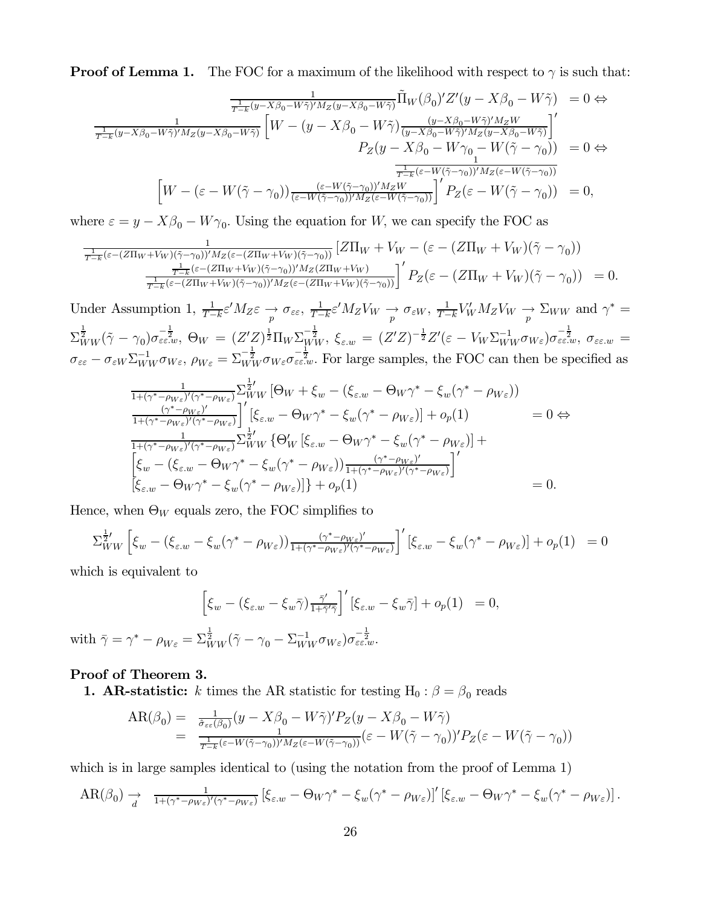**Proof of Lemma 1.** The FOC for a maximum of the likelihood with respect to  $\gamma$  is such that:

$$
\frac{1}{T-k}(\hat{y}-X\beta_0 - W\tilde{\gamma})'M_Z(\hat{y}-X\beta_0 - W\tilde{\gamma})}\tilde{\Pi}_W(\beta_0)'Z'(\hat{y}-X\beta_0 - W\tilde{\gamma}) = 0 \Leftrightarrow
$$
\n
$$
\frac{1}{T-k}(\hat{y}-X\beta_0 - W\tilde{\gamma})'M_Z(\hat{y}-X\beta_0 - W\tilde{\gamma})\left[W - (\hat{y}-X\beta_0 - W\tilde{\gamma})\frac{(\hat{y}-X\beta_0 - W\tilde{\gamma})'M_ZW}{(\hat{y}-X\beta_0 - W\tilde{\gamma})'M_Z(\hat{y}-X\beta_0 - W\tilde{\gamma})}\right]'
$$
\n
$$
P_Z(\hat{y}-X\beta_0 - W\gamma_0 - W(\tilde{\gamma}-\gamma_0)) = 0 \Leftrightarrow
$$
\n
$$
\frac{1}{T-k}(\varepsilon - W(\tilde{\gamma}-\gamma_0))'\frac{(\varepsilon - W(\tilde{\gamma}-\gamma_0))'M_ZW}{\frac{1}{T-k}(\varepsilon - W(\tilde{\gamma}-\gamma_0))'M_Z(\varepsilon - W(\tilde{\gamma}-\gamma_0))}{\frac{1}{T-k}(\varepsilon - W(\tilde{\gamma}-\gamma_0))'M_Z(\varepsilon - W(\tilde{\gamma}-\gamma_0))}{\frac{1}{T-k}(\varepsilon - W(\tilde{\gamma}-\gamma_0))'M_Z(\varepsilon - W(\tilde{\gamma}-\gamma_0))}{\frac{1}{T-k}(\varepsilon - W(\tilde{\gamma}-\gamma_0))} = 0,
$$

where  $\varepsilon = y - X\beta_0 - W\gamma_0$ . Using the equation for W, we can specify the FOC as

$$
\frac{1}{T-k}(\varepsilon-(Z\Pi_W+V_W)(\tilde{\gamma}-\gamma_0))^t M_Z(\varepsilon-(Z\Pi_W+V_W)(\tilde{\gamma}-\gamma_0))} \left[Z\Pi_W+V_W-(\varepsilon-(Z\Pi_W+V_W)(\tilde{\gamma}-\gamma_0))\right] \frac{1}{T-k}(\varepsilon-(Z\Pi_W+V_W)(\tilde{\gamma}-\gamma_0))^t M_Z(Z\Pi_W+V_W)}{\frac{1}{T-k}(\varepsilon-(Z\Pi_W+V_W)(\tilde{\gamma}-\gamma_0))^t M_Z(\varepsilon-(Z\Pi_W+V_W)(\tilde{\gamma}-\gamma_0))}\right]^t P_Z(\varepsilon-(Z\Pi_W+V_W)(\tilde{\gamma}-\gamma_0)) = 0.
$$

Under Assumption 1,  $\frac{1}{T-k} \varepsilon' M_Z \varepsilon \to \frac{\varepsilon}{p} \sigma_{\varepsilon\varepsilon}$ ,  $\frac{1}{T-k} \varepsilon' M_Z V_W \to \frac{\varepsilon}{p} \sigma_{\varepsilon W}$ ,  $\frac{1}{T-k} V_W M_Z V_W \to \Sigma_{WW}$  and  $\gamma^* =$  $\Sigma^{\frac{1}{2}}_{WW}(\tilde{\gamma}-\gamma_0)\sigma_{\varepsilon\varepsilon.w}^{-\frac{1}{2}}, \ \Theta_W \ = \ (Z'Z)^{\frac{1}{2}}\Pi_W\Sigma_{WW}^{-\frac{1}{2}}, \ \xi_{\varepsilon.w} \ = \ (Z'Z)^{-\frac{1}{2}}Z'(\varepsilon-V_W\Sigma_{WW}^{-1}\sigma_{W\varepsilon})\sigma_{\varepsilon\varepsilon.w}^{-\frac{1}{2}}, \ \sigma_{\varepsilon\varepsilon.w} \ =$  $\sigma_{\varepsilon\varepsilon} - \sigma_{\varepsilon W} \Sigma_{WW}^{-1} \sigma_{W\varepsilon}, \rho_{W\varepsilon} = \Sigma_{WW}^{-\frac{1}{2}} \sigma_{W\varepsilon} \sigma_{\varepsilon\varepsilon\cdot w}^{-\frac{1}{2}}$ . For large samples, the FOC can then be specified as

$$
\frac{1}{1+(\gamma^*-\rho_{W_{\varepsilon}})'(\gamma^*-\rho_{W_{\varepsilon}})} \sum_{WW} \left[\Theta_W + \xi_w - (\xi_{\varepsilon,w} - \Theta_W \gamma^* - \xi_w (\gamma^* - \rho_{W_{\varepsilon}}))\right] \n\frac{(\gamma^*-\rho_{W_{\varepsilon}})'(\gamma^*-\rho_{W_{\varepsilon}})}{1+(\gamma^*-\rho_{W_{\varepsilon}})'(\gamma^*-\rho_{W_{\varepsilon}})}\n\left[ \xi_{\varepsilon,w} - \Theta_W \gamma^* - \xi_w (\gamma^* - \rho_{W_{\varepsilon}}) \right] + o_p(1) = 0 \Leftrightarrow \n\frac{1}{1+(\gamma^*-\rho_{W_{\varepsilon}})'(\gamma^*-\rho_{W_{\varepsilon}})} \sum_{WW} \left\{ \Theta'_W \left[ \xi_{\varepsilon,w} - \Theta_W \gamma^* - \xi_w (\gamma^* - \rho_{W_{\varepsilon}}) \right] + \left[ \xi_w - (\xi_{\varepsilon,w} - \Theta_W \gamma^* - \xi_w (\gamma^* - \rho_{W_{\varepsilon}})) \frac{(\gamma^*-\rho_{W_{\varepsilon}})'}{1+(\gamma^*-\rho_{W_{\varepsilon}})'(\gamma^*-\rho_{W_{\varepsilon}})} \right]' \n\left[ \xi_{\varepsilon,w} - \Theta_W \gamma^* - \xi_w (\gamma^* - \rho_{W_{\varepsilon}}) \right] \right\} + o_p(1) = 0.
$$

Hence, when  $\Theta_W$  equals zero, the FOC simplifies to

$$
\Sigma_{WW}^{\frac{1}{2}'} \left[ \xi_w - (\xi_{\varepsilon,w} - \xi_w (\gamma^* - \rho_{W\varepsilon})) \frac{(\gamma^* - \rho_{W\varepsilon})'}{1 + (\gamma^* - \rho_{W\varepsilon})' (\gamma^* - \rho_{W\varepsilon})} \right]' \left[ \xi_{\varepsilon,w} - \xi_w (\gamma^* - \rho_{W\varepsilon}) \right] + o_p(1) = 0
$$

which is equivalent to

$$
\left[\xi_w - (\xi_{\varepsilon,w} - \xi_w \bar{\gamma}) \frac{\bar{\gamma}'}{1 + \bar{\gamma}'\bar{\gamma}}\right]' [\xi_{\varepsilon,w} - \xi_w \bar{\gamma}] + o_p(1) = 0,
$$
  
with  $\bar{\gamma} = \gamma^* - \rho_{W\varepsilon} = \sum_{WW}^{\frac{1}{2}} (\tilde{\gamma} - \gamma_0 - \sum_{WW}^{-1} \sigma_{W\varepsilon}) \sigma_{\varepsilon\varepsilon\cdots}^{-\frac{1}{2}}.$ 

#### Proof of Theorem 3.

**1. AR-statistic:** k times the AR statistic for testing  $H_0: \beta = \beta_0$  reads

$$
\begin{array}{rcl}\n\text{AR}(\beta_0) &=& \frac{1}{\hat{\sigma}_{\varepsilon\varepsilon}(\beta_0)}(y - X\beta_0 - W\tilde{\gamma})'P_Z(y - X\beta_0 - W\tilde{\gamma}) \\
&=& \frac{1}{T - \kappa}(\varepsilon - W(\tilde{\gamma} - \gamma_0))'M_Z(\varepsilon - W(\tilde{\gamma} - \gamma_0))}(\varepsilon - W(\tilde{\gamma} - \gamma_0))'P_Z(\varepsilon - W(\tilde{\gamma} - \gamma_0))\n\end{array}
$$

which is in large samples identical to (using the notation from the proof of Lemma 1)

$$
AR(\beta_0) \to \frac{1}{d} \left[ \frac{1}{1+(\gamma^*-\rho_{W_{\varepsilon}})'(\gamma^*-\rho_{W_{\varepsilon}})} \left[ \xi_{\varepsilon,w} - \Theta_W \gamma^* - \xi_w (\gamma^* - \rho_{W_{\varepsilon}}) \right]' \left[ \xi_{\varepsilon,w} - \Theta_W \gamma^* - \xi_w (\gamma^* - \rho_{W_{\varepsilon}}) \right] \right].
$$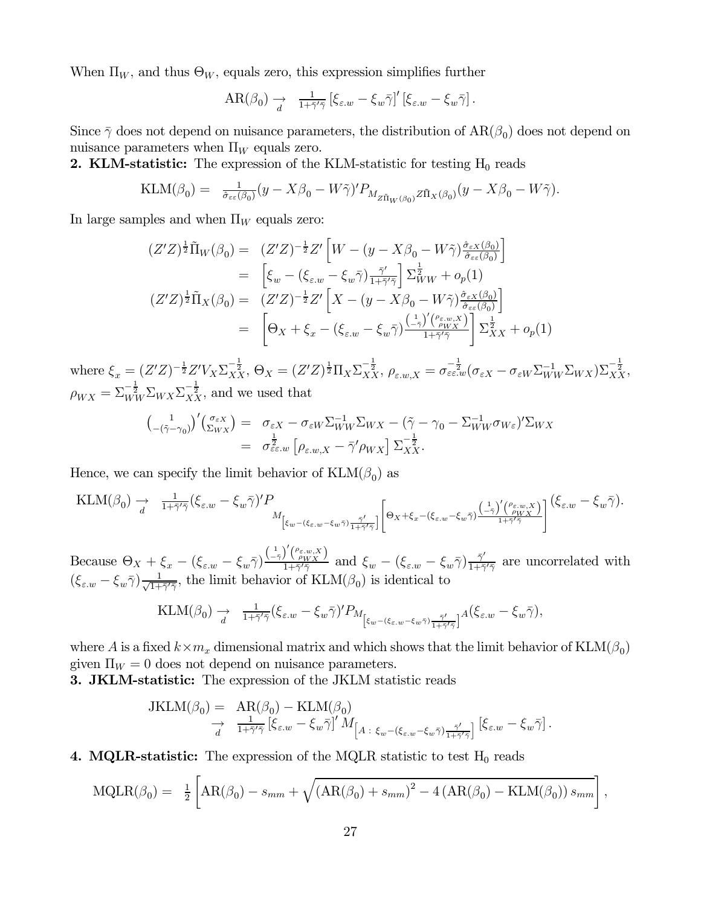When  $\Pi_W$ , and thus  $\Theta_W$ , equals zero, this expression simplifies further

$$
AR(\beta_0) \xrightarrow[d]{} \frac{1}{1+\bar{\gamma}'\bar{\gamma}} \left[ \xi_{\varepsilon,w} - \xi_w \bar{\gamma} \right]' \left[ \xi_{\varepsilon,w} - \xi_w \bar{\gamma} \right].
$$

Since  $\bar{\gamma}$  does not depend on nuisance parameters, the distribution of  $AR(\beta_0)$  does not depend on nuisance parameters when  $\Pi_W$  equals zero.

**2. KLM-statistic:** The expression of the KLM-statistic for testing  $H_0$  reads

$$
\text{KLM}(\beta_0) = \frac{1}{\hat{\sigma}_{\varepsilon\varepsilon}(\beta_0)} (y - X\beta_0 - W\tilde{\gamma})' P_{M_{Z\tilde{\Pi}_W(\beta_0)} Z\tilde{\Pi}_X(\beta_0)} (y - X\beta_0 - W\tilde{\gamma}).
$$

In large samples and when  $\Pi_W$  equals zero:

$$
(Z'Z)^{\frac{1}{2}}\tilde{\Pi}_W(\beta_0) = (Z'Z)^{-\frac{1}{2}}Z'\left[W - (y - X\beta_0 - W\tilde{\gamma})\frac{\hat{\sigma}_{\varepsilon X}(\beta_0)}{\hat{\sigma}_{\varepsilon\varepsilon}(\beta_0)}\right]
$$
  
\n
$$
= \left[\xi_w - (\xi_{\varepsilon,w} - \xi_w\bar{\gamma})\frac{\bar{\gamma}'}{1+\bar{\gamma}'\bar{\gamma}}\right] \Sigma^{\frac{1}{2}}_{WW} + o_p(1)
$$
  
\n
$$
(Z'Z)^{\frac{1}{2}}\tilde{\Pi}_X(\beta_0) = (Z'Z)^{-\frac{1}{2}}Z'\left[X - (y - X\beta_0 - W\tilde{\gamma})\frac{\hat{\sigma}_{\varepsilon X}(\beta_0)}{\hat{\sigma}_{\varepsilon\varepsilon}(\beta_0)}\right]
$$
  
\n
$$
= \left[\Theta_X + \xi_x - (\xi_{\varepsilon,w} - \xi_w\bar{\gamma})\frac{\left(\frac{1}{-\bar{\gamma}}\right)'(\frac{\rho_{\varepsilon,w}}{\rho_{WX}})}{1+\bar{\gamma}'\bar{\gamma}}\right] \Sigma^{\frac{1}{2}}_{XX} + o_p(1)
$$

where  $\xi_x = (Z'Z)^{-\frac{1}{2}}Z'V_X\Sigma_{XX}^{-\frac{1}{2}}, \Theta_X = (Z'Z)^{\frac{1}{2}}\Pi_X\Sigma_{XX}^{-\frac{1}{2}}, \rho_{\varepsilon,w,X} = \sigma_{\varepsilon\varepsilon\cdot w}^{-\frac{1}{2}}(\sigma_{\varepsilon X} - \sigma_{\varepsilon W}\Sigma_{WW}^{-1}\Sigma_{WX})\Sigma_{XX}^{-\frac{1}{2}},$  $\rho_{WX} = \sum_{WW}^{-\frac{1}{2}} \sum_{WX} \sum_{XX}^{-\frac{1}{2}}$ , and we used that

$$
\begin{array}{rcl}\n\left(\begin{array}{cc}1\\-\left(\tilde{\gamma}-\gamma_{0}\right)\end{array}\right)' \left(\begin{array}{c}\sigma_{\varepsilon X}\\ \Sigma_{WX}\end{array}\right) &=& \sigma_{\varepsilon X} - \sigma_{\varepsilon W} \Sigma_{WW}^{-1} \Sigma_{WX} - \left(\tilde{\gamma} - \gamma_{0} - \Sigma_{WW}^{-1} \sigma_{W\varepsilon}\right)' \Sigma_{WX} \\
&=& \sigma_{\varepsilon \varepsilon,w}^{\frac{1}{2}} \left[\rho_{\varepsilon,w,X} - \bar{\gamma}' \rho_{WX}\right] \Sigma_{XX}^{-\frac{1}{2}}.\n\end{array}
$$

Hence, we can specify the limit behavior of  $KLM(\beta_0)$  as

$$
\text{KLM}(\beta_0) \xrightarrow[d]{} \frac{1}{4\pi\bar{\gamma'}\bar{\gamma}}(\xi_{\varepsilon,w}-\xi_w\bar{\gamma})'P_{M_{\left[\xi_w-(\xi_{\varepsilon,w}-\xi_w\bar{\gamma})\frac{\bar{\gamma'}}{1+\bar{\gamma'}\bar{\gamma}}\right]}\left[\Theta_X+\xi_x-(\xi_{\varepsilon,w}-\xi_w\bar{\gamma})\frac{\left(\frac{1}{\bar{\gamma}}\right)'(\rho_{\varepsilon,w,X})}{1+\bar{\gamma'}\bar{\gamma}}\right]}\left(\xi_{\varepsilon,w}-\xi_w\bar{\gamma}\right).
$$

Because  $\Theta_X + \xi_x - (\xi_{\varepsilon,w} - \xi_w \bar{\gamma}) \frac{\left(\frac{1}{-\bar{\gamma}}\right)' \left(\frac{\rho_{\varepsilon,w,X}}{\rho_{WX}}\right)}{1+\bar{\gamma}'\bar{\gamma}}$  and  $\xi_w - (\xi_{\varepsilon,w} - \xi_w \bar{\gamma}) \frac{\bar{\gamma}'}{1+\bar{\gamma}'\bar{\gamma}}$  are uncorrelated with  $(\xi_{\varepsilon,w} - \xi_w \bar{\gamma}) \frac{1}{\sqrt{1+\bar{\gamma}'\bar{\gamma}}}$ , the limit behavior of  $\text{KLM}(\beta_0)$  is identical to

$$
\mathrm{KLM}(\beta_0) \xrightarrow[d]{} \tfrac{1}{1+\bar{\gamma}'\bar{\gamma}} (\xi_{\varepsilon,w}-\xi_w\bar{\gamma})'P_{M_{\left[\xi_w-(\xi_{\varepsilon,w}-\xi_w\bar{\gamma})\frac{\bar{\gamma}'}{1+\bar{\gamma}'\bar{\gamma}}\right]} A(\xi_{\varepsilon,w}-\xi_w\bar{\gamma}),
$$

where A is a fixed  $k \times m_x$  dimensional matrix and which shows that the limit behavior of KLM( $\beta_0$ ) given  $\Pi_W = 0$  does not depend on nuisance parameters.

**3. JKLM-statistic:** The expression of the JKLM statistic reads

$$
JKLM(\beta_0) = AR(\beta_0) - KLM(\beta_0)
$$
  
\n
$$
\rightarrow \frac{1}{d} \frac{1}{1+\bar{\gamma}'\bar{\gamma}} [\xi_{\varepsilon,w} - \xi_w \bar{\gamma}]' M_{\left[A\;:\; \xi_w - (\xi_{\varepsilon,w} - \xi_w \bar{\gamma})\frac{\bar{\gamma}'}{1+\bar{\gamma}'\bar{\gamma}}\right]} [\xi_{\varepsilon,w} - \xi_w \bar{\gamma}].
$$

4. MQLR-statistic: The expression of the MQLR statistic to test  $H_0$  reads

$$
MQLR(\beta_0) = \frac{1}{2} \left[ AR(\beta_0) - s_{mm} + \sqrt{(AR(\beta_0) + s_{mm})^2 - 4 (AR(\beta_0) - KLM(\beta_0)) s_{mm}} \right],
$$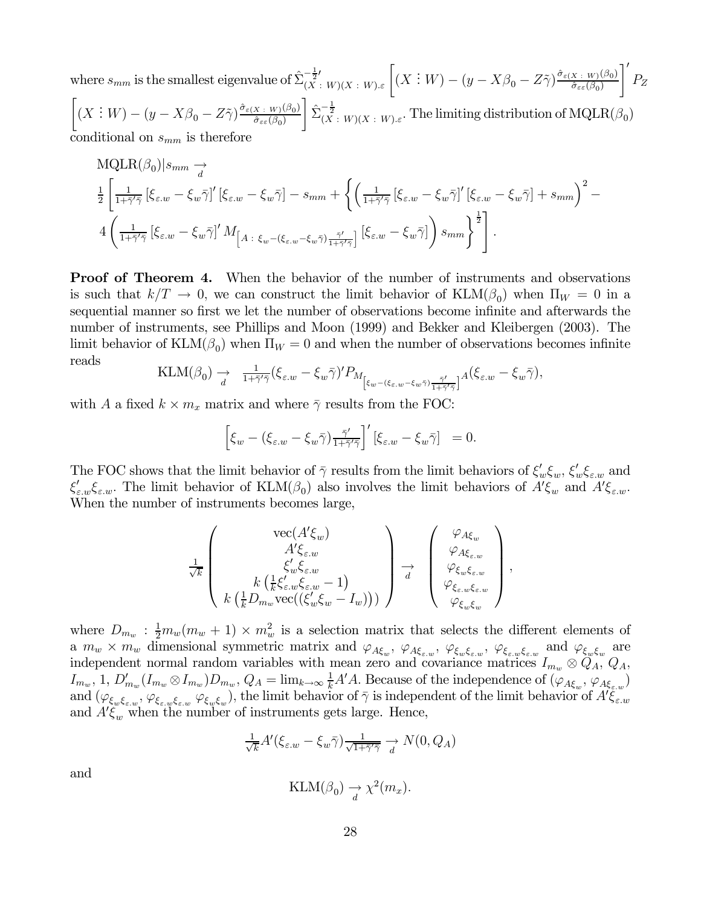where  $s_{mm}$  is the smallest eigenvalue of  $\hat{\Sigma}_{(X)}^{-\frac{1}{2}I}$  $-\frac{1}{2}K(x:W)(X:W) \in \left[ (X:W) - (y-X\beta_0 - Z\tilde{\gamma}) \frac{\hat{\sigma}_{\varepsilon(X:W)}(\beta_0)}{\hat{\sigma}_{\varepsilon\varepsilon}(\beta_0)} \right]$  $\hat{\sigma}_{\varepsilon\varepsilon}(\beta_0)$ '١  $P_Z$  $\Big[(X:W)-(y-X\beta_{0}-Z\tilde{\gamma})\frac{\hat{\sigma}_{\varepsilon(X+W)}(\beta_{0})}{\hat{\sigma}_{\varepsilon\varepsilon}(\beta_{0})}$  $\hat{\sigma}_{\varepsilon\varepsilon}(\beta_0)$  $\left[ \sum_{(X \ : \ W)(X \ : \ W) \cdot \varepsilon}.$  The limiting distribution of  $\mathrm{MQLR}(\beta_0)$ conditional on  $s_{mm}$  is therefore

$$
\begin{split} &\text{MQLR}(\beta_0)|s_{mm}\underset{d}{\rightarrow}\\ &\frac{1}{2}\left[\frac{1}{1+\bar{\gamma}'\bar{\gamma}}\left[\xi_{\varepsilon,w}-\xi_w\bar{\gamma}\right]'\left[\xi_{\varepsilon,w}-\xi_w\bar{\gamma}\right]-s_{mm}+\left\{\left(\frac{1}{1+\bar{\gamma}'\bar{\gamma}}\left[\xi_{\varepsilon,w}-\xi_w\bar{\gamma}\right]'\left[\xi_{\varepsilon,w}-\xi_w\bar{\gamma}\right]+s_{mm}\right)^2-\right.\\ &\left.4\left(\frac{1}{1+\bar{\gamma}'\bar{\gamma}}\left[\xi_{\varepsilon,w}-\xi_w\bar{\gamma}\right]'\,M_{\left[A\;:\;\xi_w-(\xi_{\varepsilon,w}-\xi_w\bar{\gamma})\frac{\bar{\gamma}'}{1+\bar{\gamma}'\bar{\gamma}}\right]}\left[\xi_{\varepsilon,w}-\xi_w\bar{\gamma}\right]\right)s_{mm}\right\}^{\frac{1}{2}}\right]. \end{split}
$$

**Proof of Theorem 4.** When the behavior of the number of instruments and observations is such that  $k/T \to 0$ , we can construct the limit behavior of  $\text{KLM}(\beta_0)$  when  $\Pi_W = 0$  in a sequential manner so first we let the number of observations become infinite and afterwards the number of instruments, see Phillips and Moon (1999) and Bekker and Kleibergen (2003). The limit behavior of  $\text{KLM}(\beta_0)$  when  $\Pi_W = 0$  and when the number of observations becomes infinite reads

$$
\text{KLM}(\beta_0) \xrightarrow{d} \frac{1}{1 + \bar{\gamma}' \bar{\gamma}} (\xi_{\varepsilon,w} - \xi_w \bar{\gamma})' P_{M_{\left[\xi_w - (\xi_{\varepsilon,w} - \xi_w \bar{\gamma}) \frac{\bar{\gamma}'}{1 + \bar{\gamma}' \bar{\gamma}}\right]} A(\xi_{\varepsilon,w} - \xi_w \bar{\gamma}),
$$

with A a fixed  $k \times m_x$  matrix and where  $\bar{\gamma}$  results from the FOC:

$$
\left[\xi_w - (\xi_{\varepsilon,w} - \xi_w \bar{\gamma}) \frac{\bar{\gamma}'}{1 + \bar{\gamma}' \bar{\gamma}}\right]' [\xi_{\varepsilon,w} - \xi_w \bar{\gamma}] = 0.
$$

The FOC shows that the limit behavior of  $\bar{\gamma}$  results from the limit behaviors of  $\xi'_w \xi_w$ ,  $\xi'_w \xi_{\varepsilon,w}$  and  $\xi'_{\varepsilon,w}\xi_{\varepsilon,w}$ . The limit behavior of  $\text{KLM}(\beta_0)$  also involves the limit behaviors of  $A'\xi_w$  and  $A'\xi_{\varepsilon,w}$ . When the number of instruments becomes large,

$$
\frac{1}{\sqrt{k}}\left(\begin{array}{c}\text{vec}(A'\xi_w)\\ A'\xi_{\varepsilon,w}\\ \xi'_w\xi_{\varepsilon,w}\\ k\left(\frac{1}{k}\mathcal{G}_{m_w}\mathbf{vec}((\xi'_w\xi_w-1)\right)\\ k\left(\frac{1}{k}D_{m_w}\text{vec}((\xi'_w\xi_w-I_w))\right)\end{array}\right)\xrightarrow{d}\left(\begin{array}{c}\varphi_{A\xi_w}\\ \varphi_{A\xi_{\varepsilon,w}}\\ \varphi_{\xi_w\xi_{\varepsilon,w}}\\ \varphi_{\xi_w\xi_w}\\ \varphi_{\xi_w\xi_w}\end{array}\right),
$$

where  $D_{m_w}$ :  $\frac{1}{2}m_w(m_w+1) \times m_w^2$  is a selection matrix that selects the different elements of a  $m_w \times m_w$  dimensional symmetric matrix and  $\varphi_{A\xi_w}$ ,  $\varphi_{A\xi_w}$ ,  $\varphi_{\xi_w\xi_{\varepsilon,w}}$ ,  $\varphi_{\xi_w\xi_{\varepsilon,w}}$  and  $\varphi_{\xi_w\xi_w}$  are independent normal random variables with mean zero and covariance matrices  $I_{m_w} \otimes \tilde{Q}_A$ ,  $Q_A$ ,  $I_{m_w}$ , 1,  $D'_{m_w}(I_{m_w} \otimes I_{m_w})D_{m_w}$ ,  $Q_A = \lim_{k \to \infty} \frac{1}{k}A'A$ . Because of the independence of  $(\varphi_{A\xi_w}, \varphi_{A\xi_{\varepsilon_w}})$ and  $(\varphi_{\xi_w\xi_{\varepsilon,w}},\varphi_{\xi_{\varepsilon,w}\xi_{\varepsilon,w}}\varphi_{\xi_w\xi_w})$ , the limit behavior of  $\bar{\gamma}$  is independent of the limit behavior of  $A'\bar{\xi}_{\varepsilon,w}$ and  $A'\xi_w$  when the number of instruments gets large. Hence,

$$
\frac{1}{\sqrt{k}}A'(\xi_{\varepsilon,w}-\xi_w\bar{\gamma})\frac{1}{\sqrt{1+\bar{\gamma}'\bar{\gamma}}} \xrightarrow[d]{} N(0,Q_A)
$$

and

$$
\text{KLM}(\beta_0) \to \chi^2(m_x).
$$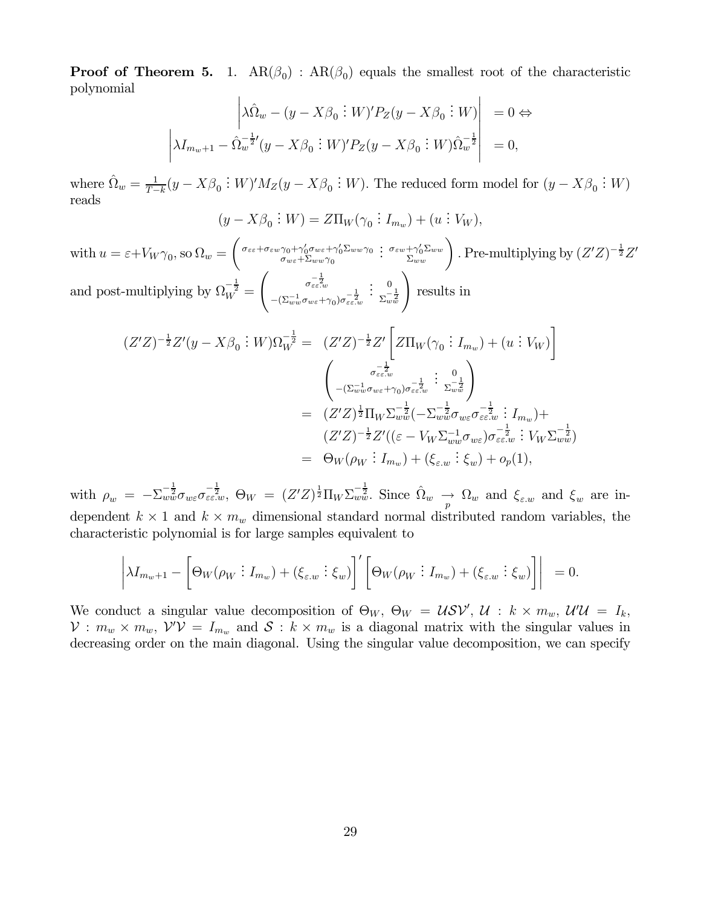**Proof of Theorem 5.** 1.  $AR(\beta_0)$ :  $AR(\beta_0)$  equals the smallest root of the characteristic polynomial

$$
\left|\lambda \hat{\Omega}_w - (y - X\beta_0 \; \vdots \; W)'P_Z(y - X\beta_0 \; \vdots \; W)\right| = 0 \Leftrightarrow
$$
  

$$
\left|\lambda I_{m_w+1} - \hat{\Omega}_w^{-\frac{1}{2}}(y - X\beta_0 \; \vdots \; W)'P_Z(y - X\beta_0 \; \vdots \; W)\hat{\Omega}_w^{-\frac{1}{2}}\right| = 0,
$$

where  $\hat{\Omega}_w = \frac{1}{T-k} (y - X\beta_0 : W)' M_Z(y - X\beta_0 : W)$ . The reduced form model for  $(y - X\beta_0 : W)$ reads

$$
(y - X\beta_0 : W) = Z\Pi_W(\gamma_0 : I_{m_w}) + (u : V_W),
$$

with  $u = \varepsilon + V_W \gamma_0$ , so  $\Omega_w =$  $\int \sigma_{\varepsilon \varepsilon} + \sigma_{\varepsilon w} \gamma_0 + \gamma_0' \sigma_{w \varepsilon} + \gamma_0' \Sigma_{w w} \gamma_0$  $\sigma_{w\varepsilon}+\Sigma_{ww}\gamma_0$  $\left\{ \begin{array}{l} \mathfrak{S}_{\varepsilon w} + \gamma_0' \Sigma_{ww} \ \Sigma_{ww} \end{array} \right\}$  . Pre-multiplying by  $(Z'Z)^{-\frac{1}{2}}Z'$ and post-multiplying by  $\Omega_W^{-\frac{1}{2}} =$  $\int \frac{-\frac{1}{2}}{\sigma_{\varepsilon\varepsilon.w}}$  $-(\Sigma_{ww}^{-1}\sigma_{w\varepsilon}+\gamma_0)\sigma_{\varepsilon\varepsilon,w}^{-\tfrac{1}{2}}$  $\left(\begin{array}{c} 0 \\ \sum_{w=1}^{-\frac{1}{2}} \end{array}\right)$  results in

$$
(Z'Z)^{-\frac{1}{2}}Z'(y - X\beta_0 : W)\Omega_W^{-\frac{1}{2}} = (Z'Z)^{-\frac{1}{2}}Z'\left[Z\Pi_W(\gamma_0 : I_{m_w}) + (u : V_W)\right]
$$

$$
= \begin{pmatrix} \sigma_{\varepsilon\varepsilon\cdot w}^{-\frac{1}{2}} & 0\\ -(\Sigma_{ww}^{-1}\sigma_{w\varepsilon}+\gamma_0)\sigma_{\varepsilon\varepsilon\cdot w}^{-\frac{1}{2}} & \Sigma_{ww}^{-\frac{1}{2}} \end{pmatrix}
$$

$$
= (Z'Z)^{\frac{1}{2}}\Pi_W\Sigma_{ww}^{-\frac{1}{2}}(-\Sigma_{ww}^{-\frac{1}{2}}\sigma_{w\varepsilon}\sigma_{\varepsilon\varepsilon\cdot w}^{-\frac{1}{2}} : I_{m_w}) +
$$

$$
(Z'Z)^{-\frac{1}{2}}Z'((\varepsilon - V_W\Sigma_{ww}^{-1}\sigma_{w\varepsilon})\sigma_{\varepsilon\varepsilon\cdot w}^{-\frac{1}{2}} : V_W\Sigma_{ww}^{-\frac{1}{2}})
$$

$$
= \Theta_W(\rho_W : I_{m_w}) + (\xi_{\varepsilon\cdot w} : \xi_w) + o_p(1),
$$

with  $\rho_w = -\Sigma_{ww}^{-\frac{1}{2}} \sigma_{w\varepsilon} \sigma_{\varepsilon\varepsilon\ldots w}^{-\frac{1}{2}}, \ \Theta_W = (Z'Z)^{\frac{1}{2}} \Pi_W \Sigma_{ww}^{-\frac{1}{2}}.$  Since  $\hat{\Omega}_w \to \Omega_w$  and  $\xi_{\varepsilon\ldots w}$  and  $\xi_w$  are independent  $k \times 1$  and  $k \times m_w$  dimensional standard normal distributed random variables, the characteristic polynomial is for large samples equivalent to

$$
\left|\lambda I_{m_w+1} - \left[\Theta_W(\rho_W : I_{m_w}) + (\xi_{\varepsilon,w} : \xi_w)\right]'\left[\Theta_W(\rho_W : I_{m_w}) + (\xi_{\varepsilon,w} : \xi_w)\right]\right| = 0.
$$

We conduct a singular value decomposition of  $\Theta_W$ ,  $\Theta_W = \mathcal{U} \mathcal{SV}'$ ,  $\mathcal{U} : k \times m_w$ ,  $\mathcal{U}'\mathcal{U} = I_k$ ,  $\mathcal{V}: m_w \times m_w, \ \mathcal{V}'\mathcal{V} = I_{m_w}$  and  $\mathcal{S}: k \times m_w$  is a diagonal matrix with the singular values in decreasing order on the main diagonal. Using the singular value decomposition, we can specify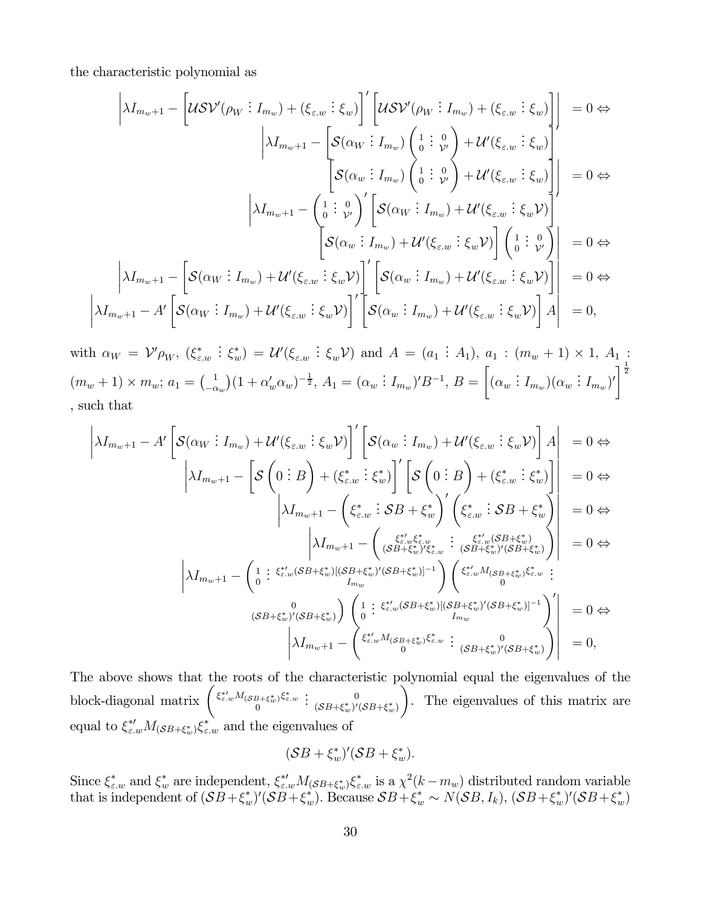the characteristic polynomial as

¯ ¯ ¯  $\frac{1}{2}$ 

$$
\begin{aligned}\n\left| \lambda I_{m_{w}+1} - \left[ \mathcal{U} \mathcal{S} \mathcal{V}'(\rho_{W} : I_{m_{w}}) + (\xi_{\varepsilon,w} : \xi_{w}) \right]' \left[ \mathcal{U} \mathcal{S} \mathcal{V}'(\rho_{W} : I_{m_{w}}) + (\xi_{\varepsilon,w} : \xi_{w}) \right] \right] &= 0 \Leftrightarrow \\
& \left| \lambda I_{m_{w}+1} - \left[ \mathcal{S}(\alpha_{W} : I_{m_{w}}) \begin{pmatrix} 1 : 0 \\ 0 : \mathcal{V} \end{pmatrix} + \mathcal{U}'(\xi_{\varepsilon,w} : \xi_{w}) \right] \right| &= 0 \Leftrightarrow \\
& \left| \lambda I_{m_{w}+1} - \begin{pmatrix} 1 : 0 \\ 0 : \mathcal{V} \end{pmatrix} \right| \left[ \mathcal{S}(\alpha_{W} : I_{m_{w}}) + \mathcal{U}'(\xi_{\varepsilon,w} : \xi_{w}) \right] \right| &= 0 \Leftrightarrow \\
& \left| \lambda I_{m_{w}+1} - \left[ \mathcal{S}(\alpha_{W} : I_{m_{w}}) + \mathcal{U}'(\xi_{\varepsilon,w} : \xi_{w}) \right] \left( \begin{pmatrix} 1 : 0 \\ 0 : \mathcal{V} \end{pmatrix} \right) \left( \begin{pmatrix} 1 : 0 \\ 0 : \mathcal{V} \end{pmatrix} \right) \right| &= 0 \Leftrightarrow \\
& \left| \lambda I_{m_{w}+1} - \left[ \mathcal{S}(\alpha_{W} : I_{m_{w}}) + \mathcal{U}'(\xi_{\varepsilon,w} : \xi_{w}) \right] \right|' \left[ \mathcal{S}(\alpha_{w} : I_{m_{w}}) + \mathcal{U}'(\xi_{\varepsilon,w} : \xi_{w}) \right] \right| &= 0 \Leftrightarrow \\
& \lambda I_{m_{w}+1} - A' \left[ \mathcal{S}(\alpha_{W} : I_{m_{w}}) + \mathcal{U}'(\xi_{\varepsilon,w} : \xi_{w}) \right] \right|' \left[ \mathcal{S}(\alpha_{w} : I_{m_{w}}) + \mathcal{U}'(\xi_{\varepsilon,w} : \xi_{w}) \right] \right| &= 0,\n\end{
$$

with  $\alpha_W = \mathcal{V}' \rho_W$ ,  $(\xi_{\varepsilon,w}^*)$  $\mathcal{L}(\xi_w^*) = \mathcal{U}'(\xi_{\varepsilon,w} : \xi_w \mathcal{V})$  and  $A = (a_1 : A_1), a_1 : (m_w + 1) \times 1, A_1$  $(m_w + 1) \times m_w; a_1 = \begin{pmatrix} 1 \\ -\alpha_w \end{pmatrix}$  $(1 + \alpha_w' \alpha_w)^{-\frac{1}{2}}, A_1 = (\alpha_w : I_{m_w})' B^{-1}, B =$ ·  $(\alpha_w : I_{m_w})(\alpha_w : I_{m_w})'$  $\frac{1}{2}$ , such that

$$
\begin{vmatrix}\n\lambda I_{m_{w}+1} - A' \left[ \mathcal{S}(\alpha_{W} : I_{m_{w}}) + \mathcal{U}'(\xi_{\varepsilon,w} : \xi_{w} \mathcal{V}) \right] \n\end{vmatrix}' \n\begin{vmatrix}\n\mathcal{S}(\alpha_{w} : I_{m_{w}}) + \mathcal{U}'(\xi_{\varepsilon,w} : \xi_{w} \mathcal{V}) \n\end{vmatrix} A \n= 0 \Leftrightarrow
$$
\n
$$
\begin{vmatrix}\n\lambda I_{m_{w}+1} - \left[ \mathcal{S} \left( 0 : B \right) + (\xi_{\varepsilon,w}^{*} : \xi_{w}^{*}) \right] \n\begin{vmatrix}\n\mathcal{S} \left( 0 : B \right) + (\xi_{\varepsilon,w}^{*} : \xi_{w}^{*}) \n\end{vmatrix}' \n\begin{vmatrix}\n\mathcal{S} \left( 0 : B \right) + (\xi_{\varepsilon,w}^{*} : \xi_{w}^{*}) \n\end{vmatrix} = 0 \Leftrightarrow
$$
\n
$$
\begin{vmatrix}\n\lambda I_{m_{w}+1} - \left( \xi_{\varepsilon,w}^{*} : \mathcal{S}B + \xi_{w}^{*} \right) \n\begin{vmatrix}\n\xi_{\varepsilon,w}^{*} : \mathcal{S}B + \xi_{w}^{*} \n\end{vmatrix} = 0 \Leftrightarrow
$$
\n
$$
\begin{vmatrix}\n\lambda I_{m_{w}+1} - \left( 1 : \xi_{\varepsilon,w}^{*}(\mathcal{S}B + \xi_{w}^{*})|(\mathcal{S}B + \xi_{w}^{*})|^{(S}B + \xi_{w}^{*})|^{(S}B + \xi_{w}^{*})\n\end{vmatrix}' = 0 \Leftrightarrow
$$
\n
$$
\begin{vmatrix}\n0 \\
\lambda I_{m_{w}+1} - \left( 1 : \xi_{\varepsilon,w}^{*}(\mathcal{S}B + \xi_{w}^{*})|(\mathcal{S}B + \xi_{w}^{*})|^{(S}B + \xi_{w}^{*})|^{(S}B + \xi_{w}^{*})|^{(S}B + \xi_{w}^{*})|^{(S}B + \xi_{w}^{*})|^{(S}B + \xi_{w}^{*})|^{(S}B + \xi_{w}^{*})
$$

The above shows that the roots of the characteristic polynomial equal the eigenvalues of the block-diagonal matrix  $\begin{pmatrix} \xi_{\varepsilon,w}^{*M}(s_{B}+\xi_{w}^{*})\xi_{\varepsilon,w}^{*} \\ 0 \end{pmatrix}$  $\vdots$  (SB+ $\xi_w^*$ )'(SB+ $\xi_w^*$ )  $\setminus$ . The eigenvalues of this matrix are equal to  $\xi_{\varepsilon,w}^* M_{(\mathcal{S}B + \xi_w^*)} \xi_{\varepsilon,w}^*$  and the eigenvalues of

$$
(\mathcal{S}B+\xi^*_{w})'(\mathcal{S}B+\xi^*_{w}).
$$

Since  $\xi_{\varepsilon,w}^*$  and  $\xi_w^*$  are independent,  $\xi_{\varepsilon,w}^* M_{(SB+\xi_w^*)} \xi_{\varepsilon,w}^*$  is a  $\chi^2(k-m_w)$  distributed random variable that is independent of  $(SB+\xi_w^*)'(SB+\xi_w^*)$ . Because  $SB+\xi_w^* \sim N(SB, I_k)$ ,  $(SB+\xi_w^*)'(SB+\xi_w^*)$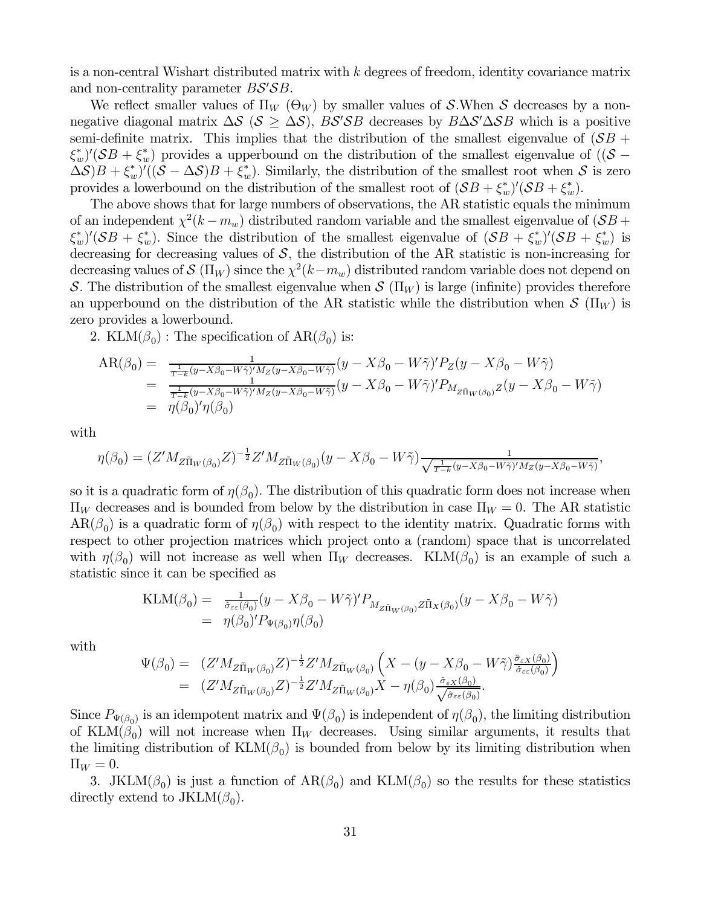is a non-central Wishart distributed matrix with  $k$  degrees of freedom, identity covariance matrix and non-centrality parameter  $BS'SB$ .

We reflect smaller values of  $\Pi_W$  ( $\Theta_W$ ) by smaller values of S.When S decreases by a nonnegative diagonal matrix  $\Delta S$  ( $S \geq \Delta S$ ),  $BS'SB$  decreases by  $B\Delta S'\Delta SB$  which is a positive semi-definite matrix. This implies that the distribution of the smallest eigenvalue of  $(SB +$  $(\mathcal{S}_w)(\mathcal{S}_w + \mathcal{S}_w^*)$  provides a upperbound on the distribution of the smallest eigenvalue of  $((\mathcal{S}_w - \mathcal{S}_w)(\mathcal{S}_w - \mathcal{S}_w))$  $(\Delta S)B + \xi_w^*$  ( $(\mathcal{S} - \Delta S)B + \xi_w^*$ ). Similarly, the distribution of the smallest root when S is zero provides a lowerbound on the distribution of the smallest root of  $(SB + \xi_w^*)'(SB + \xi_w^*)$ .

The above shows that for large numbers of observations, the AR statistic equals the minimum of an independent  $\chi^2(k - m_w)$  distributed random variable and the smallest eigenvalue of  $(SB +$  $(\mathcal{S}_w^*)'(\mathcal{S}_w^* + \xi_w^*)$ . Since the distribution of the smallest eigenvalue of  $(\mathcal{S}_w^* + \xi_w^*)'(\mathcal{S}_w^* + \xi_w^*)$  is decreasing for decreasing values of  $S$ , the distribution of the AR statistic is non-increasing for decreasing values of  $\mathcal{S}(\Pi_W)$  since the  $\chi^2(k-m_w)$  distributed random variable does not depend on S. The distribution of the smallest eigenvalue when  $\mathcal{S}(\Pi_W)$  is large (infinite) provides therefore an upperbound on the distribution of the AR statistic while the distribution when  $\mathcal{S}(\Pi_W)$  is zero provides a lowerbound.

2. KLM( $\beta_0$ ) : The specification of AR( $\beta_0$ ) is:

$$
AR(\beta_0) = \frac{1}{\frac{1}{T-k}(y-X\beta_0 - W\tilde{\gamma})'M_Z(y-X\beta_0 - W\tilde{\gamma})}(y-X\beta_0 - W\tilde{\gamma})'P_Z(y-X\beta_0 - W\tilde{\gamma})
$$
  
= 
$$
\frac{1}{\frac{1}{T-k}(y-X\beta_0 - W\tilde{\gamma})'M_Z(y-X\beta_0 - W\tilde{\gamma})}(y-X\beta_0 - W\tilde{\gamma})'P_{M_{Z\tilde{\Pi}_W(\beta_0)}Z}(y-X\beta_0 - W\tilde{\gamma})
$$
  
= 
$$
\eta(\beta_0)'\eta(\beta_0)
$$

with

$$
\eta(\beta_0) = (Z'M_{Z\tilde{\Pi}_W(\beta_0)}Z)^{-\frac{1}{2}}Z'M_{Z\tilde{\Pi}_W(\beta_0)}(y - X\beta_0 - W\tilde{\gamma})\frac{1}{\sqrt{\frac{1}{T-k}(y - X\beta_0 - W\tilde{\gamma})'M_Z(y - X\beta_0 - W\tilde{\gamma})}},
$$

so it is a quadratic form of  $\eta(\beta_0)$ . The distribution of this quadratic form does not increase when  $\Pi_W$  decreases and is bounded from below by the distribution in case  $\Pi_W = 0$ . The AR statistic  $AR(\beta_0)$  is a quadratic form of  $\eta(\beta_0)$  with respect to the identity matrix. Quadratic forms with respect to other projection matrices which project onto a (random) space that is uncorrelated with  $\eta(\beta_0)$  will not increase as well when  $\Pi_W$  decreases. KLM( $\beta_0$ ) is an example of such a statistic since it can be specified as

$$
\begin{split} \text{KLM}(\beta_0) &= \frac{1}{\hat{\sigma}_{\varepsilon\varepsilon}(\beta_0)} (y - X\beta_0 - W\tilde{\gamma})' P_{M_{Z\tilde{\Pi}_W(\beta_0)} Z\tilde{\Pi}_X(\beta_0)} (y - X\beta_0 - W\tilde{\gamma}) \\ &= \eta(\beta_0)' P_{\Psi(\beta_0)} \eta(\beta_0) \end{split}
$$

with

$$
\Psi(\beta_0) = (Z'M_{Z\tilde{\Pi}_W(\beta_0)}Z)^{-\frac{1}{2}}Z'M_{Z\tilde{\Pi}_W(\beta_0)}\left(X - (y - X\beta_0 - W\tilde{\gamma})\frac{\hat{\sigma}_{\varepsilon X}(\beta_0)}{\hat{\sigma}_{\varepsilon\varepsilon}(\beta_0)}\right)
$$
  
\n
$$
= (Z'M_{Z\tilde{\Pi}_W(\beta_0)}Z)^{-\frac{1}{2}}Z'M_{Z\tilde{\Pi}_W(\beta_0)}X - \eta(\beta_0)\frac{\hat{\sigma}_{\varepsilon X}(\beta_0)}{\sqrt{\hat{\sigma}_{\varepsilon\varepsilon}(\beta_0)}}.
$$

Since  $P_{\Psi(\beta_0)}$  is an idempotent matrix and  $\Psi(\beta_0)$  is independent of  $\eta(\beta_0)$ , the limiting distribution of KLM( $\beta_0$ ) will not increase when  $\Pi_W$  decreases. Using similar arguments, it results that the limiting distribution of  $KLM(\beta_0)$  is bounded from below by its limiting distribution when  $\Pi_W = 0.$ 

3. JKLM( $\beta_0$ ) is just a function of  $AR(\beta_0)$  and  $KLM(\beta_0)$  so the results for these statistics directly extend to  $JKLM(\beta_0)$ .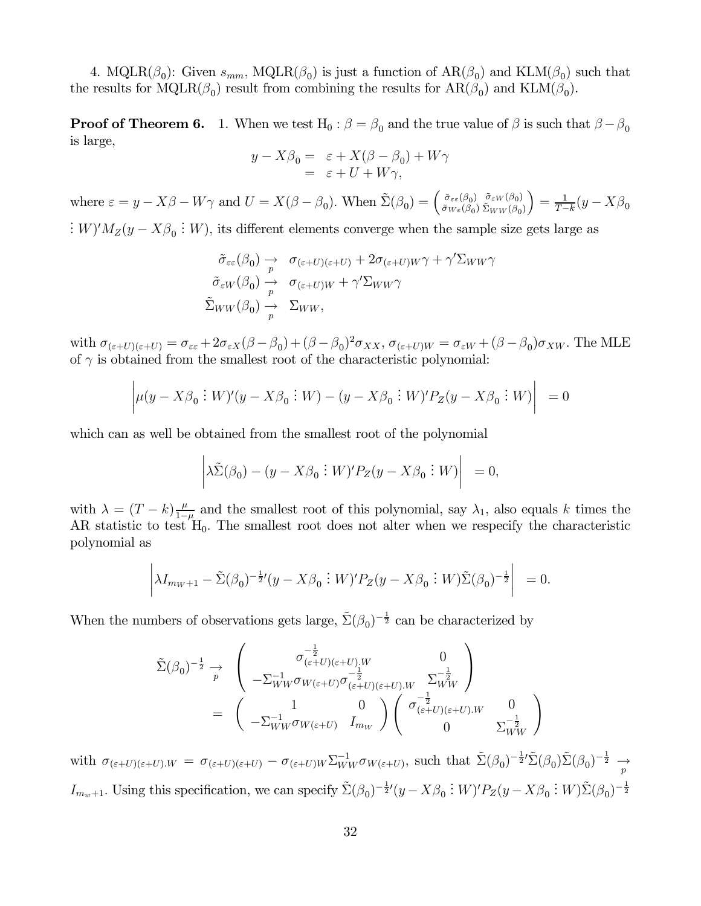4. MQLR( $\beta_0$ ): Given  $s_{mm}$ , MQLR( $\beta_0$ ) is just a function of  $AR(\beta_0)$  and  $KLM(\beta_0)$  such that the results for MQLR( $\beta_0$ ) result from combining the results for  $AR(\beta_0)$  and  $KLM(\beta_0)$ .

**Proof of Theorem 6.** 1. When we test H<sub>0</sub> :  $\beta = \beta_0$  and the true value of  $\beta$  is such that  $\beta - \beta_0$ is large,

$$
y - X\beta_0 = \varepsilon + X(\beta - \beta_0) + W\gamma
$$
  
= \varepsilon + U + W\gamma,

where  $\varepsilon = y - X\beta - W\gamma$  and  $U = X(\beta - \beta_0)$ . When  $\tilde{\Sigma}(\beta_0) = \begin{pmatrix} \tilde{\sigma}_{\varepsilon\varepsilon}(\beta_0) \\ \tilde{\sigma}_{W\varepsilon}(\beta_0) \end{pmatrix}$  $\tilde{\sigma}_{\varepsilon W}(\beta_0)$  $\tilde{\Sigma}_{WW}(\beta_0)$  $= \frac{1}{T-k} (y - X\beta_0)$ 

 $\therefore$  W)' $M_Z(y - X\beta_0 : W)$ , its different elements converge when the sample size gets large as

$$
\tilde{\sigma}_{\varepsilon\varepsilon}(\beta_0) \xrightarrow{p} \sigma_{(\varepsilon+U)(\varepsilon+U)} + 2\sigma_{(\varepsilon+U)W}\gamma + \gamma' \Sigma_{WW}\gamma
$$
  

$$
\tilde{\sigma}_{\varepsilon W}(\beta_0) \xrightarrow{p} \sigma_{(\varepsilon+U)W} + \gamma' \Sigma_{WW}\gamma
$$
  

$$
\tilde{\Sigma}_{WW}(\beta_0) \xrightarrow{p} \Sigma_{WW},
$$

with  $\sigma_{(\varepsilon+U)(\varepsilon+U)} = \sigma_{\varepsilon\varepsilon} + 2\sigma_{\varepsilon X}(\beta-\beta_0) + (\beta-\beta_0)^2\sigma_{XX}, \sigma_{(\varepsilon+U)W} = \sigma_{\varepsilon W} + (\beta-\beta_0)\sigma_{XW}$ . The MLE of  $\gamma$  is obtained from the smallest root of the characteristic polynomial:

$$
\left| \mu(y - X\beta_0 \, \vdots \, W)'(y - X\beta_0 \, \vdots \, W) - (y - X\beta_0 \, \vdots \, W)'P_Z(y - X\beta_0 \, \vdots \, W) \right| \ = 0
$$

which can as well be obtained from the smallest root of the polynomial

$$
\left| \lambda \tilde{\Sigma}(\beta_0) - (y - X\beta_0 \; ; \; W)' P_Z(y - X\beta_0 \; ; \; W) \right| \; = 0,
$$

with  $\lambda = (T - k) \frac{\mu}{1-\mu}$  and the smallest root of this polynomial, say  $\lambda_1$ , also equals k times the AR statistic to test  $H_0$ . The smallest root does not alter when we respecify the characteristic polynomial as

$$
\left| \lambda I_{m_W+1} - \tilde{\Sigma}(\beta_0)^{-\frac{1}{2}} (y - X\beta_0 \; \vdots \; W)' P_Z(y - X\beta_0 \; \vdots \; W) \tilde{\Sigma}(\beta_0)^{-\frac{1}{2}} \right| \; = 0.
$$

When the numbers of observations gets large,  $\tilde{\Sigma}(\beta_0)^{-\frac{1}{2}}$  can be characterized by

$$
\tilde{\Sigma}(\beta_0)^{-\frac{1}{2}} \underset{p}{\rightarrow} \begin{pmatrix} \sigma_{(\varepsilon+U)(\varepsilon+U),W}^{-\frac{1}{2}} & 0\\ -\Sigma_{WW}^{-1}\sigma_{W(\varepsilon+U)}\sigma_{(\varepsilon+U)(\varepsilon+U),W}^{-\frac{1}{2}} & \Sigma_{WW}^{-\frac{1}{2}}\\ -\Sigma_{WW}^{-1}\sigma_{W(\varepsilon+U)} & I_{m_W} \end{pmatrix} \begin{pmatrix} 0\\ \sigma_{(\varepsilon+U)(\varepsilon+U),W}^{-\frac{1}{2}} & 0\\ 0 & \Sigma_{WW}^{-\frac{1}{2}} \end{pmatrix}
$$

with  $\sigma_{(\varepsilon+U)(\varepsilon+U),W} = \sigma_{(\varepsilon+U)(\varepsilon+U)} - \sigma_{(\varepsilon+U)W} \Sigma_{WW}^{-1} \sigma_{W(\varepsilon+U)},$  such that  $\tilde{\Sigma}(\beta_0)^{-\frac{1}{2}} \tilde{\Sigma}(\beta_0) \tilde{\Sigma}(\beta_0)^{-\frac{1}{2}} \rightarrow$  $I_{m_w+1}$ . Using this specification, we can specify  $\tilde{\Sigma}(\beta_0)^{-\frac{1}{2}}(y - X\beta_0 : W)'P_Z(y - X\beta_0 : W)\tilde{\Sigma}(\beta_0)^{-\frac{1}{2}}$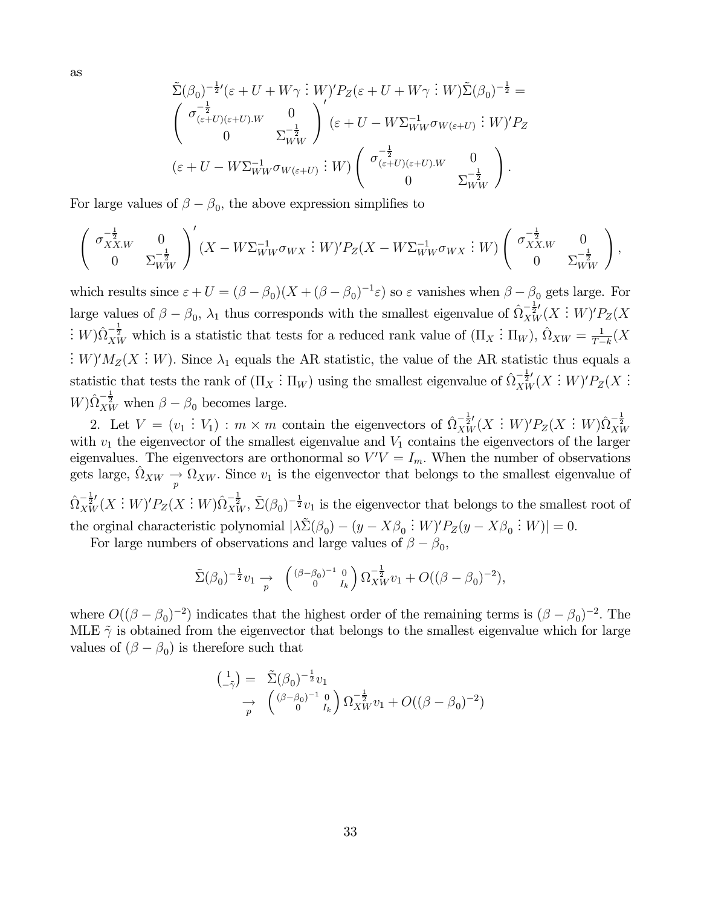as

$$
\tilde{\Sigma}(\beta_0)^{-\frac{1}{2}'}(\varepsilon + U + W\gamma : W)'P_Z(\varepsilon + U + W\gamma : W)\tilde{\Sigma}(\beta_0)^{-\frac{1}{2}} =
$$
\n
$$
\begin{pmatrix}\n\sigma_{(\varepsilon+U)(\varepsilon+U)\cdot W}^{-\frac{1}{2}} & 0 \\
0 & \Sigma_{WW}^{-\frac{1}{2}}\n\end{pmatrix}'(\varepsilon + U - W\Sigma_{WW}^{-1}\sigma_{W(\varepsilon+U)} : W)'P_Z
$$
\n
$$
(\varepsilon + U - W\Sigma_{WW}^{-1}\sigma_{W(\varepsilon+U)} : W) \begin{pmatrix}\n\sigma_{(\varepsilon+U)(\varepsilon+U)\cdot W}^{-\frac{1}{2}} & 0 \\
0 & \Sigma_{WW}^{-\frac{1}{2}}\n\end{pmatrix}.
$$

For large values of  $\beta - \beta_0$ , the above expression simplifies to

$$
\begin{pmatrix}\n\sigma_{XXW}^{-\frac{1}{2}} & 0 \\
0 & \Sigma_{WW}^{-\frac{1}{2}}\n\end{pmatrix}' (X - W\Sigma_{WW}^{-1}\sigma_{WX} : W)'P_Z(X - W\Sigma_{WW}^{-1}\sigma_{WX} : W) \begin{pmatrix}\n\sigma_{XXW}^{-\frac{1}{2}} & 0 \\
0 & \Sigma_{WW}^{-\frac{1}{2}}\n\end{pmatrix},
$$

which results since  $\varepsilon + U = (\beta - \beta_0)(X + (\beta - \beta_0)^{-1}\varepsilon)$  so  $\varepsilon$  vanishes when  $\beta - \beta_0$  gets large. For large values of  $\beta - \beta_0$ ,  $\lambda_1$  thus corresponds with the smallest eigenvalue of  $\hat{\Omega}_{XW}^{-\frac{1}{2}'}(X:W)'P_Z(X)$  $\therefore$  W) $\hat{\Omega}_{XW}^{-\frac{1}{2}}$  which is a statistic that tests for a reduced rank value of  $(\Pi_X : \Pi_W)$ ,  $\hat{\Omega}_{XW} = \frac{1}{T-k}(X)$ :  $W)'M_Z(X:W)$ . Since  $\lambda_1$  equals the AR statistic, the value of the AR statistic thus equals a statistic that tests the rank of  $(\Pi_X : \Pi_W)$  using the smallest eigenvalue of  $\hat{\Omega}_{XW}^{-\frac{1}{2}}(X : W)'P_Z(X : W)'$  $W$ ) $\hat{\Omega}_{XW}^{-\frac{1}{2}}$  when  $\beta - \beta_0$  becomes large.

2. Let  $V = (v_1 : V_1) : m \times m$  contain the eigenvectors of  $\hat{\Omega}_{XW}^{-\frac{1}{2}}(X : W)'P_Z(X : W)\hat{\Omega}_{XW}^{-\frac{1}{2}}$ with  $v_1$  the eigenvector of the smallest eigenvalue and  $V_1$  contains the eigenvectors of the larger eigenvalues. The eigenvectors are orthonormal so  $V'V = I_m$ . When the number of observations gets large,  $\hat{\Omega}_{XW} \to \hat{\Omega}_{XW}$ . Since  $v_1$  is the eigenvector that belongs to the smallest eigenvalue of  $\hat{\Omega}_{XW}^{-\frac{1}{2}'}(X:W)'P_Z(X:W)\hat{\Omega}_{XW}^{-\frac{1}{2}}, \tilde{\Sigma}(\beta_0)^{-\frac{1}{2}}v_1$  is the eigenvector that belongs to the smallest root of the orginal characteristic polynomial  $|\lambda \tilde{\Sigma}(\beta_0) - (y - X\beta_0 : W)'P_Z(y - X\beta_0 : W)| = 0.$ 

For large numbers of observations and large values of  $\beta - \beta_0$ ,

$$
\tilde{\Sigma}(\beta_0)^{-\frac{1}{2}}v_1 \xrightarrow{P} \begin{pmatrix} (\beta - \beta_0)^{-1} & 0 \\ 0 & I_k \end{pmatrix} \Omega_{XW}^{-\frac{1}{2}}v_1 + O((\beta - \beta_0)^{-2}),
$$

where  $O((\beta - \beta_0)^{-2})$  indicates that the highest order of the remaining terms is  $(\beta - \beta_0)^{-2}$ . The MLE  $\tilde{\gamma}$  is obtained from the eigenvector that belongs to the smallest eigenvalue which for large values of  $(\beta - \beta_0)$  is therefore such that

$$
\begin{array}{ll} \left(\begin{matrix} 1 \\ -\tilde{\gamma} \end{matrix}\right) = & \tilde{\Sigma}(\beta_0)^{-\frac{1}{2}}v_1\\ \rightarrow & \left(\begin{matrix} (\beta-\beta_0)^{-1} & 0 \\ 0 & I_k \end{matrix}\right) \Omega_{XW}^{-\frac{1}{2}}v_1 + O((\beta-\beta_0)^{-2}) \end{array}
$$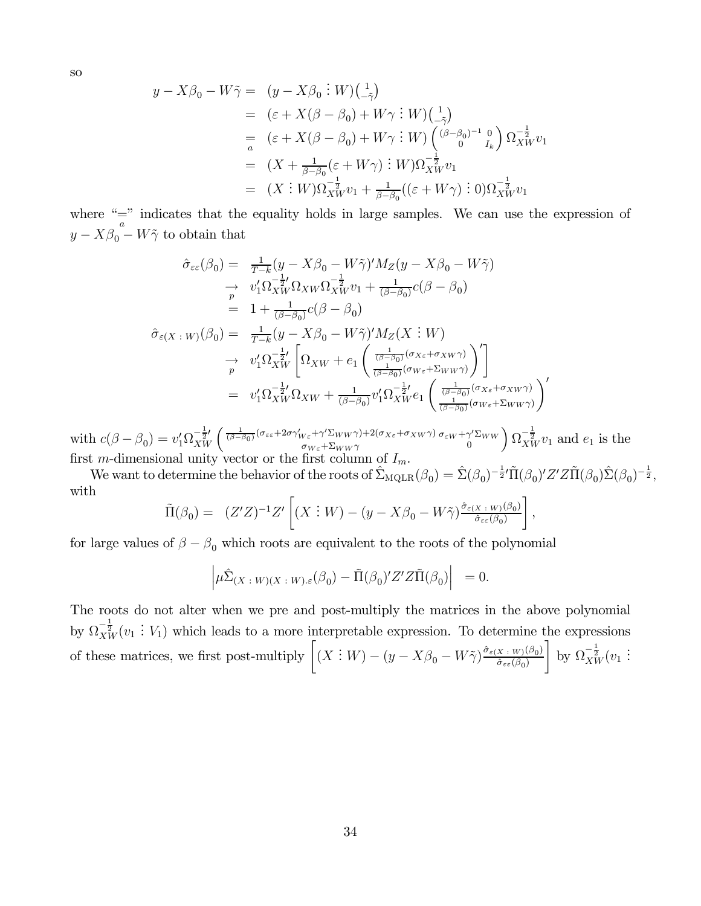so

$$
y - X\beta_0 - W\tilde{\gamma} = (y - X\beta_0 : W)(\frac{1}{-\tilde{\gamma}})
$$
  
\n
$$
= (\varepsilon + X(\beta - \beta_0) + W\gamma : W)(\frac{1}{-\tilde{\gamma}})
$$
  
\n
$$
= (\varepsilon + X(\beta - \beta_0) + W\gamma : W)(\frac{(\beta - \beta_0)^{-1} \rho}{\rho} ) \Omega_{XW}^{-\frac{1}{2}} v_1
$$
  
\n
$$
= (X + \frac{1}{\beta - \beta_0} (\varepsilon + W\gamma) : W) \Omega_{XW}^{-\frac{1}{2}} v_1
$$
  
\n
$$
= (X : W) \Omega_{XW}^{-\frac{1}{2}} v_1 + \frac{1}{\beta - \beta_0} ((\varepsilon + W\gamma) : 0) \Omega_{XW}^{-\frac{1}{2}} v_1
$$

where " $\frac{a}{a}$ " indicates that the equality holds in large samples. We can use the expression of  $y - X\beta_0 - W\tilde{\gamma}$  to obtain that

$$
\hat{\sigma}_{\varepsilon\varepsilon}(\beta_0) = \frac{1}{T-k}(y - X\beta_0 - W\tilde{\gamma})'M_Z(y - X\beta_0 - W\tilde{\gamma})
$$
\n
$$
\rightarrow v_1'\Omega_{XW}^{-\frac{1}{2}'}\Omega_{XW}\Omega_{XW}^{-\frac{1}{2}}v_1 + \frac{1}{(\beta-\beta_0)}c(\beta-\beta_0)
$$
\n
$$
= 1 + \frac{1}{(\beta-\beta_0)}c(\beta-\beta_0)
$$
\n
$$
\hat{\sigma}_{\varepsilon(X\cdot W)}(\beta_0) = \frac{1}{T-k}(y - X\beta_0 - W\tilde{\gamma})'M_Z(X\cdot W)
$$
\n
$$
\rightarrow v_1'\Omega_{XW}^{-\frac{1}{2}'}\left[\Omega_{XW} + e_1\left(\frac{\frac{1}{(\beta-\beta_0)}(\sigma_{X\varepsilon} + \sigma_{XW}\gamma)}{\frac{1}{(\beta-\beta_0)}(\sigma_{W\varepsilon} + \Sigma_{WW}\gamma)}\right)'\right]
$$
\n
$$
= v_1'\Omega_{XW}^{-\frac{1}{2}'}\Omega_{XW} + \frac{1}{(\beta-\beta_0)}v_1'\Omega_{XW}^{-\frac{1}{2}'}e_1\left(\frac{\frac{1}{(\beta-\beta_0)}(\sigma_{X\varepsilon} + \sigma_{XW}\gamma)}{\frac{1}{(\beta-\beta_0)}(\sigma_{W\varepsilon} + \Sigma_{WW}\gamma)}\right)'
$$

with  $c(\beta - \beta_0) = v_1' \Omega_{XW}^{-\frac{1}{2}'} \left( \frac{1}{(\beta - \beta_0)} (\sigma_{\varepsilon \varepsilon} + 2\sigma \gamma'_{W\varepsilon} + \gamma' \Sigma_{WW} \gamma) + 2(\sigma_{X\varepsilon} + \sigma_{XW} \gamma) \right)$  $\sigma_{W\varepsilon}+\Sigma_{WW}\gamma$  $\sigma_{\varepsilon W}$  +  $\gamma' \Sigma_{WW}$ 0  $\int \Omega_{XW}^{-\frac{1}{2}} v_1$  and  $e_1$  is the first m-dimensional unity vector or the first column of  $I_m$ .

We want to determine the behavior of the roots of  $\hat{\Sigma}_{\text{MQLR}}(\beta_0) = \hat{\Sigma}(\beta_0)^{-\frac{1}{2}}\tilde{\Pi}(\beta_0)'Z'Z\tilde{\Pi}(\beta_0)\hat{\Sigma}(\beta_0)^{-\frac{1}{2}},$ with

$$
\tilde{\Pi}(\beta_0) = (Z'Z)^{-1}Z' \left[ (X:W) - (y - X\beta_0 - W\tilde{\gamma}) \frac{\hat{\sigma}_{\varepsilon(X \colon W)}(\beta_0)}{\hat{\sigma}_{\varepsilon\varepsilon}(\beta_0)} \right],
$$

for large values of  $\beta - \beta_0$  which roots are equivalent to the roots of the polynomial

$$
\left|\mu\hat{\Sigma}_{(X\; : \; W)(X\; : \; W)\cdot\epsilon}(\beta_0)-\tilde{\Pi}(\beta_0)'Z'Z\tilde{\Pi}(\beta_0)\right| = 0.
$$

The roots do not alter when we pre and post-multiply the matrices in the above polynomial by  $\Omega_{XW}^{-\frac{1}{2}}(v_1:V_1)$  which leads to a more interpretable expression. To determine the expressions of these matrices, we first post-multiply  $\left[ (X : W) - (y - X\beta_0 - W\tilde{\gamma}) \frac{\hat{\sigma}_{\varepsilon(X \cdot W)}(\beta_0)}{\hat{\sigma}_{\varepsilon\varepsilon}(\beta_0)} \right]$  $\hat{\sigma}_{\varepsilon\varepsilon}(\beta_0)$  $\Big]$  by  $\Omega_{XW}^{-\frac{1}{2}}(v_1$ :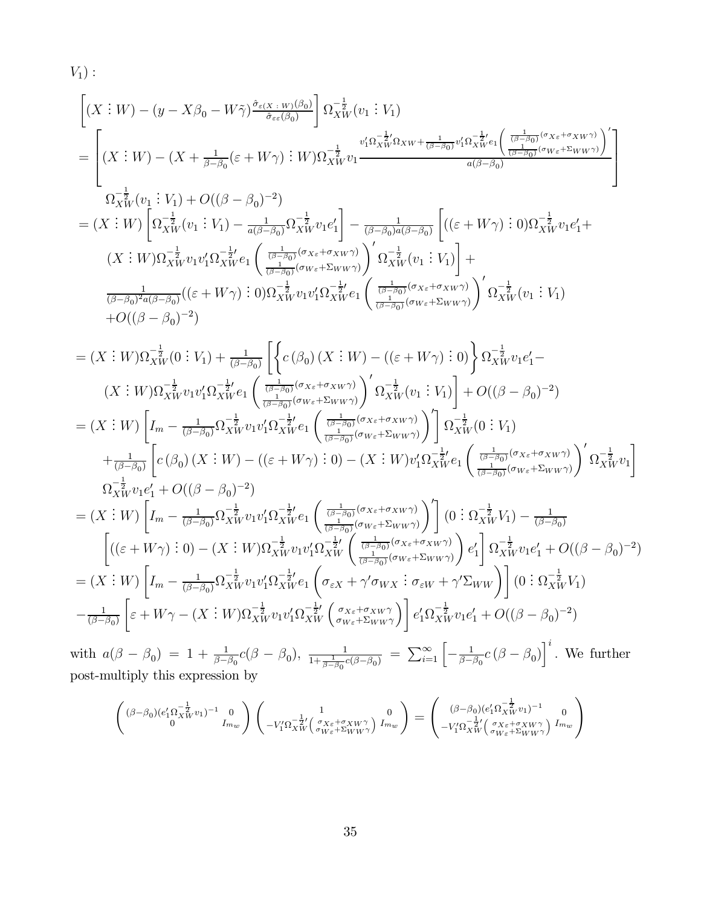V1) : · (<sup>X</sup> . . . W) − (y − Xβ<sup>0</sup> − Wγ˜) σˆε(<sup>X</sup> : <sup>W</sup>)(β0) σˆεε(β0) ¸ Ω<sup>−</sup><sup>1</sup> 2 XW (v<sup>1</sup> . . . V1) = (<sup>X</sup> . . . <sup>W</sup>) <sup>−</sup> (<sup>X</sup> <sup>+</sup> <sup>1</sup> β−β<sup>0</sup> (<sup>ε</sup> <sup>+</sup> W γ) . . . <sup>W</sup>)Ω<sup>−</sup> <sup>1</sup> 2 XW v<sup>1</sup> v0 1Ω<sup>−</sup> <sup>1</sup> 2 0 XW <sup>Ω</sup>XW <sup>+</sup> <sup>1</sup> (β−β0) <sup>v</sup><sup>0</sup> 1Ω<sup>−</sup> <sup>1</sup> 2 0 XW e<sup>1</sup> <sup>Ã</sup> <sup>1</sup> (β−β0) (σXε+σXW <sup>γ</sup>) <sup>1</sup> (β−β0) (σW ε+ΣWW <sup>γ</sup>) !0 a(β−β0) <sup>Ω</sup><sup>−</sup> <sup>1</sup> 2 XW (v<sup>1</sup> . . . <sup>V</sup>1) + <sup>O</sup>((<sup>β</sup> <sup>−</sup> <sup>β</sup>0)−<sup>2</sup>) = (<sup>X</sup> . . . W) · Ω<sup>−</sup><sup>1</sup> 2 XW (v<sup>1</sup> . . . <sup>V</sup>1) <sup>−</sup> <sup>1</sup> <sup>a</sup>(β−β0)Ω<sup>−</sup> <sup>1</sup> 2 XW v1e<sup>0</sup> 1 ¸ <sup>−</sup> <sup>1</sup> (β−β0)a(β−β0) · ((<sup>ε</sup> <sup>+</sup> W γ) . . . 0)Ω<sup>−</sup> <sup>1</sup> 2 XW v1e<sup>0</sup> 1+ (<sup>X</sup> . . . <sup>W</sup>)Ω<sup>−</sup> <sup>1</sup> 2 XW v1v<sup>0</sup> 1Ω<sup>−</sup> <sup>1</sup> 2 0 XW e<sup>1</sup> µ <sup>1</sup> (β−β0) (σXε+σXW <sup>γ</sup>) 1 (β−β0) (σW ε+ΣWW <sup>γ</sup>) ¶0 <sup>Ω</sup><sup>−</sup> <sup>1</sup> 2 XW (v<sup>1</sup> . . . V1) ¸ + 1 (β−β0)2a(β−β0) ((<sup>ε</sup> <sup>+</sup> W γ) . . . 0)Ω<sup>−</sup> <sup>1</sup> 2 XW v1v<sup>0</sup> 1Ω<sup>−</sup> <sup>1</sup> 2 0 XW e<sup>1</sup> µ <sup>1</sup> (β−β0) (σXε+σXW <sup>γ</sup>) 1 (β−β0) (σW ε+ΣWW <sup>γ</sup>) ¶0 <sup>Ω</sup><sup>−</sup> <sup>1</sup> 2 XW (v<sup>1</sup> . . . V1) <sup>+</sup>O((<sup>β</sup> <sup>−</sup> <sup>β</sup>0)−<sup>2</sup>) = (<sup>X</sup> . . . <sup>W</sup>)Ω<sup>−</sup> <sup>1</sup> 2 XW (0 . . . V1) + <sup>1</sup> (β−β0) ·½<sup>c</sup> (β0) (<sup>X</sup> . . . <sup>W</sup>) <sup>−</sup> ((<sup>ε</sup> <sup>+</sup> W γ) . . . 0)<sup>¾</sup> <sup>Ω</sup><sup>−</sup> <sup>1</sup> 2 XW v1e<sup>0</sup> <sup>1</sup>− (<sup>X</sup> . . . <sup>W</sup>)Ω<sup>−</sup><sup>1</sup> 2 XW v1v<sup>0</sup> 1Ω<sup>−</sup><sup>1</sup> 2 0 XW e<sup>1</sup> µ <sup>1</sup> (β−β0) (σXε+σXW <sup>γ</sup>) 1 (β−β0) (σW ε+ΣWW <sup>γ</sup>) ¶0 Ω<sup>−</sup><sup>1</sup> 2 XW (v<sup>1</sup> . . . V1) ¸ <sup>+</sup> <sup>O</sup>((<sup>β</sup> <sup>−</sup> <sup>β</sup>0)−<sup>2</sup>) = (<sup>X</sup> . . . W) · <sup>I</sup><sup>m</sup> <sup>−</sup> <sup>1</sup> (β−β0)Ω<sup>−</sup><sup>1</sup> 2 XW v1v<sup>0</sup> 1Ω<sup>−</sup> <sup>1</sup> 2 0 XW e<sup>1</sup> µ <sup>1</sup> (β−β0) (σXε+σXW <sup>γ</sup>) 1 (β−β0) (σW ε+ΣWW <sup>γ</sup>) ¶0¸ Ω<sup>−</sup><sup>1</sup> 2 XW (0 . . . V1) + <sup>1</sup> (β−β0) · <sup>c</sup> (β0) (<sup>X</sup> . . . <sup>W</sup>) <sup>−</sup> ((<sup>ε</sup> <sup>+</sup> W γ) . . . 0) <sup>−</sup> (<sup>X</sup> . . . W)v<sup>0</sup> 1Ω<sup>−</sup> <sup>1</sup> 2 0 XW e<sup>1</sup> µ <sup>1</sup> (β−β0) (σXε+σXW <sup>γ</sup>) 1 (β−β0) (σW ε+ΣWW <sup>γ</sup>) ¶0 <sup>Ω</sup><sup>−</sup> <sup>1</sup> 2 XW v<sup>1</sup> ¸ <sup>Ω</sup><sup>−</sup> <sup>1</sup> 2 XW v1e<sup>0</sup> <sup>1</sup> <sup>+</sup> <sup>O</sup>((<sup>β</sup> <sup>−</sup> <sup>β</sup>0)−<sup>2</sup>) = (<sup>X</sup> . . . W) · <sup>I</sup><sup>m</sup> <sup>−</sup> <sup>1</sup> (β−β0)Ω<sup>−</sup><sup>1</sup> 2 XW v1v<sup>0</sup> 1Ω<sup>−</sup> <sup>1</sup> 2 0 XW e<sup>1</sup> µ <sup>1</sup> (β−β0) (σXε+σXW <sup>γ</sup>) 1 (β−β0) (σW ε+ΣWW <sup>γ</sup>) ¶0¸ (0 . . . <sup>Ω</sup><sup>−</sup> <sup>1</sup> 2 XW <sup>V</sup>1) <sup>−</sup> <sup>1</sup> (β−β0) · ((<sup>ε</sup> <sup>+</sup> W γ) . . . 0) <sup>−</sup> (<sup>X</sup> . . . <sup>W</sup>)Ω<sup>−</sup><sup>1</sup> 2 XW v1v<sup>0</sup> 1Ω<sup>−</sup><sup>1</sup> 2 0 XW <sup>µ</sup> <sup>1</sup> (β−β0) (σXε+σXW <sup>γ</sup>) 1 (β−β0) (σW ε+ΣWW <sup>γ</sup>) ¶ e0 1 ¸ <sup>Ω</sup><sup>−</sup> <sup>1</sup> 2 XW v1e<sup>0</sup> <sup>1</sup> <sup>+</sup> <sup>O</sup>((<sup>β</sup> <sup>−</sup> <sup>β</sup>0)−<sup>2</sup>) = (<sup>X</sup> . . . W) · <sup>I</sup><sup>m</sup> <sup>−</sup> <sup>1</sup> (β−β0)Ω<sup>−</sup><sup>1</sup> 2 XW v1v<sup>0</sup> 1Ω<sup>−</sup> <sup>1</sup> 2 0 XW e<sup>1</sup> µ σεX + γ<sup>0</sup> σWX . . . σεW + γ<sup>0</sup> <sup>Σ</sup>WW ¶¸ (0 . . . <sup>Ω</sup><sup>−</sup> <sup>1</sup> 2 XW V1) <sup>−</sup> <sup>1</sup> (β−β0) · <sup>ε</sup> <sup>+</sup> W γ <sup>−</sup> (<sup>X</sup> . . . <sup>W</sup>)Ω<sup>−</sup> <sup>1</sup> 2 XW v1v<sup>0</sup> 1Ω<sup>−</sup> <sup>1</sup> 2 0 XW <sup>³</sup> <sup>σ</sup>Xε+σXW <sup>γ</sup> σW ε+ΣWW γ ´¸ e0 1Ω<sup>−</sup> <sup>1</sup> 2 XW v1e<sup>0</sup> <sup>1</sup> <sup>+</sup> <sup>O</sup>((<sup>β</sup> <sup>−</sup> <sup>β</sup>0)−<sup>2</sup>)

with  $a(\beta - \beta_0) = 1 + \frac{1}{\beta - \beta_0}c(\beta - \beta_0), \frac{1}{1 + \frac{1}{\beta - \beta_0}c(\beta - \beta_0)} = \sum_{i=1}^{\infty} \left[ -\frac{1}{\beta - \beta_0}c(\beta - \beta_0) \right]^i$ . We further post-multiply this expression by

$$
\begin{pmatrix}(\beta-\beta_0)(e'_1\Omega_{XW}^{-\frac{1}{2}}v_1)^{-1}&0\\0&I_{m_W}\end{pmatrix}\begin{pmatrix}1&0\\-V'_1\Omega_{XW}^{-\frac{1}{2}\prime}\begin{pmatrix}\sigma_{X\varepsilon}+\sigma_{XW} \gamma\\ \sigma_{W\varepsilon}+\Sigma_{WW} \gamma\end{pmatrix}I_{m_W}\end{pmatrix}=\begin{pmatrix}(\beta-\beta_0)(e'_1\Omega_{XW}^{-\frac{1}{2}}v_1)^{-1}&0\\-V'_1\Omega_{XW}^{-\frac{1}{2}\prime}\begin{pmatrix}\sigma_{X\varepsilon}+\sigma_{XW} \gamma\\ \sigma_{W\varepsilon}+\Sigma_{WW} \gamma\end{pmatrix}I_{m_W}\end{pmatrix}
$$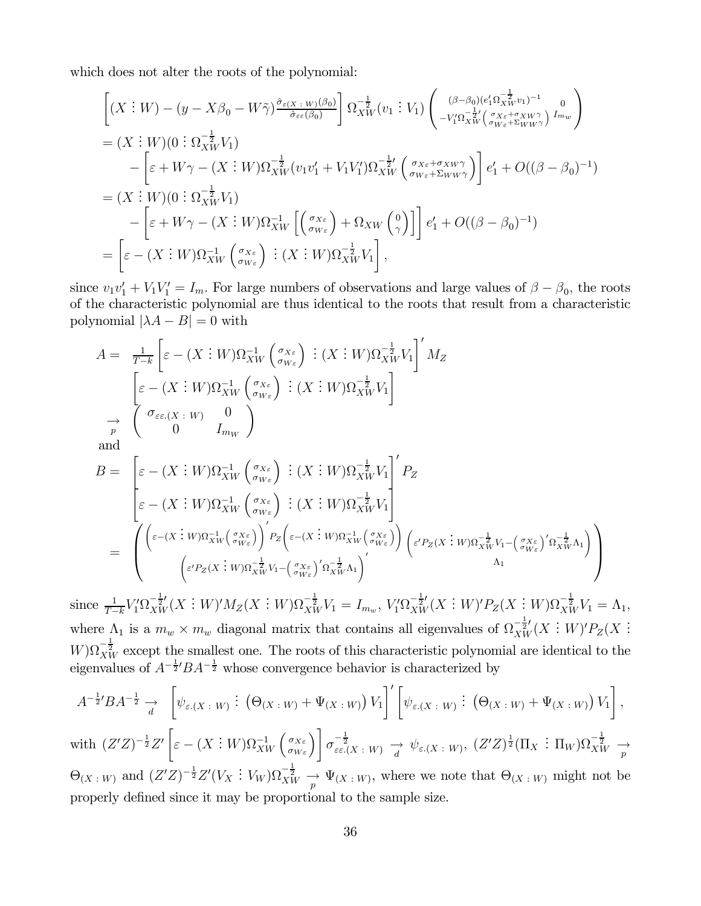which does not alter the roots of the polynomial:

$$
\begin{split}\n&\left[ (X:W) - (y - X\beta_0 - W\tilde{\gamma}) \frac{\partial \varepsilon(x \cdot w)(\beta_0)}{\partial \varepsilon(\beta_0)} \right] \Omega_{XW}^{-\frac{1}{2}}(v_1:V_1) \begin{pmatrix} (\beta - \beta_0)(e'_1 \Omega_{XW}^{-\frac{1}{2}} v_1)^{-1} & 0 \\
-v'_1 \Omega_{XW}^{-\frac{1}{2}}(e_1 \gamma e_1 + \varepsilon \lambda W \gamma e_1) & I_{mw} \end{pmatrix} \\
&= (X:W)(0: \Omega_{XW}^{-\frac{1}{2}} V_1) \\
& \quad - \left[ \varepsilon + W\gamma - (X:W) \Omega_{XW}^{-\frac{1}{2}}(v_1 v'_1 + V_1 V'_1) \Omega_{XW}^{-\frac{1}{2}}(e_1 \gamma e_1 + \varepsilon \lambda W \gamma e_1) \right] e'_1 + O((\beta - \beta_0)^{-1}) \\
&= (X:W)(0: \Omega_{XW}^{-\frac{1}{2}} V_1) \\
& \quad - \left[ \varepsilon + W\gamma - (X:W) \Omega_{XW}^{-1} \left[ \left( \frac{\sigma_{X\varepsilon}}{\sigma_{W\varepsilon}} \right) + \Omega_{XW} \left( \frac{0}{\gamma} \right) \right] \right] e'_1 + O((\beta - \beta_0)^{-1}) \\
&= \left[ \varepsilon - (X:W) \Omega_{XW}^{-1} \left( \frac{\sigma_{X\varepsilon}}{\sigma_{W\varepsilon}} \right) : (X:W) \Omega_{XW}^{-\frac{1}{2}} V_1 \right],\n\end{split}
$$

since  $v_1v_1' + V_1V_1' = I_m$ . For large numbers of observations and large values of  $\beta - \beta_0$ , the roots of the characteristic polynomial are thus identical to the roots that result from a characteristic polynomial  $|\lambda A - B| = 0$  with

$$
A = \frac{1}{T-k} \left[ \varepsilon - (X \colon W) \Omega_{XW}^{-1} \left( \frac{\sigma_{X\varepsilon}}{\sigma_{W\varepsilon}} \right) : (X \colon W) \Omega_{XW}^{-\frac{1}{2}} V_1 \right]' M_Z
$$
\n
$$
\left[ \varepsilon - (X \colon W) \Omega_{XW}^{-1} \left( \frac{\sigma_{X\varepsilon}}{\sigma_{W\varepsilon}} \right) : (X \colon W) \Omega_{XW}^{-\frac{1}{2}} V_1 \right]
$$
\n
$$
\to \left( \frac{\sigma_{\varepsilon\varepsilon.(X \colon W)} 0}{0} I_{m_W} \right)
$$
\nand\n
$$
B = \left[ \varepsilon - (X \colon W) \Omega_{XW}^{-1} \left( \frac{\sigma_{X\varepsilon}}{\sigma_{W\varepsilon}} \right) : (X \colon W) \Omega_{XW}^{-\frac{1}{2}} V_1 \right]' P_Z
$$
\n
$$
\varepsilon - (X \colon W) \Omega_{XW}^{-1} \left( \frac{\sigma_{X\varepsilon}}{\sigma_{W\varepsilon}} \right) : (X \colon W) \Omega_{XW}^{-\frac{1}{2}} V_1
$$
\n
$$
\left( \varepsilon - (X \colon W) \Omega_{XW}^{-1} \left( \frac{\sigma_{X\varepsilon}}{\sigma_{W\varepsilon}} \right) \right)' P_Z \left( \varepsilon - (X \colon W) \Omega_{XW}^{-1} \left( \frac{\sigma_{X\varepsilon}}{\sigma_{W\varepsilon}} \right) \right) \left( \varepsilon' P_Z(X \colon W) \Omega_{XW}^{-\frac{1}{2}} V_1 - \left( \frac{\sigma_{X\varepsilon}}{\sigma_{W\varepsilon}} \right)' \Omega_{XW}^{-\frac{1}{2}} \Lambda_1 \right) \right)
$$

since  $\frac{1}{T-k}V_1'\Omega_{XW}^{-\frac{1}{2}'}(X \; : \; W)'M_Z(X \; : \; W)\Omega_{XW}^{-\frac{1}{2}}V_1 = I_{m_w},\, V_1'\Omega_{XW}^{-\frac{1}{2}'}(X \; : \; W)'P_Z(X \; : \; W)\Omega_{XW}^{-\frac{1}{2}}V_1 = \Lambda_1,$ where  $\Lambda_1$  is a  $m_w \times m_w$  diagonal matrix that contains all eigenvalues of  $\Omega_{XW}^{-\frac{1}{2}}(X:W)'P_Z(X:W)'$  $W$ ) $\Omega_{XW}^{-\frac{1}{2}}$  except the smallest one. The roots of this characteristic polynomial are identical to the eigenvalues of  $A^{-\frac{1}{2}}'BA^{-\frac{1}{2}}$  whose convergence behavior is characterized by

$$
A^{-\frac{1}{2}}BA^{-\frac{1}{2}} \to \left[\psi_{\varepsilon}(X:W) : (\Theta_{(X:W)} + \Psi_{(X:W)}) V_1\right]'\left[\psi_{\varepsilon}(X:W) : (\Theta_{(X:W)} + \Psi_{(X:W)}) V_1\right],
$$

with  $(Z'Z)^{-\frac{1}{2}}Z'$  $\left[\varepsilon-(X:W)\Omega_{XW}^{-1}\left( \begin{smallmatrix}\sigma_{X\varepsilon}\\ \sigma_{W\varepsilon} \end{smallmatrix}\right)\right]\sigma_{\varepsilon\varepsilon.(X+W)}^{-\frac{1}{2}} \xrightarrow[d]{} \psi_{\varepsilon.(X+W)},\ (Z'Z)^{\frac{1}{2}}(\Pi_X\ \vdots\ \Pi_W)\Omega_{XW}^{-\frac{1}{2}} \xrightarrow[p]{}$  $\Theta_{(X|W)}$  and  $(Z'Z)^{-\frac{1}{2}}Z'(V_X:V_W)\Omega_{XW}^{-\frac{1}{2}} \xrightarrow[p]{} \Psi_{(X|W)}$ , where we note that  $\Theta_{(X|W)}$  might not be properly defined since it may be proportional to the sample size.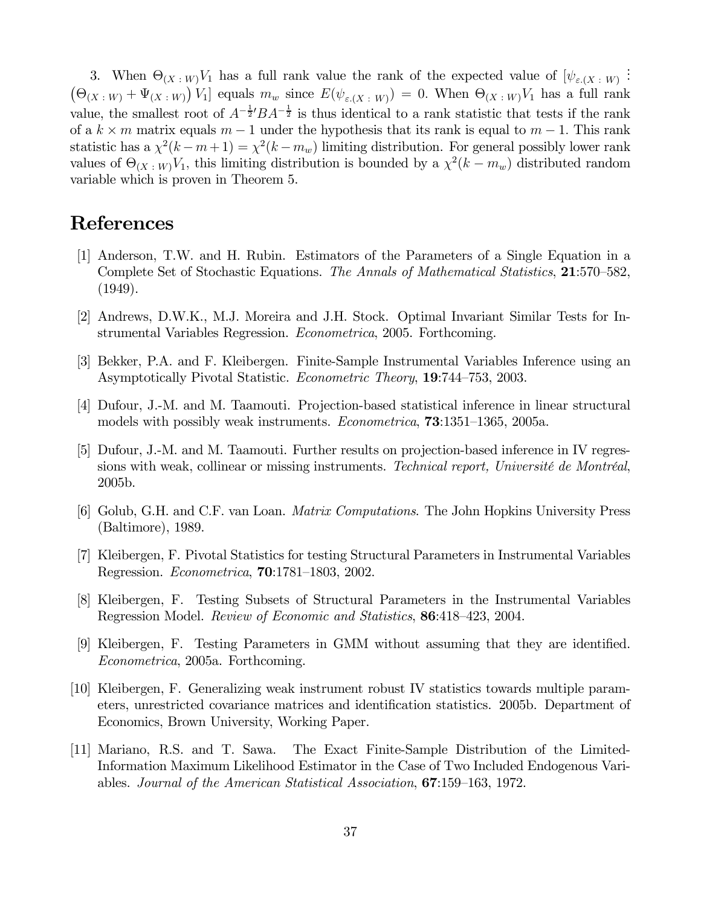3. When  $\Theta_{(X+W)}V_1$  has a full rank value the rank of the expected value of  $[\psi_{\varepsilon,(X+W)}]$ :  $(\Theta_{(X+W)} + \Psi_{(X+W)}) V_1]$  equals  $m_w$  since  $E(\psi_{\varepsilon,(X+W)})=0$ . When  $\Theta_{(X+W)}V_1$  has a full rank value, the smallest root of  $A^{-\frac{1}{2}} B A^{-\frac{1}{2}}$  is thus identical to a rank statistic that tests if the rank of a  $k \times m$  matrix equals  $m - 1$  under the hypothesis that its rank is equal to  $m - 1$ . This rank statistic has a  $\chi^2(k - m + 1) = \chi^2(k - m_w)$  limiting distribution. For general possibly lower rank values of  $\Theta_{(X \cdot W)} V_1$ , this limiting distribution is bounded by a  $\chi^2(k - m_w)$  distributed random variable which is proven in Theorem 5.

# References

- [1] Anderson, T.W. and H. Rubin. Estimators of the Parameters of a Single Equation in a Complete Set of Stochastic Equations. The Annals of Mathematical Statistics, 21:570—582, (1949).
- [2] Andrews, D.W.K., M.J. Moreira and J.H. Stock. Optimal Invariant Similar Tests for Instrumental Variables Regression. Econometrica, 2005. Forthcoming.
- [3] Bekker, P.A. and F. Kleibergen. Finite-Sample Instrumental Variables Inference using an Asymptotically Pivotal Statistic. Econometric Theory, 19:744—753, 2003.
- [4] Dufour, J.-M. and M. Taamouti. Projection-based statistical inference in linear structural models with possibly weak instruments. Econometrica, 73:1351—1365, 2005a.
- [5] Dufour, J.-M. and M. Taamouti. Further results on projection-based inference in IV regressions with weak, collinear or missing instruments. Technical report, Université de Montréal, 2005b.
- [6] Golub, G.H. and C.F. van Loan. Matrix Computations. The John Hopkins University Press (Baltimore), 1989.
- [7] Kleibergen, F. Pivotal Statistics for testing Structural Parameters in Instrumental Variables Regression. Econometrica, 70:1781—1803, 2002.
- [8] Kleibergen, F. Testing Subsets of Structural Parameters in the Instrumental Variables Regression Model. Review of Economic and Statistics, 86:418—423, 2004.
- [9] Kleibergen, F. Testing Parameters in GMM without assuming that they are identified. Econometrica, 2005a. Forthcoming.
- [10] Kleibergen, F. Generalizing weak instrument robust IV statistics towards multiple parameters, unrestricted covariance matrices and identification statistics. 2005b. Department of Economics, Brown University, Working Paper.
- [11] Mariano, R.S. and T. Sawa. The Exact Finite-Sample Distribution of the Limited-Information Maximum Likelihood Estimator in the Case of Two Included Endogenous Variables. Journal of the American Statistical Association, 67:159—163, 1972.